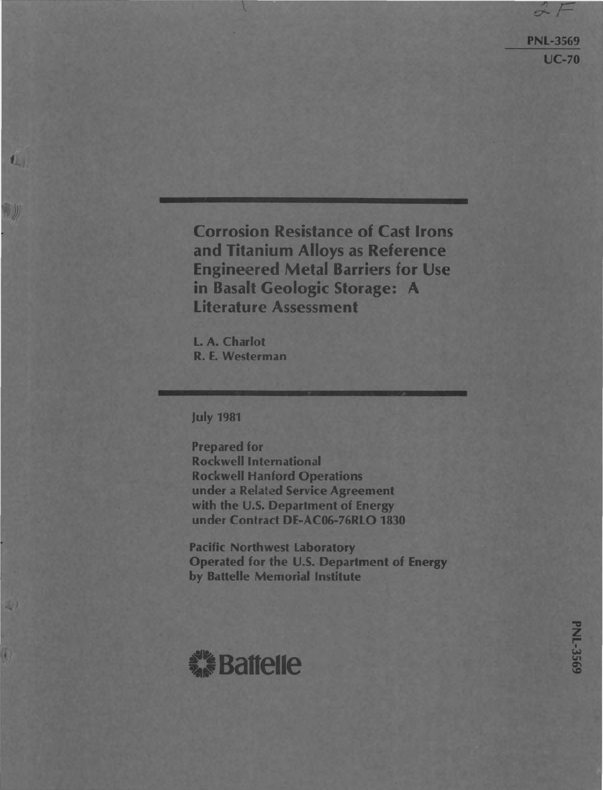**PNL-3569**  $UC-70$ 

**Corrosion Resistance of Cast Irons** and Titanium Alloys as Reference **Engineered Metal Barriers for Use** in Basalt Geologic Storage: A **Literature Assessment** 

L. A. Charlot R. E. Westerman

**July 1981** 

 $1$ 

W

 $\mathbb{R}^n$ 

約

**Prepared for Rockwell International Rockwell Hanford Operations** under a Related Service Agreement with the U.S. Department of Energy under Contract DE-AC06-76RLO 1830

**Pacific Northwest Laboratory** Operated for the U.S. Department of Energy by Battelle Memorial Institute

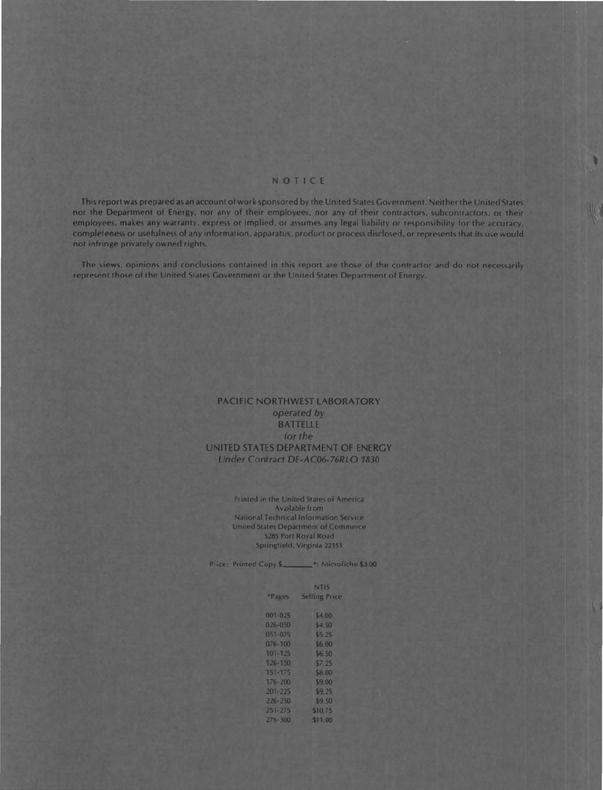#### NOTICE

This report was prepared as an account of work sponsored by the United States Government. Neither the United States nor the Department of Energy, nor any of their employees, nor any of their contractors, subcontractors, or their employees, makes any warranty, express or implied, or assumes any legal liability or responsibility for the accuracy, completeness or usefulness of any information, apparatus, product or process disclosed, or represents that its use would not infringe privately owned rights.

The views, opinions and conclusions contained in this report are those of the contractor and do not necessarily represent those of the United States Government or the United States Department of Energy.

#### PACIFIC NORTHWEST LABORATORY operated by **BATTELLE** for the UNITED STATES DEPARTMENT OF ENERGY Under Contract DE-AC06-76RLO 1830

Printed in the United States of America Available from National Technical Information Service United States Department of Commerce 5285 Port Royal Road Springfield, Virginia 22151

|               | <b>NTIS</b>          |
|---------------|----------------------|
| <b>*Pages</b> | <b>Selling Price</b> |
|               |                      |
| $001 - 025$   | \$4.00               |
| 026-050       | \$4.50               |
| 051-075       | \$5.25               |
| 076-100       | \$6.00               |
| $101 - 125$   | \$6.50               |
| 126-150       | \$7.25               |
| 151-175       | \$8.00               |
| 176-200       | \$9.00               |
| 201-225       | \$9.25               |
| 226-250       | \$9.50               |
| $251 - 275$   | \$10.75              |
| $276 - 300$   | \$11.00              |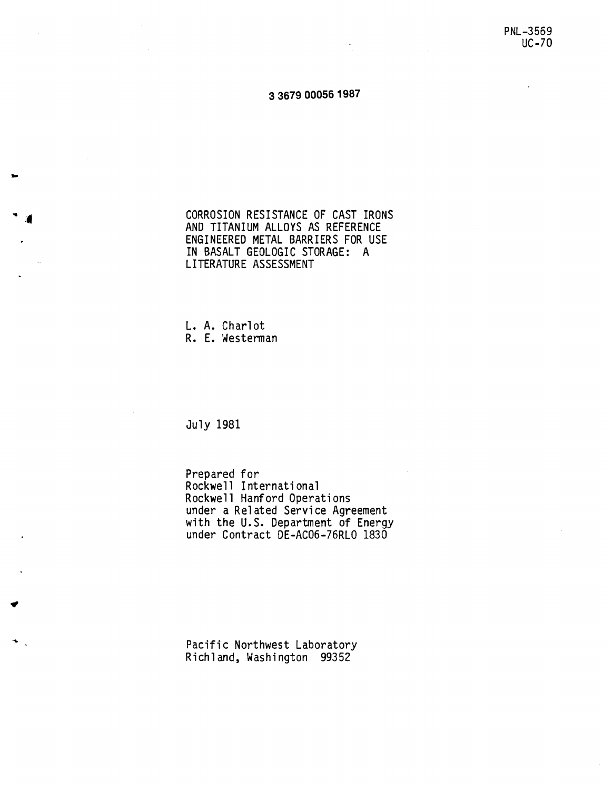## 3 3679 00056 1987

CORROSION RESISTANCE OF CAST IRONS AND TITANIUM ALLOYS AS REFERENCE ENGINEERED METAL BARRIERS FOR USE IN BASALT GEOLOGIC STORAGE: A LITERATURE ASSESSMENT

L. A. Charlot R. E. Westennan

July 1981

..

.... ,

Prepared for Rockwell International Rockwell Hanford Operations under a Related Service Agreement with the U.S. Department of Energy under Contract DE-AC06-76RLO 1830

Pacific Northwest Laboratory Richland, Washington 99352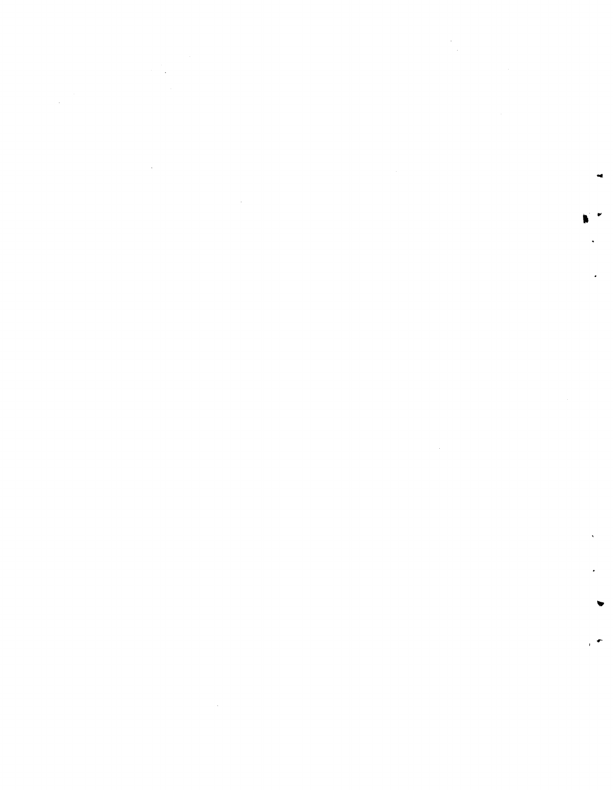$\label{eq:2.1} \frac{1}{\sqrt{2}}\sum_{i=1}^n\frac{1}{\sqrt{2}}\sum_{i=1}^n\frac{1}{\sqrt{2}}\sum_{i=1}^n\frac{1}{\sqrt{2}}\sum_{i=1}^n\frac{1}{\sqrt{2}}\sum_{i=1}^n\frac{1}{\sqrt{2}}\sum_{i=1}^n\frac{1}{\sqrt{2}}\sum_{i=1}^n\frac{1}{\sqrt{2}}\sum_{i=1}^n\frac{1}{\sqrt{2}}\sum_{i=1}^n\frac{1}{\sqrt{2}}\sum_{i=1}^n\frac{1}{\sqrt{2}}\sum_{i=1}^n\frac$  $\label{eq:2.1} \frac{1}{\sqrt{2\pi}}\sum_{i=1}^n\frac{1}{\sqrt{2\pi}}\sum_{i=1}^n\frac{1}{\sqrt{2\pi}}\sum_{i=1}^n\frac{1}{\sqrt{2\pi}}\sum_{i=1}^n\frac{1}{\sqrt{2\pi}}\sum_{i=1}^n\frac{1}{\sqrt{2\pi}}\sum_{i=1}^n\frac{1}{\sqrt{2\pi}}\sum_{i=1}^n\frac{1}{\sqrt{2\pi}}\sum_{i=1}^n\frac{1}{\sqrt{2\pi}}\sum_{i=1}^n\frac{1}{\sqrt{2\pi}}\sum_{i=1}^n\$ 

 $\label{eq:2.1} \mathcal{L}(\mathcal{L}^{\text{max}}_{\mathcal{L}}(\mathcal{L}^{\text{max}}_{\mathcal{L}}),\mathcal{L}^{\text{max}}_{\mathcal{L}}(\mathcal{L}^{\text{max}}_{\mathcal{L}}))$ 

 $\label{eq:2.1} \frac{1}{2} \sum_{i=1}^n \frac{1}{2} \sum_{j=1}^n \frac{1}{2} \sum_{j=1}^n \frac{1}{2} \sum_{j=1}^n \frac{1}{2} \sum_{j=1}^n \frac{1}{2} \sum_{j=1}^n \frac{1}{2} \sum_{j=1}^n \frac{1}{2} \sum_{j=1}^n \frac{1}{2} \sum_{j=1}^n \frac{1}{2} \sum_{j=1}^n \frac{1}{2} \sum_{j=1}^n \frac{1}{2} \sum_{j=1}^n \frac{1}{2} \sum_{j=1}^n \frac{$ 

 $\hat{\mathbf{v}}$ 

 $\label{eq:2.1} \frac{1}{\sqrt{2}}\left(\frac{1}{\sqrt{2}}\right)^{2} \left(\frac{1}{\sqrt{2}}\right)^{2} \left(\frac{1}{\sqrt{2}}\right)^{2} \left(\frac{1}{\sqrt{2}}\right)^{2} \left(\frac{1}{\sqrt{2}}\right)^{2} \left(\frac{1}{\sqrt{2}}\right)^{2} \left(\frac{1}{\sqrt{2}}\right)^{2} \left(\frac{1}{\sqrt{2}}\right)^{2} \left(\frac{1}{\sqrt{2}}\right)^{2} \left(\frac{1}{\sqrt{2}}\right)^{2} \left(\frac{1}{\sqrt{2}}\right)^{2} \left(\$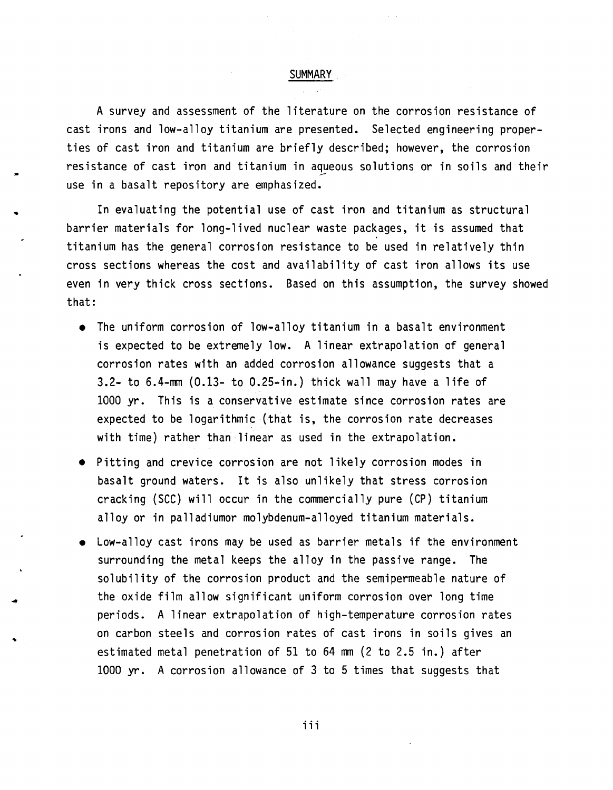#### **SUMMARY**

A survey and assessment of the literature on the corrosion resistance of cast irons and low-alloy titanium are presented. Selected engineering properties of cast iron and titanium are briefly described; however, the corrosion resistance of cast iron and titanium in aqueous solutions or in soils and their use in a basalt repository are emphasized.

•

..

In evaluating the potential use of cast iron and titanium as structural barrier materials for long-lived nuclear waste packages, it is assumed that titanium has the general corrosion resistance to be used in relatively thin cross sections whereas the cost and availability of cast iron allows its use even in very thick cross sections. Based on this assumption, the survey showed that:

- The uniform corrosion of low-alloy titanium in a basalt environment is expected to be extremely low. A linear extrapolation of general corrosion rates with an added corrosion allowance suggests that a  $3.2$ - to  $6.4$ -mm (0.13- to 0.25-in.) thick wall may have a life of 1000 yr. This is a conservative estimate since corrosion rates are expected to be logarithmic (that is, the corrosion rate decreases with time) rather than linear as used in the extrapolation.
- Pitting and crevice corrosion are not likely corrosion modes in basalt ground waters. It is also unlikely that stress corrosion cracking (SCC) will occur in the commercially pure (CP) titanium alloy or in palladiumor molybdenum-alloyed titanium materials.
- Low-alloy cast irons may be used as barrier metals if the environment surrounding the metal keeps the alloy in the passive range. The solubility of the corrosion product and the semipermeable nature of the oxide film allow significant uniform corrosion over long time periods. A linear extrapolation of high-temperature corrosion rates on carbon steels and corrosion rates of cast irons in soils gives an estimated metal penetration of 51 to 64 mm (2 to 2.5 in.) after 1000 yr. A corrosion allowance of 3 to 5 times that suggests that

iii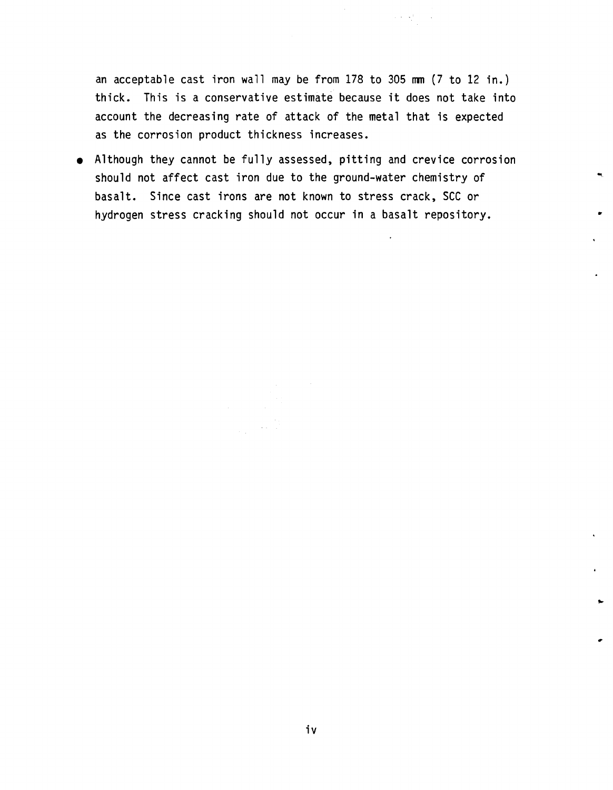an acceptable cast iron wall may be from 178 to 305 mm (7 to 12 in.) thick. This is a conservative estimate because it does not take into account the decreasing rate of attack of the metal that is expected as the corrosion product thickness increases.

 $\label{eq:2} \mathcal{L} \left( \mathcal{L} \right) = \frac{1}{2} \sum_{i=1}^{N} \mathcal{L}_{i} \left( \mathcal{L}_{i} \right)$ 

• Although they cannot be fully assessed, pitting and crevice corrosion should not affect cast iron due to the ground-water chemistry of basalt. Since cast irons are not known to stress crack, SCC or hydrogen stress cracking should not occur in a basalt repository.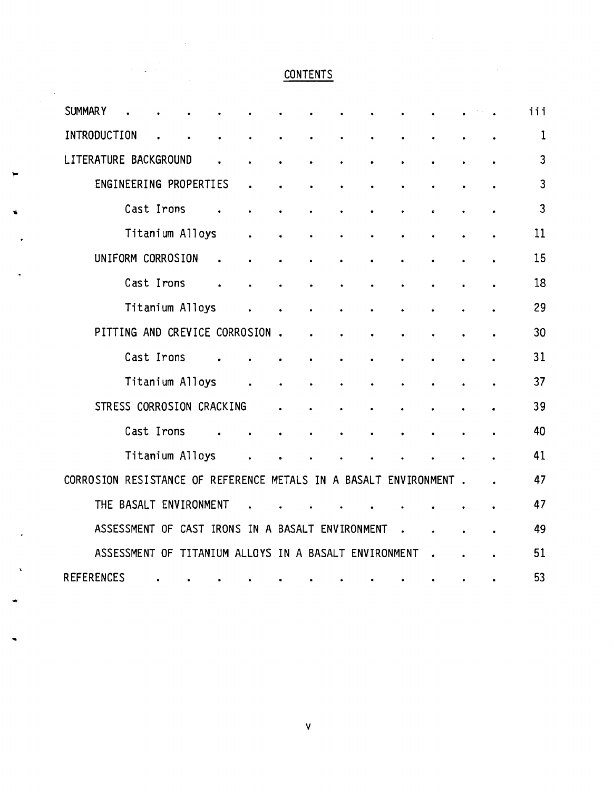## **CONTENTS**

 $\sim 1$ 

 $\label{eq:2} \frac{d\mathbf{r}}{d\mathbf{r}} = \frac{d\mathbf{r}}{d\mathbf{r}} \frac{d\mathbf{r}}{d\mathbf{r}} \frac{d\mathbf{r}}{d\mathbf{r}} \, .$ 

 $\sim$ 

| <b>SUMMARY</b>                                                    |           |   |             |           |           |             |           |           |           |  | iii            |
|-------------------------------------------------------------------|-----------|---|-------------|-----------|-----------|-------------|-----------|-----------|-----------|--|----------------|
| INTRODUCTION                                                      |           |   |             | $\bullet$ |           |             |           |           |           |  | 1              |
| LITERATURE BACKGROUND                                             |           |   |             |           |           |             |           |           |           |  | 3              |
| ENGINEERING PROPERTIES                                            |           |   |             |           |           |             |           |           |           |  | 3              |
| Cast Irons                                                        |           |   |             |           |           |             |           |           |           |  | $\overline{3}$ |
| Titanium Alloys                                                   |           |   |             |           |           |             |           |           |           |  | 11             |
| UNIFORM CORROSION                                                 |           |   |             |           |           |             |           |           |           |  | 15             |
| Cast Irons                                                        |           |   |             |           |           |             |           |           |           |  | 18             |
| Titanium Alloys                                                   |           |   |             |           |           |             |           |           |           |  | 29             |
| PITTING AND CREVICE CORROSION .                                   |           |   |             |           |           |             |           |           |           |  | 30             |
| Cast Irons                                                        |           |   |             |           |           |             |           |           |           |  | 31             |
| Titanium Alloys                                                   |           |   |             |           |           |             |           |           |           |  | 37             |
| STRESS CORROSION CRACKING                                         |           |   |             |           |           | $\bullet$   |           |           |           |  | 39             |
| Cast Irons                                                        |           |   |             |           |           |             |           |           |           |  | 40             |
| Titanium Alloys                                                   |           |   |             |           |           |             |           |           |           |  | 41             |
| CORROSION RESISTANCE OF REFERENCE METALS IN A BASALT ENVIRONMENT. |           |   |             |           |           |             |           |           |           |  | 47             |
| THE BASALT ENVIRONMENT                                            |           |   |             |           |           |             |           |           |           |  | 47             |
| ASSESSMENT OF CAST IRONS IN A BASALT ENVIRONMENT                  |           |   |             |           |           |             |           |           |           |  | 49             |
| ASSESSMENT OF TITANIUM ALLOYS IN A BASALT ENVIRONMENT             |           |   |             |           |           |             |           |           |           |  | 51             |
| <b>REFERENCES</b>                                                 | $\bullet$ | ٠ | $\bullet$ . | $\bullet$ | $\bullet$ | $\bullet$ . | $\bullet$ | $\bullet$ | $\bullet$ |  | 53             |

v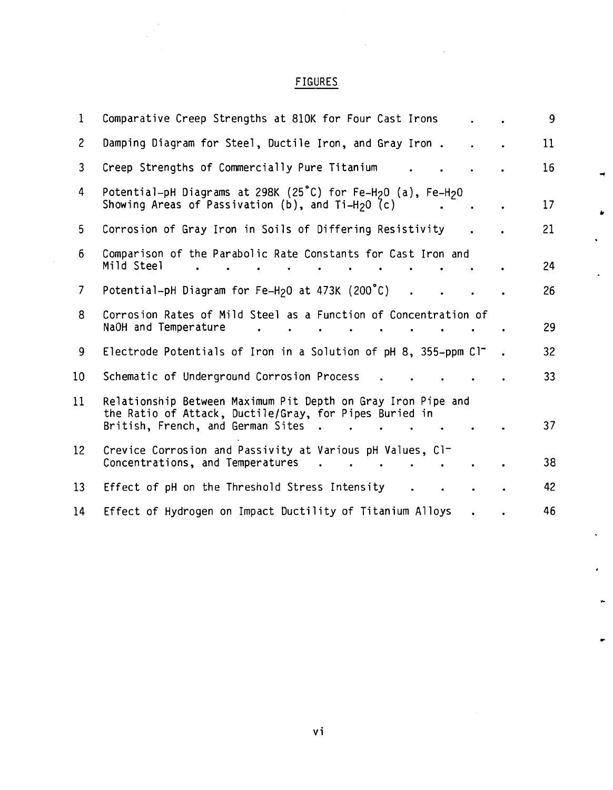## FIGURES

| 1               | Comparative Creep Strengths at 810K for Four Cast Irons                                                                                                     |  | 9               |
|-----------------|-------------------------------------------------------------------------------------------------------------------------------------------------------------|--|-----------------|
| $\mathbf{2}$    | Damping Diagram for Steel, Ductile Iron, and Gray Iron.                                                                                                     |  | $11\,$          |
| 3               | Creep Strengths of Commercially Pure Titanium                                                                                                               |  | 16 <sup>°</sup> |
| 4               | Potential-pH Diagrams at 298K (25°C) for Fe-H <sub>2</sub> O (a), Fe-H <sub>2</sub> O<br>Showing Areas of Passivation (b), and $Ti-H2O$ (c)                 |  | 17              |
| 5               | Corrosion of Gray Iron in Soils of Differing Resistivity                                                                                                    |  | 21              |
| 6               | Comparison of the Parabolic Rate Constants for Cast Iron and<br>Mild Steel                                                                                  |  | 24              |
| 7 <sup>1</sup>  | Potential-pH Diagram for Fe-H <sub>2</sub> 0 at 473K (200 $^{\circ}$ C)                                                                                     |  | 26              |
| 8               | Corrosion Rates of Mild Steel as a Function of Concentration of<br>NaOH and Temperature                                                                     |  | 29              |
| 9               | Electrode Potentials of Iron in a Solution of pH 8, 355-ppm Cl <sup>-</sup>                                                                                 |  | 32              |
| 10 <sup>°</sup> | Schematic of Underground Corrosion Process                                                                                                                  |  | 33              |
| 11              | Relationship Between Maximum Pit Depth on Gray Iron Pipe and<br>the Ratio of Attack, Ductile/Gray, for Pipes Buried in<br>British, French, and German Sites |  | 37              |
| 12 <sup>2</sup> | Crevice Corrosion and Passivity at Various pH Values, Cl-<br>Concentrations, and Temperatures                                                               |  | 38              |
| 13              | Effect of pH on the Threshold Stress Intensity                                                                                                              |  | 42              |
| 14              | Effect of Hydrogen on Impact Ductility of Titanium Alloys                                                                                                   |  | 46              |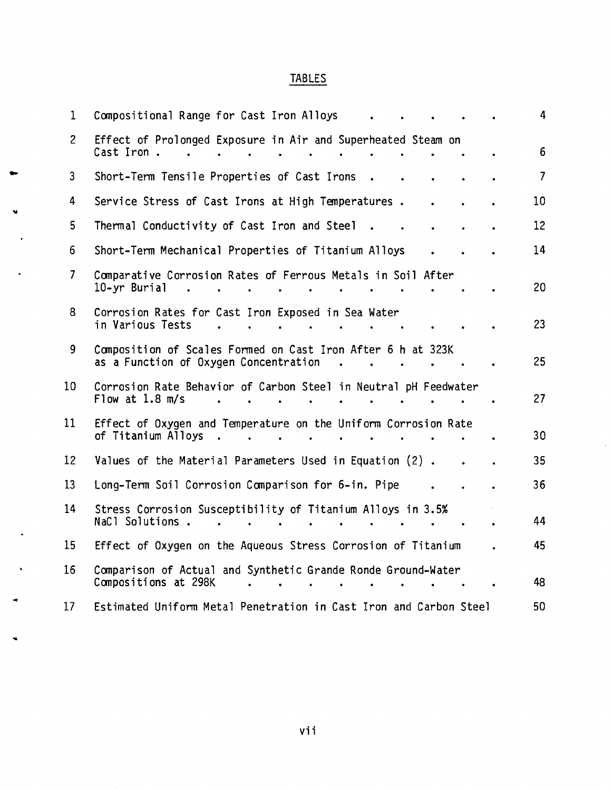# TABLES

| $\mathbf{1}$             | Compositional Range for Cast Iron Alloys                                                             | $\overline{4}$  |
|--------------------------|------------------------------------------------------------------------------------------------------|-----------------|
| $\overline{c}$           | Effect of Prolonged Exposure in Air and Superheated Steam on<br>Cast Iron.                           | $6\phantom{1}$  |
| $\overline{3}$           | Short-Term Tensile Properties of Cast Irons                                                          | $\overline{7}$  |
| 4                        | Service Stress of Cast Irons at High Temperatures.                                                   | 10 <sub>1</sub> |
| 5                        | Thermal Conductivity of Cast Iron and Steel.                                                         | 12 <sup>2</sup> |
| $6 \overline{6}$         | Short-Term Mechanical Properties of Titanium Alloys                                                  | 14              |
| $\overline{\mathcal{L}}$ | Comparative Corrosion Rates of Ferrous Metals in Soil After<br>10-yr Burial                          | 20              |
| 8                        | Corrosion Rates for Cast Iron Exposed in Sea Water<br>in Various Tests                               | 23              |
| 9                        | Composition of Scales Formed on Cast Iron After 6 h at 323K<br>as a Function of Oxygen Concentration | 25              |
| 10 <sup>°</sup>          | Corrosion Rate Behavior of Carbon Steel in Neutral pH Feedwater<br>Flow at $1.8$ m/s<br>$\bullet$    | 27              |
| 11                       | Effect of Oxygen and Temperature on the Uniform Corrosion Rate<br>of Titanium Alloys<br>$\bullet$    | 30              |
| 12 <sup>2</sup>          | Values of the Material Parameters Used in Equation (2).                                              | 35              |
| 13                       | Long-Term Soil Corrosion Comparison for 6-in. Pipe                                                   | 36              |
| 14                       | Stress Corrosion Susceptibility of Titanium Alloys in 3.5%<br>NaCl Solutions.                        | 44              |
| 15                       | Effect of Oxygen on the Aqueous Stress Corrosion of Titanium                                         | 45              |
| 16 <sup>°</sup>          | Comparison of Actual and Synthetic Grande Ronde Ground-Water<br>Compositions at 298K                 | 48              |
| 17                       | Estimated Uniform Metal Penetration in Cast Iron and Carbon Steel                                    | 50              |

 $\epsilon$ 

vii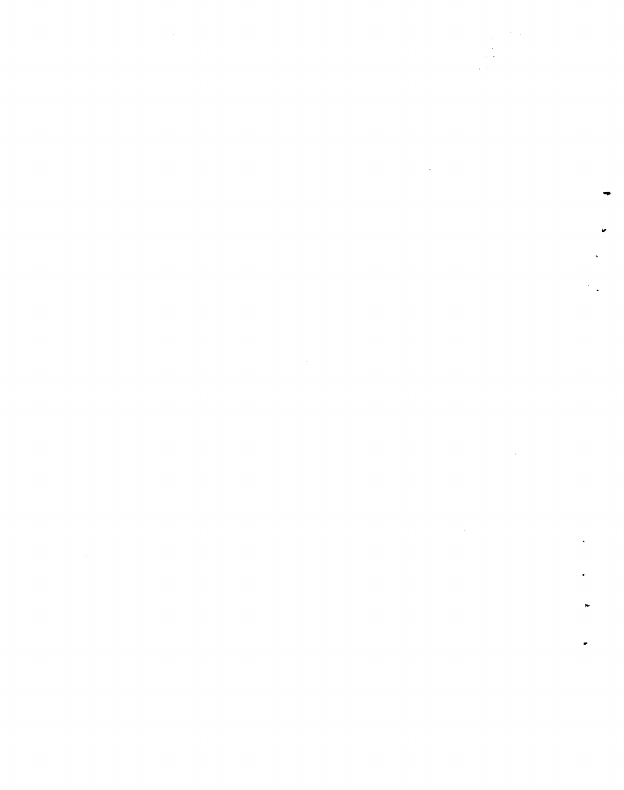$\label{eq:2} \frac{1}{\sqrt{2}}\left(\frac{1}{\sqrt{2}}\right)^2\frac{1}{\sqrt{2}}\left(\frac{1}{\sqrt{2}}\right)^2.$  $\label{eq:2.1} \frac{1}{2} \sum_{i=1}^n \frac{1}{2} \sum_{j=1}^n \frac{1}{2} \sum_{j=1}^n \frac{1}{2} \sum_{j=1}^n \frac{1}{2} \sum_{j=1}^n \frac{1}{2} \sum_{j=1}^n \frac{1}{2} \sum_{j=1}^n \frac{1}{2} \sum_{j=1}^n \frac{1}{2} \sum_{j=1}^n \frac{1}{2} \sum_{j=1}^n \frac{1}{2} \sum_{j=1}^n \frac{1}{2} \sum_{j=1}^n \frac{1}{2} \sum_{j=1}^n \frac{$  $\label{eq:2.1} \mathcal{L}(\mathcal{L}^{\text{max}}_{\mathcal{L}}(\mathcal{L}^{\text{max}}_{\mathcal{L}}))\leq \mathcal{L}(\mathcal{L}^{\text{max}}_{\mathcal{L}}(\mathcal{L}^{\text{max}}_{\mathcal{L}}))$  $\label{eq:2.1} \frac{1}{\sqrt{2}}\left(\frac{1}{\sqrt{2}}\right)^{2} \left(\frac{1}{\sqrt{2}}\right)^{2} \left(\frac{1}{\sqrt{2}}\right)^{2} \left(\frac{1}{\sqrt{2}}\right)^{2} \left(\frac{1}{\sqrt{2}}\right)^{2} \left(\frac{1}{\sqrt{2}}\right)^{2} \left(\frac{1}{\sqrt{2}}\right)^{2} \left(\frac{1}{\sqrt{2}}\right)^{2} \left(\frac{1}{\sqrt{2}}\right)^{2} \left(\frac{1}{\sqrt{2}}\right)^{2} \left(\frac{1}{\sqrt{2}}\right)^{2} \left(\$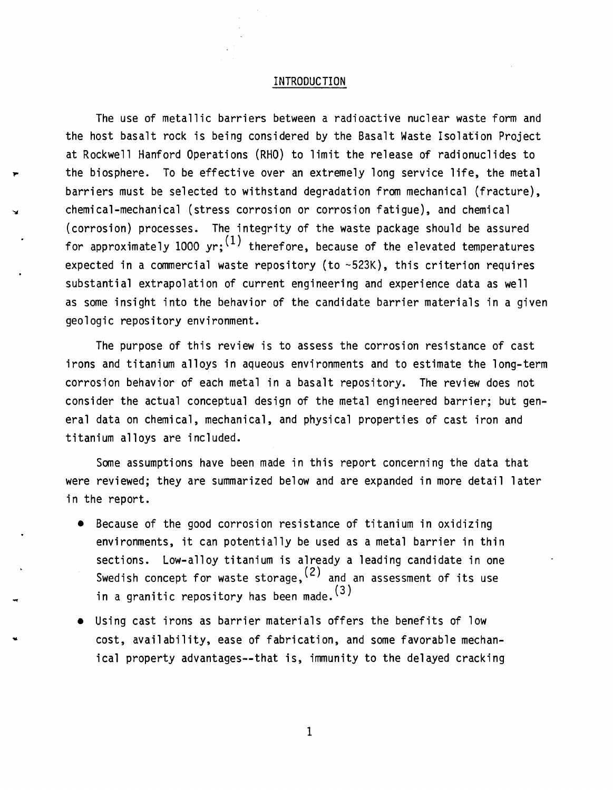### INTRODUCTION

The use of metallic barriers between a radioactive nuclear waste form and the host basalt rock is being considered by the Basalt Waste Isolation Project at Rockwell Hanford Operations (RHO) to limit the release of radionuclides to the biosphere. To be effective over an extremely long service life, the metal barriers must be selected to withstand degradation from mechanical (fracture), chemical-mechanical (stress corrosion or corrosion fatigue), and chemical (corrosion) processes. The integrity of the waste package should be assured for approximately 1000  $yr$ ;  $(1)$  therefore, because of the elevated temperatures expected in a commercial waste repository (to ~523K), this criterion requires substantial extrapolation of current engineering and experience data as well as some insight into the behavior of the candidate barrier materials in a given geologic repository environment.

The purpose of this review is to assess the corrosion resistance of cast irons and titanium alloys in aqueous environments and to estimate the long-term corrosion behavior of each metal in a basalt repository. The review does not consider the actual conceptual design of the metal engineered barrier; but general data on chemical, mechanical, and physical properties of cast iron and titanium alloys are included.

Some assumptions have been made in this report concerning the data that were reviewed; they are summarized below and are expanded in more detail later in the report.

- Because of the good corrosion resistance of titanium in oxidizing environments, it can potentially be used as a metal barrier in thin sections. Low-alloy titanium is already a leading candidate in one Swedish concept for waste storage,  $(2)$  and an assessment of its use in a granitic repository has been made.(3)
- Using cast irons as barrier materials offers the benefits of low cost, availability, ease of fabrication, and some favorable mechanical property advantages--that is, immunity to the delayed cracking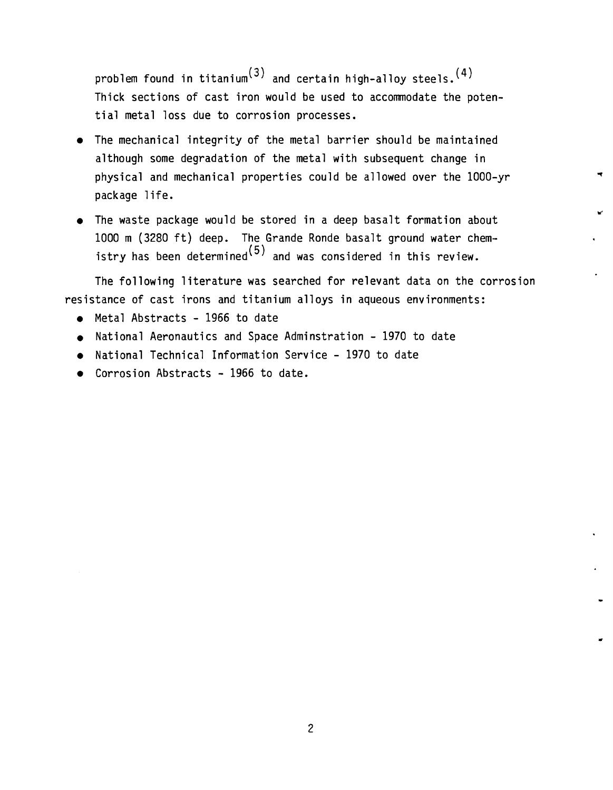problem found in titanium<sup>(3)</sup> and certain high-alloy steels.<sup>(4)</sup> Thick sections of cast iron would be used to accommodate the potential metal loss due to corrosion processes.

- The mechanical integrity of the metal barrier should be maintained although some degradation of the metal with subsequent change in physical and mechanical properties could be allowed over the 1000-yr package life.
- The waste package would be stored in a deep basalt formation about 1000 m (3280 ft) deep. The Grande Ronde basalt ground water chemistry has been determined<sup>(5)</sup> and was considered in this review.

The following literature was searched for relevant data on the corrosion resistance of cast irons and titanium alloys in aqueous environments:

- Metal Abstracts 1966 to date
- National Aeronautics and Space Adminstration 1970 to date
- National Technical Information Service 1970 to date
- Corrosion Abstracts 1966 to date.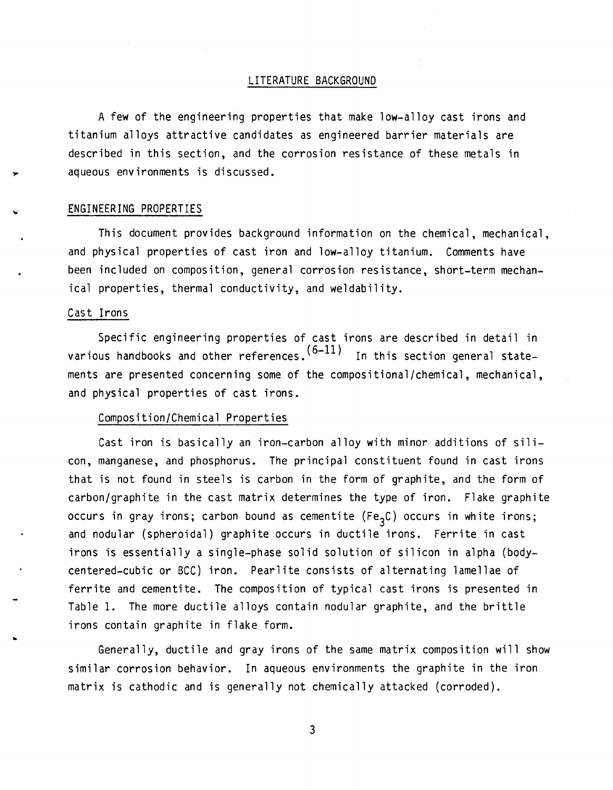#### LITERATURE BACKGROUND

A few of the engineering properties that make low-alloy cast irons and titanium alloys attractive candidates as engineered barrier materials are described in this section, and the corrosion resistance of these metals in aqueous environments is discussed.

## ENGINEERING PROPERTIES

This document provides background information on the chemical, mechanical, and physical properties of cast iron and low-alloy titanium. Comments have been included on composition, general corrosion resistance, short-term mechanical properties, thermal conductivity, and weldability.

## Cast Irons

Specific engineering properties of cast irons are described in detail in various handbooks and other references.  $(6-11)$  In this section general statements are presented concerning some of the compositional/chemical, mechanical, and physical properties of cast irons.

## Composition/Chemical Properties

Cast iron is basically an iron-carbon alloy with minor additions of silicon, manganese, and phosphorus. The principal constituent found in cast irons that is not found in steels is carbon in the form of graphite, and the form of carbon/graphite in the cast matrix determines the type of iron. Flake graphite occurs in gray irons; carbon bound as cementite (Fe<sub>3</sub>C) occurs in white irons; and nodular (spheroidal) graphite occurs in ductile irons. Ferrite in cast irons is essentially a single-phase solid solution of silicon in alpha (bodycentered-cubic or BCC) iron. Pearlite consists of alternating lamellae of ferrite and cementite. The composition of typical cast irons is presented in Table 1. The more ductile alloys contain nodular graphite, and the brittle irons contain graphite in flake form.

Generally, ductile and gray irons of the same matrix composition will show similar corrosion behavior. In aqueous environments the graphite in the iron matrix is cathodic and is generally not chemically attacked (corroded).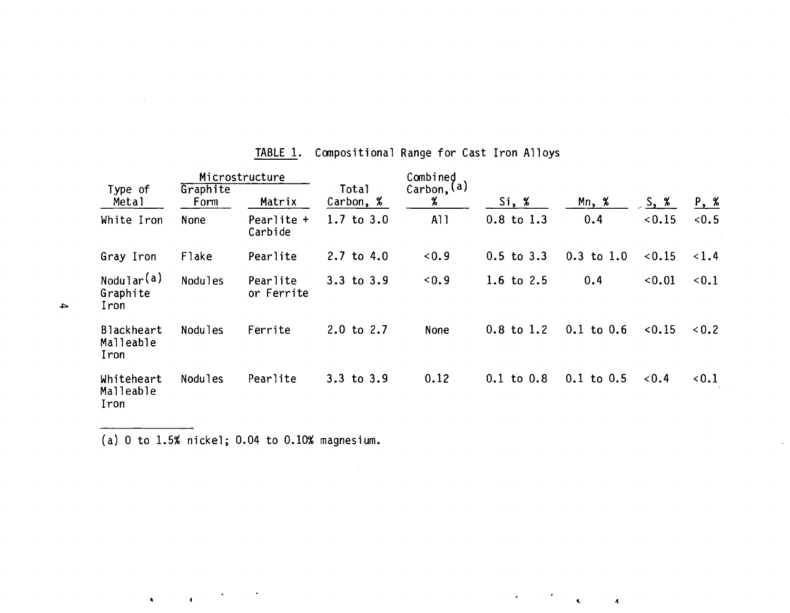|                                            |                  | Microstructure         |                           | Combined         |                |                |             |             |
|--------------------------------------------|------------------|------------------------|---------------------------|------------------|----------------|----------------|-------------|-------------|
| Type of<br>Metal                           | Graphite<br>Form | Matrix                 | <b>Total</b><br>Carbon, % | Carbon, (a)<br>% | Si, %          | <u>Mn, %</u>   | $S, \kappa$ | <u>P, %</u> |
| White Iron                                 | None             | Pearlite +<br>Carbide  | $1.7$ to $3.0$            | A11              | $0.8$ to 1.3   | 0.4            | < 0.15      | < 0.5       |
| Gray Iron                                  | Flake            | Pearlite               | $2.7$ to $4.0$            | 0.9              | $0.5$ to $3.3$ | $0.3$ to $1.0$ | < 0.15      | 1.4         |
| Nodular <sup>(a)</sup><br>Graphite<br>Iron | <b>Nodules</b>   | Pearlite<br>or Ferrite | $3.3$ to $3.9$            | 0.9              | 1.6 to $2.5$   | 0.4            | < 0.01      | $\leq 0.1$  |
| <b>Blackheart</b><br>Malleable<br>Iron     | <b>Nodules</b>   | Ferrite                | $2.0$ to $2.7$            | None             | $0.8$ to 1.2   | $0.1$ to $0.6$ | 0.15        | < 0.2       |
| Whiteheart<br>Malleable<br>Iron            | <b>Nodules</b>   | Pearlite               | $3.3$ to $3.9$            | 0.12             | $0.1$ to $0.8$ | $0.1$ to $0.5$ | 0.4         | < 0.1       |

 $\label{eq:2} \begin{array}{ccccc} \mathcal{L} & \mathcal{L} & \mathcal{L} & \mathcal{L} \\ \mathcal{L} & \mathcal{L} & \mathcal{L} & \mathcal{L} \end{array}$ 

 $\pmb{\mathcal{A}}$ 

 $\sim$ 

## TABLE 1. Compositional Range for Cast Iron Alloys

(a) 0 to 1.5% nickel; 0.04 to 0.10% magnesium.

 $\label{eq:2} \frac{1}{\sqrt{2}}\int_{\mathbb{R}^3}\frac{1}{\sqrt{2}}\left(\frac{1}{\sqrt{2}}\right)^2\frac{1}{\sqrt{2}}\left(\frac{1}{\sqrt{2}}\right)^2\frac{1}{\sqrt{2}}\left(\frac{1}{\sqrt{2}}\right)^2\frac{1}{\sqrt{2}}\left(\frac{1}{\sqrt{2}}\right)^2\frac{1}{\sqrt{2}}\left(\frac{1}{\sqrt{2}}\right)^2\frac{1}{\sqrt{2}}\left(\frac{1}{\sqrt{2}}\right)^2\frac{1}{\sqrt{2}}\left(\frac{1}{\sqrt{2}}\right)^2\frac{1}{\sqrt{2}}$ 

 $\bullet$ 

 $\sim$   $\sim$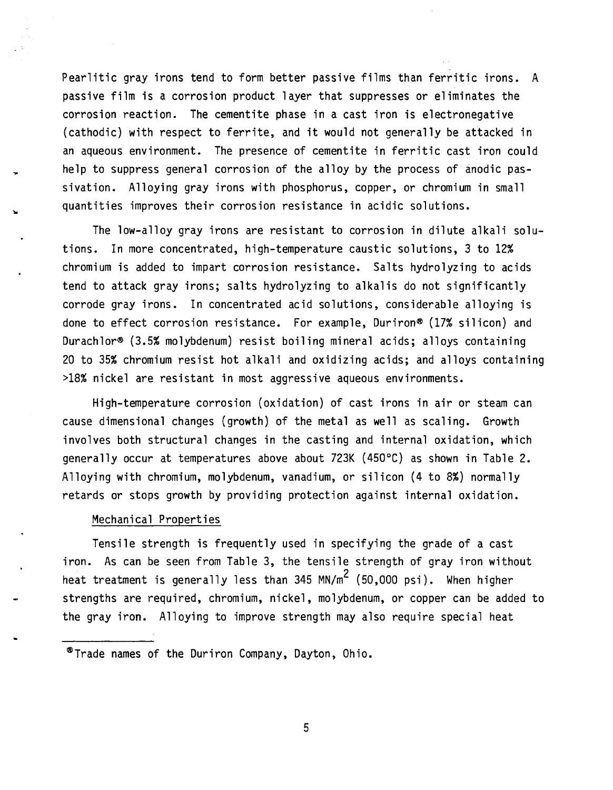Pearlitic gray irons tend to form better passive films than ferritic irons. A passive film is a corrosion product layer that suppresses or eliminates the corrosion reaction. The cementite phase in a cast iron is electronegative (cathodic) with respect to ferrite, and it would not generally be attacked in an aqueous environment. The presence of cementite in ferritic cast iron could help to suppress general corrosion of the alloy by the process of anodic passivation. Alloying gray irons with phosphorus, copper, or chromium in small quantities improves their corrosion resistance in acidic solutions.

The low-alloy gray irons are resistant to corrosion in dilute alkali solutions. In more concentrated, high-temperature caustic solutions, 3 to 12% chromium is added to impart corrosion resistance. Salts hydrolyzing to acids tend to attack gray irons; salts hydrolyzing to alkalis do not significantly corrode gray irons. In concentrated acid solutions, considerable alloying is done to effect corrosion resistance. For example, Duriron® (17% silicon) and Durachlor® (3.5% molybdenum) resist boiling mineral acids; alloys containing 20 to 35% chromium resist hot alkali and oxidizing acids; and alloys containing >18% nickel are resistant in most aggressive aqueous environments.

High-temperature corrosion (oxidation) of cast irons in air or steam can cause dimensional changes (growth) of the metal as well as scaling. Growth involves both structural changes in the casting and internal oxidation, which generally occur at temperatures above about 723K (450°C) as shown in Table 2. Alloying with chromium, molybdenum, vanadium, or silicon (4 to 8%) normally retards or stops growth by providing protection against internal oxidation.

## Mechanical Properties

Tensile strength is frequently used in specifying the grade of a cast iron. As can be seen from Table 3, the tensile strength of gray iron without heat treatment is generally less than 345 MN/m<sup>2</sup> (50,000 psi). When higher strengths are required, chromium, nickel, molybdenum, or copper can be added to the gray iron. Alloying to improve strength may also require special heat

®Trade names of the Duriron Company, Dayton, Ohio.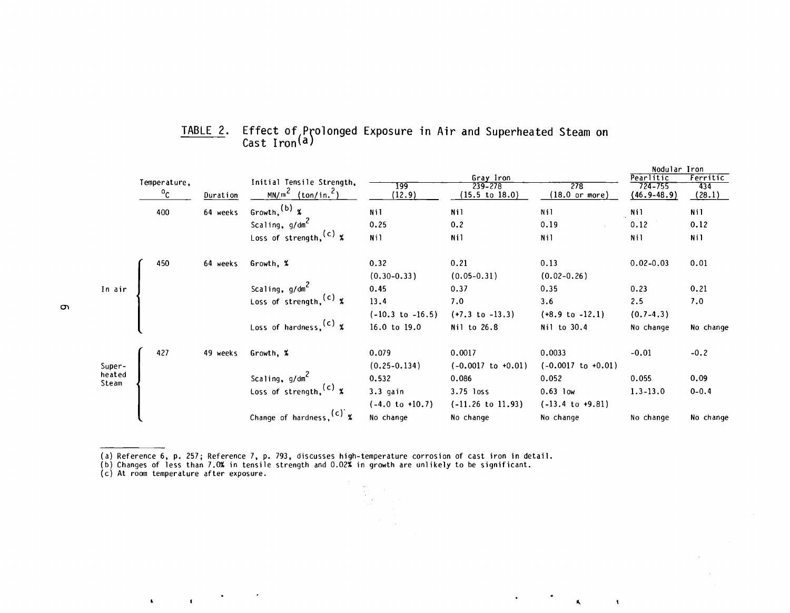|                 |              |          |                                         |                             |                               |                               | Nodular Iron         |                 |
|-----------------|--------------|----------|-----------------------------------------|-----------------------------|-------------------------------|-------------------------------|----------------------|-----------------|
|                 | Temperature, |          | Initial Tensile Strength,               | 199                         | Gray Iron<br>$239 - 278$      | 278                           | Pearlitic<br>724-755 | Ferritic<br>434 |
|                 | $^{\circ}$ c | Duration | $MN/m^2$ (ton/in. <sup>2</sup> )        | (12.9)                      | $(15.5 \text{ to } 18.0)$     | $(18.0 \text{ or more})$      | $(46.9 - 48.9)$      | (28.1)          |
|                 | 400          | 64 weeks | Growth, $(b)$ $\boldsymbol{\mathsf{x}}$ | Nil                         | Nil                           | Nil                           | $\sim$ Nil           | Nil             |
|                 |              |          | Scaling, g/dm <sup>2</sup>              | 0.25                        | 0.2                           | 0.19                          | 0.12                 | 0.12            |
|                 |              |          | Loss of strength, $(c)$ %               | Nil                         | Nil                           | Nil                           | Nil                  | Ni1             |
|                 | 450          | 64 weeks | Growth, %                               | 0.32                        | 0.21                          | 0.13                          | $0.02 - 0.03$        | 0.01            |
|                 |              |          |                                         | $(0.30 - 0.33)$             | $(0.05 - 0.31)$               | $(0.02 - 0.26)$               |                      |                 |
| In air          |              |          | Scaling, g/dm <sup>2</sup>              | 0.45                        | 0.37                          | 0.35                          | 0.23                 | 0.21            |
|                 |              |          | Loss of strength, $(c)$ %               | 13.4                        | 7.0                           | 3.6                           | 2.5                  | 7.0             |
|                 |              |          |                                         | $(-10.3 \text{ to } -16.5)$ | $(+7.3 \text{ to } -13.3)$    | $(+8.9 \text{ to } -12.1)$    | $(0.7-4.3)$          |                 |
|                 |              |          | Loss of hardness. <sup>(c)</sup> %      | $16.0$ to $19.0$            | Nil to 26.8                   | Nil to 30.4                   | No change            | No change       |
|                 | 427          | 49 weeks | Growth, %                               | 0.079                       | 0.0017                        | 0.0033                        | $-0.01$              | $-0.2$          |
| Super-          |              |          |                                         | $(0.25 - 0.134)$            | $(-0.0017 \text{ to } +0.01)$ | $(-0.0017 \text{ to } +0.01)$ |                      |                 |
| heated<br>Steam |              |          | Scaling, g/dm <sup>2</sup>              | 0.532                       | 0.086                         | 0.052                         | 0.055                | 0.09            |
|                 |              |          | Loss of strength, $(c)$ %               | $3.3$ gain                  | 3.75 loss                     | $0.63$ low                    | $1.3 - 13.0$         | $0 - 0.4$       |
|                 |              |          |                                         | $(-4.0 \text{ to } +10.7)$  | $(-11.26 \text{ to } 11.93)$  | $(-13.4 \text{ to } +9.81)$   |                      |                 |
|                 |              |          | Change of hardness, (c) %               | No change                   | No change                     | No change                     | No change            | No change       |

 $\bullet$ 

 $\bullet$ 

 $\mathbf{K}$ 

 $\Lambda$ 

 $\sim$ 

## TABLE 2. Effect of Prolonged Exposure in Air and Superheated Steam on Cast Iron<sup>(a)</sup>

(a) Reference 6, p. 257; Reference 7, p. 793, discusses high-temperature corrosion of cast iron in detail.

(b) Changes of less than 7.0% in tensile strength and 0.02% in growth are unlikely to be significant.

(c) At room temperature after exposure.

 $\mathbf{A}^{\prime}$ 

 $\label{eq:2} \mathcal{L} = \frac{1}{2} \sum_{i=1}^n \frac{1}{2} \sum_{i=1}^n \frac{1}{2} \sum_{i=1}^n \frac{1}{2} \sum_{i=1}^n \frac{1}{2} \sum_{i=1}^n \frac{1}{2} \sum_{i=1}^n \frac{1}{2} \sum_{i=1}^n \frac{1}{2} \sum_{i=1}^n \frac{1}{2} \sum_{i=1}^n \frac{1}{2} \sum_{i=1}^n \frac{1}{2} \sum_{i=1}^n \frac{1}{2} \sum_{i=1}^n \frac{1}{2} \sum_{i=1}$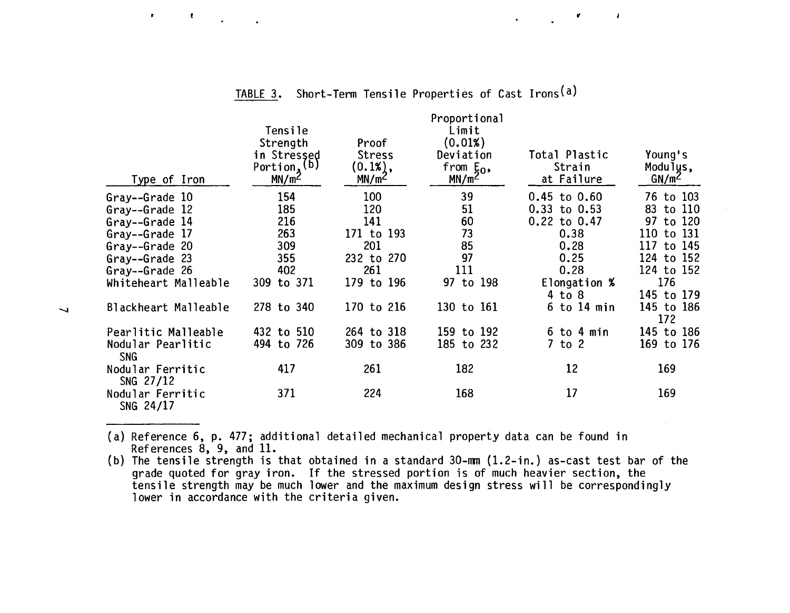| Type of Iron                    | Tensile<br>Strength<br>in Stressed<br>Portion, $(D)$<br>MN/m <sup>2</sup> | Proof<br><b>Stress</b><br>$(0.1\%)$ ,<br>$MN/m^2$ | Proportional<br>Limit<br>(0.01%)<br>Deviation<br>from $E_0$ ,<br>$MN/m^2$ | Total Plastic<br>Strain<br>at Failure | Young's<br>Modulus,<br>$GN/m^2$ |
|---------------------------------|---------------------------------------------------------------------------|---------------------------------------------------|---------------------------------------------------------------------------|---------------------------------------|---------------------------------|
| Gray--Grade 10                  | 154                                                                       | 100                                               | 39                                                                        | $0.45$ to $0.60$                      | 76 to 103                       |
| Gray--Grade 12                  | 185                                                                       | 120                                               | 51                                                                        | $0.33$ to $0.53$                      | 83 to 110                       |
| Gray--Grade 14                  | 216                                                                       | 141                                               | 60                                                                        | $0.22$ to $0.47$                      | 97 to 120                       |
| Gray--Grade 17                  | 263                                                                       | 171 to 193                                        | 73                                                                        | 0.38                                  | 110 to 131                      |
| Gray--Grade 20                  | 309                                                                       | 201                                               | 85                                                                        | 0.28                                  | 117 to 145                      |
| Gray--Grade 23                  | 355                                                                       | 232 to 270                                        | 97                                                                        | 0.25                                  | 124 to 152                      |
| Gray--Grade 26                  | 402                                                                       | 261                                               | 111                                                                       | 0.28                                  | 124 to 152                      |
| Whiteheart Malleable            | 309 to 371                                                                | 179 to 196                                        | 97 to 198                                                                 | Elongation %<br>$4$ to $8$            | 176<br>145 to 179               |
| Blackheart Malleable            | 278 to 340                                                                | 170 to 216                                        | 130 to 161                                                                | 6 to 14 min                           | 145 to 186<br>172               |
| Pearlitic Malleable             | 432 to 510                                                                | 264 to 318                                        | 159 to 192                                                                | 6 to 4 min                            | 145 to 186                      |
| Nodular Pearlitic<br><b>SNG</b> | 494 to 726                                                                | 309 to 386                                        | 185 to 232                                                                | $7$ to $2$                            | 169 to 176                      |
| Nodular Ferritic<br>SNG 27/12   | 417                                                                       | 261                                               | 182                                                                       | 12                                    | 169                             |
| Nodular Ferritic<br>SNG 24/17   | 371                                                                       | 224                                               | 168                                                                       | 17                                    | 169                             |

TABLE 3. Short-Term Tensile Properties of Cast Irons(a)

 $\overline{1}$ 

 $\pmb{\mathcal{C}}$ 

(a) Reference 6, p. 477; additional detailed mechanical property data can be found in References 8, 9, and 11.

(b) The tensile strength is that obtained in a standard 30-mm (1.2-in.) as-cast test bar of the grade quoted for gray iron. If the stressed portion is of much heavier section, the tensile strength may be much lower and the maximum design stress will be correspondingly lower in accordance with the criteria given.

 $\overline{\phantom{0}}$ 

 $\pmb{\epsilon}$ 

 $\mathcal{L} = \mathcal{L}$ 

 $\sim 10^{-11}$  k

 $\sim$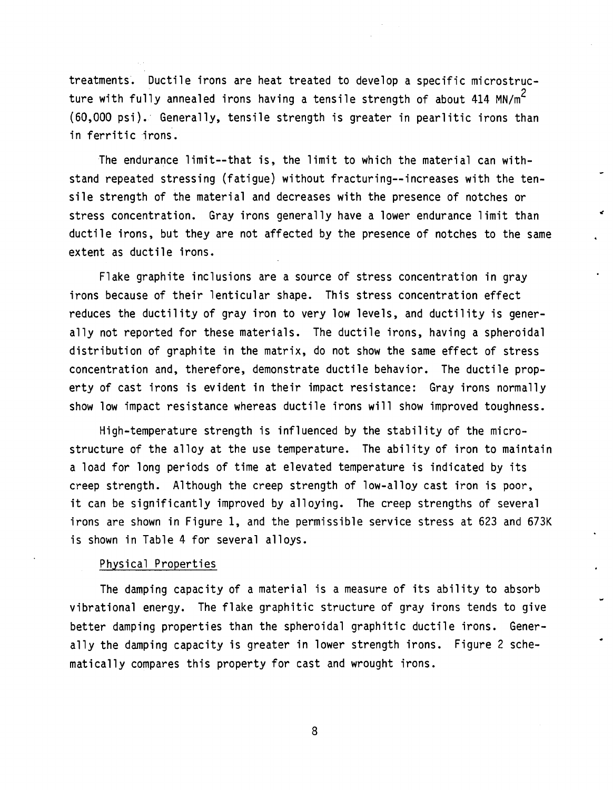treatments. Ductile irons are heat treated to develop a specific microstructure with fully annealed irons having a tensile strength of about 414 MN/ $m^2$ (60,000 psi). Generally, tensile strength is greater in pearlitic irons than in ferritic irons.

The endurance limit--that is, the limit to which the material can withstand repeated stressing (fatigue) without fracturing--increases with the tensile strength of the material and decreases with the presence of notches or stress concentration. Gray irons generally have a lower endurance limit than ductile irons, but they are not affected by the presence of notches to the same extent as ductile irons.

Flake graphite inclusions are a source of stress concentration in gray irons because of their lenticular shape. This stress concentration effect reduces the ductility of gray iron to very low levels, and ductility is generally not reported for these materials. The ductile irons, having a spheroidal distribution of graphite in the matrix, do not show the same effect of stress concentration and, therefore, demonstrate ductile behavior. The ductile property of cast irons is evident in their impact resistance: Gray irons normally show low impact resistance whereas ductile irons will show improved toughness.

High-temperature strength is influenced by the stability of the microstructure of the alloy at the use temperature. The ability of iron to maintain a load for long periods of time at elevated temperature is indicated by its creep strength. Although the creep strength of low-alloy cast iron is poor, it can be significantly improved by alloying. The creep strengths of several irons are shown in Figure 1, and the permissible service stress at 623 and 673K is shown in Table 4 for several alloys.

### Physical Properties

The damping capacity of a material is a measure of its ability to absorb vibrational energy. The flake graphitic structure of gray irons tends to give better damping properties than the spheroidal graphitic ductile irons. Generally the damping capacity is greater in lower strength irons. Figure 2 schematically compares this property for cast and wrought irons.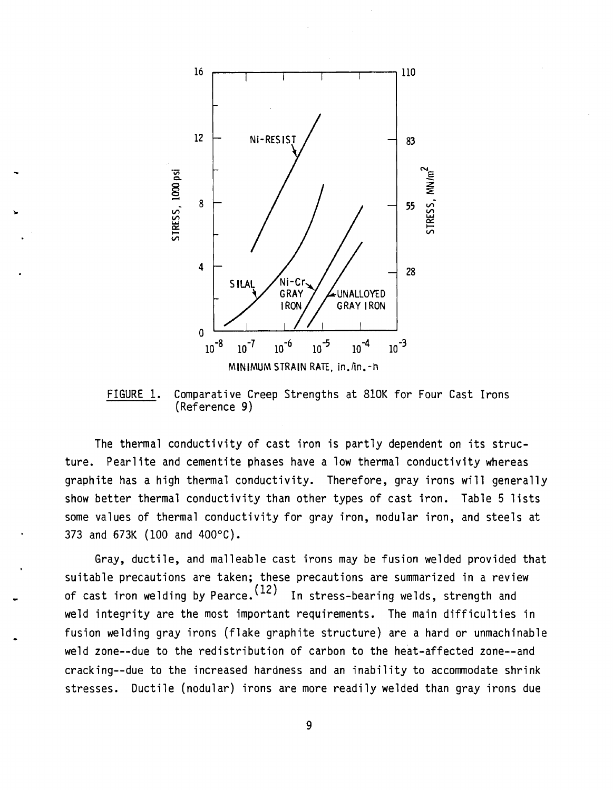

FIGURE 1. Comparative Creep Strengths at 810K for Four Cast Irons (Reference 9)

The thermal conductivity of cast iron is partly dependent on its structure. Pearlite and cementite phases have a low thermal conductivity whereas graphite has a high thermal conductivity. Therefore, gray irons will generally show better thermal conductivity than other types of cast iron. Table 5 lists some values of thermal conductivity for gray iron, nodular iron, and steels at 373 and 673K (100 and 400°C).

Gray, ductile, and malleable cast irons may be fusion welded provided that suitable precautions are taken; these precautions are summarized in a review of cast iron welding by Pearce.  $(12)$  In stress-bearing welds, strength and weld integrity are the most important requirements. The main difficulties in fusion welding gray irons (flake graphite structure) are a hard or unmachinable weld zone--due to the redistribution of carbon to the heat-affected zone--and cracking--due to the increased hardness and an inability to accommodate shrink stresses. Ductile (nodular) irons are more readily welded than gray irons due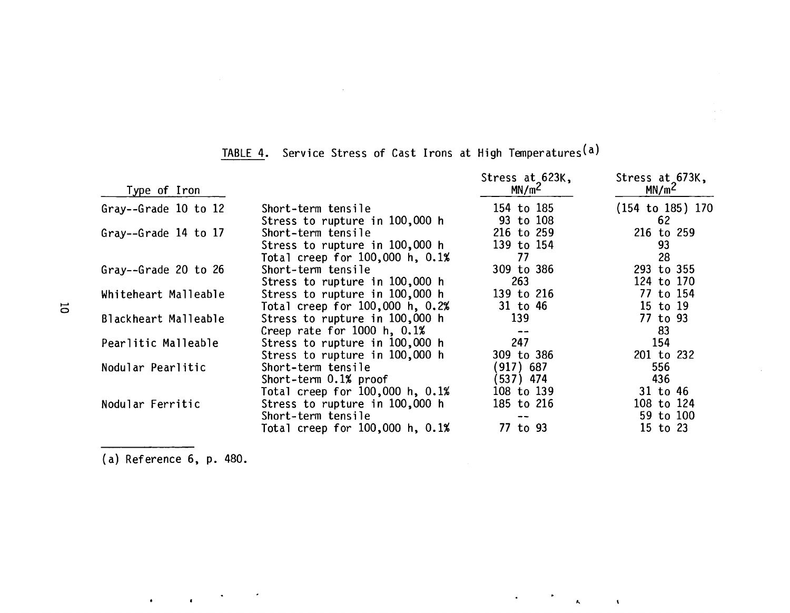| Type of Iron         |                                  | Stress at 623K.<br>$MN/m^2$ | Stress at 673K,<br>$MN/m^2$ |
|----------------------|----------------------------------|-----------------------------|-----------------------------|
| Gray--Grade 10 to 12 | Short-term tensile               | 154 to 185                  | $(154 \text{ to } 185)$ 170 |
|                      | Stress to rupture in 100,000 h   | 93 to 108                   | 62                          |
| Gray--Grade 14 to 17 | Short-term tensile               | 216 to 259                  | 216 to 259                  |
|                      | Stress to rupture in 100,000 h   | 139 to 154                  | 93                          |
|                      | Total creep for 100,000 h, 0.1%  | 77                          | 28                          |
| Gray--Grade 20 to 26 | Short-term tensile               | 309 to 386                  | 293 to 355                  |
|                      | Stress to rupture in 100,000 h   | 263                         | 124 to 170                  |
| Whiteheart Malleable | Stress to rupture in 100,000 h   | 139 to 216                  | 77 to 154                   |
|                      | Total creep for 100,000 h, 0.2%  | 31 to 46                    | 15 to 19                    |
| Blackheart Malleable | Stress to rupture in 100,000 h   | 139                         | 77 to 93                    |
|                      | Creep rate for $1000$ h, $0.1\%$ |                             | 83                          |
| Pearlitic Malleable  | Stress to rupture in 100,000 h   | 247                         | 154                         |
|                      | Stress to rupture in 100,000 h   | 309 to 386                  | 201 to 232                  |
| Nodular Pearlitic    | Short-term tensile               | (917) 687                   | 556                         |
|                      | Short-term 0.1% proof            | (537) 474                   | 436                         |
|                      | Total creep for 100,000 h, 0.1%  | 108 to 139                  | 31 to 46                    |
| Nodular Ferritic     | Stress to rupture in 100,000 h   | 185 to 216                  | 108 to 124                  |
|                      | Short-term tensile               |                             | 59 to 100                   |
|                      | Total creep for 100,000 h, 0.1%  | 77 to 93                    | 15 to 23                    |

 $\label{eq:2} \frac{1}{\sqrt{2}}\left(\frac{1}{\sqrt{2}}\right)^2\left(\frac{1}{\sqrt{2}}\right)^2\left(\frac{1}{\sqrt{2}}\right)^2\left(\frac{1}{\sqrt{2}}\right)^2\left(\frac{1}{\sqrt{2}}\right)^2.$ 

 $\Lambda$ 

TABLE 4. Service Stress of Cast Irons at High Temperatures(a)

 $\sim$ 

 $\sim$ 

(a) Reference 6, p. 480.

 $\label{eq:2.1} \mathcal{L}(\mathcal{L}^{\mathcal{L}}(\mathcal{L}^{\mathcal{L}}(\mathcal{L}^{\mathcal{L}}(\mathcal{L}^{\mathcal{L}}(\mathcal{L}^{\mathcal{L}}(\mathcal{L}^{\mathcal{L}}(\mathcal{L}^{\mathcal{L}}))))))$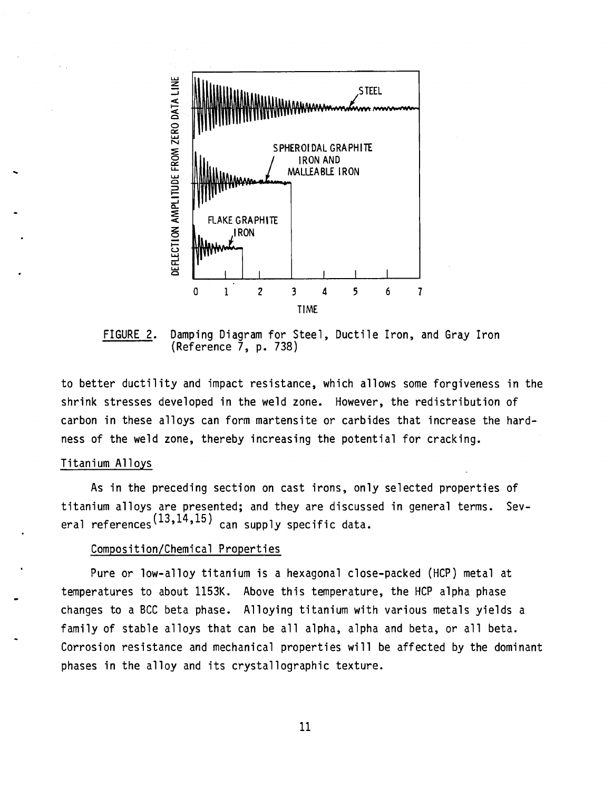

FIGURE 2. Damping Diagram for Steel, Ductile Iron, and Gray Iron (Reference 7, p. 738)

to better ductility and impact resistance, which allows some forgiveness in the shrink stresses developed in the weld zone. However, the redistribution of carbon in these alloys can form martensite or carbides that increase the hardness of the weld zone, thereby increasing the potential for cracking.

## Titanium Alloys

...

As in the preceding section on cast irons, only selected properties of titanium alloys are presented; and they are discussed in general terms. Several references<sup>(13,14,15)</sup> can supply specific data.

## Composition/Chemical Properties

Pure or low-alloy titanium is a hexagonal close-packed (HCP) metal at temperatures to about 1153K. Above this temperature, the HCP alpha phase changes to a BCC beta phase. Alloying titanium with various metals yields a family of stable alloys that can be all alpha, alpha and beta, or all beta. Corrosion resistance and mechanical properties will be affected by the dominant phases in the alloy and its crystallographic texture.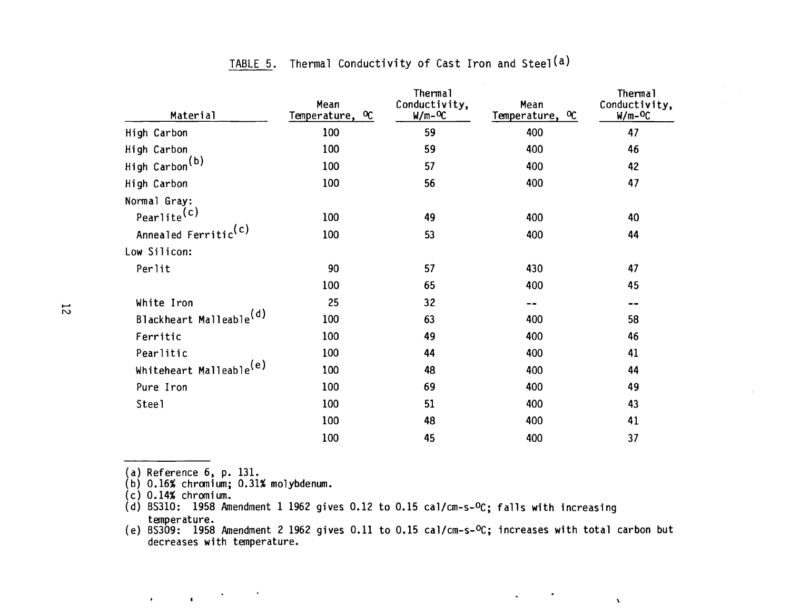| Material                            | Mean<br>Temperature,<br>oc | Thermal<br>Conductivity,<br>$W/m-OC$ | Mean<br>$\alpha$<br>Temperature, | Thermal<br>Conductivity,<br>$W/m-OC$ |
|-------------------------------------|----------------------------|--------------------------------------|----------------------------------|--------------------------------------|
| High Carbon                         | 100                        | 59                                   | 400                              | 47                                   |
| High Carbon                         | 100                        | 59                                   | 400                              | 46                                   |
| High Carbon <sup>(b)</sup>          | 100                        | 57                                   | 400                              | 42                                   |
| High Carbon                         | 100                        | 56                                   | 400                              | 47                                   |
| Normal Gray:                        |                            |                                      |                                  |                                      |
| Pearlite <sup>(c)</sup>             | 100                        | 49                                   | 400                              | 40                                   |
| Annealed Ferritic <sup>(c)</sup>    | 100                        | 53                                   | 400                              | 44                                   |
| Low Silicon:                        |                            |                                      |                                  |                                      |
| Perlit                              | 90                         | 57                                   | 430                              | 47                                   |
|                                     | 100                        | 65                                   | 400                              | 45                                   |
| White Iron                          | 25                         | 32                                   | --                               | --                                   |
| Blackheart Malleable <sup>(d)</sup> | 100                        | 63                                   | 400                              | 58                                   |
| Ferritic                            | 100                        | 49                                   | 400                              | 46                                   |
| Pearlitic                           | 100                        | 44                                   | 400                              | 41                                   |
| Whiteheart Malleable <sup>(e)</sup> | 100                        | 48                                   | 400                              | 44                                   |
| Pure Iron                           | 100                        | 69                                   | 400                              | 49                                   |
| <b>Steel</b>                        | 100                        | 51                                   | 400                              | 43                                   |
|                                     | 100                        | 48                                   | 400                              | 41                                   |
|                                     | 100                        | 45                                   | 400                              | 37                                   |

# TABLE 5. Thermal Conductivity of Cast Iron and Steel(a)

( a) Reference 6, p. 131.

(b) 0.16% chromium; 0.31% molybdenum.

 $\label{eq:2.1} \frac{1}{\left\| \mathbf{E} \right\|_{\mathbf{F}}^2} \leq \frac{1}{\left\| \mathbf{E} \right\|_{\mathbf{F}}^2} \leq \frac{1}{\left\| \mathbf{E} \right\|_{\mathbf{F}}^2} \leq \frac{1}{\left\| \mathbf{E} \right\|_{\mathbf{F}}^2}$ 

 $\bullet$ 

 $\Lambda$ 

 $\mathcal{L}(\mathcal{L})$  , and  $\mathcal{L}(\mathcal{L})$  , and  $\mathcal{L}(\mathcal{L})$ 

 $\Delta$ 

<sup>(</sup>c) 0.14% chromium.

<sup>(</sup>d) BS310: 1958 Amendment 1 1962 gives 0.12 to 0.15 cal/cm-s-<sup>o</sup>C; falls with increasing temperature.

<sup>(</sup>e) BS309: 1958 Amendment 2 1962 gives 0.11 to 0.15 cal/cm-s-ºC; increases with total carbon but decreases with temperature.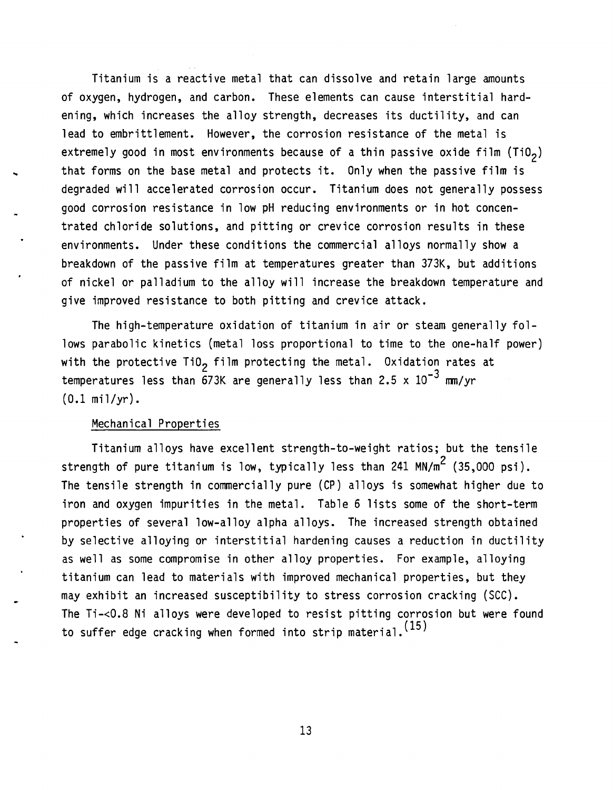Titanium is a reactive metal that can dissolve and retain large amounts of oxygen, hydrogen, and carbon. These elements can cause interstitial hardening, which increases the alloy strength, decreases its ductility, and can lead to embrittlement. However, the corrosion resistance of the metal is extremely good in most environments because of a thin passive oxide film (TiO<sub>2</sub>) that forms on the base metal and protects it. Only when the passive film is degraded will accelerated corrosion occur. Titanium does not generally possess good corrosion resistance in low pH reducing environments or in hot concentrated chloride solutions, and pitting or crevice corrosion results in these environments. Under these conditions the commercial alloys normally show a breakdown of the passive film at temperatures greater than 373K, but additions of nickel or palladium to the alloy will increase the breakdown temperature and give improved resistance to both pitting and crevice attack.

The high-temperature oxidation of titanium in air or steam generally follows parabolic kinetics (metal loss proportional to time to the one-half power) with the protective TiO<sub>2</sub> film protecting the metal. Oxidation rates at temperatures less than  $\overline{6}73$ K are generally less than 2.5 x 10<sup>-3</sup> mm/yr  $(0.1 \text{ mil/yr}).$ 

## Mechanical Properties

Titanium alloys have excellent strength-to-weight ratios; but the tensile strength of pure titanium is low, typically less than 241  $MN/m^2$  (35,000 psi). The tensile strength in commercially pure (CP) alloys is somewhat higher due to iron and oxygen impurities in the metal. Table 6 lists some of the short-term properties of several low-alloy alpha alloys. The increased strength obtained by selective alloying or interstitial hardening causes a reduction in ductility as well as some compromise in other alloy properties. For example, alloying titanium can lead to materials with improved mechanical properties, but they may exhibit an increased susceptibility to stress corrosion cracking (SCC). The Ti-<0.8 Ni alloys were developed to resist pitting corrosion but were found to suffer edge cracking when formed into strip material.  $(15)$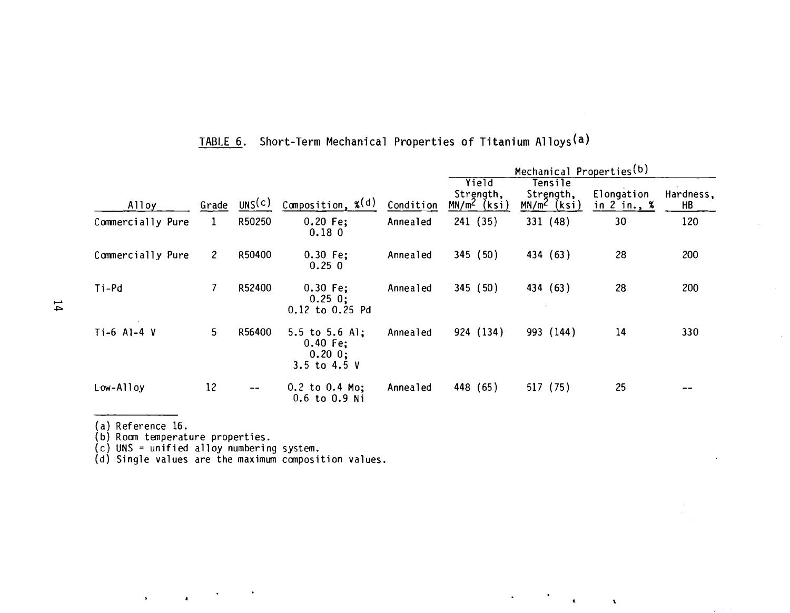|                   |                |                          |                                                             |           |                                      | Mechanical Properties <sup>(b)</sup>   |                                |                 |
|-------------------|----------------|--------------------------|-------------------------------------------------------------|-----------|--------------------------------------|----------------------------------------|--------------------------------|-----------------|
| Alloy             | Grade          | uns(c)                   | Composition, $\chi$ <sup>(d)</sup>                          | Condition | Yield<br>Strength,<br>$MN/m^2$ (ksi) | Tensile<br>Strength,<br>$MN/m^2$ (ksi) | Elongation<br>in $2$ in., $\%$ | Hardness,<br>HB |
| Commercially Pure | $\mathbf{1}$   | R50250                   | $0.20$ Fe;<br>0.180                                         | Annealed  | 241(35)                              | 331(48)                                | 30                             | 120             |
| Commercially Pure | $\mathbf{2}$   | R50400                   | $0.30$ Fe;<br>$0.25 \; 0$                                   | Annealed  | 345(50)                              | 434 (63)                               | 28                             | 200             |
| Ti-Pd             | 7 <sup>1</sup> | R52400                   | $0.30$ Fe:<br>$0.25$ 0;<br>0.12 to 0.25 Pd                  | Annealed  | 345(50)                              | 434 (63)                               | 28                             | 200             |
| $Ti-6$ Al-4 V     | 5 <sup>5</sup> | R56400                   | 5.5 to 5.6 Al;<br>$0.40$ Fe:<br>$0.200$ ;<br>3.5 to 4.5 $V$ | Annealed  | 924 (134)                            | 993 (144)                              | 14                             | 330             |
| $Low-Alloy$       | 12             | $\overline{\phantom{m}}$ | $0.2$ to $0.4$ Mo;<br>0.6 to 0.9 Ni                         | Annealed  | 448 (65)                             | 517 (75)                               | 25                             |                 |

 $\label{eq:2.1} \frac{1}{\sqrt{2}}\left(\frac{1}{\sqrt{2}}\right)^{2} \left(\frac{1}{\sqrt{2}}\right)^{2} \left(\frac{1}{\sqrt{2}}\right)^{2} \left(\frac{1}{\sqrt{2}}\right)^{2} \left(\frac{1}{\sqrt{2}}\right)^{2} \left(\frac{1}{\sqrt{2}}\right)^{2} \left(\frac{1}{\sqrt{2}}\right)^{2} \left(\frac{1}{\sqrt{2}}\right)^{2} \left(\frac{1}{\sqrt{2}}\right)^{2} \left(\frac{1}{\sqrt{2}}\right)^{2} \left(\frac{1}{\sqrt{2}}\right)^{2} \left(\$ 

 $\sim 40-1$ 

# TABLE 6. Short-Term Mechanical Properties of Titanium Alloys(a)

(a) Reference 16.

(b) Room temperature properties.

 $(c)$  UNS = unified alloy numbering system.

 $\label{eq:4} \mathcal{L}_{\text{max}} = \mathcal{L}_{\text{max}} + \mathcal{L}_{\text{max}} + \mathcal{L}_{\text{max}}$ 

(d) Single values are the maximum canposition values.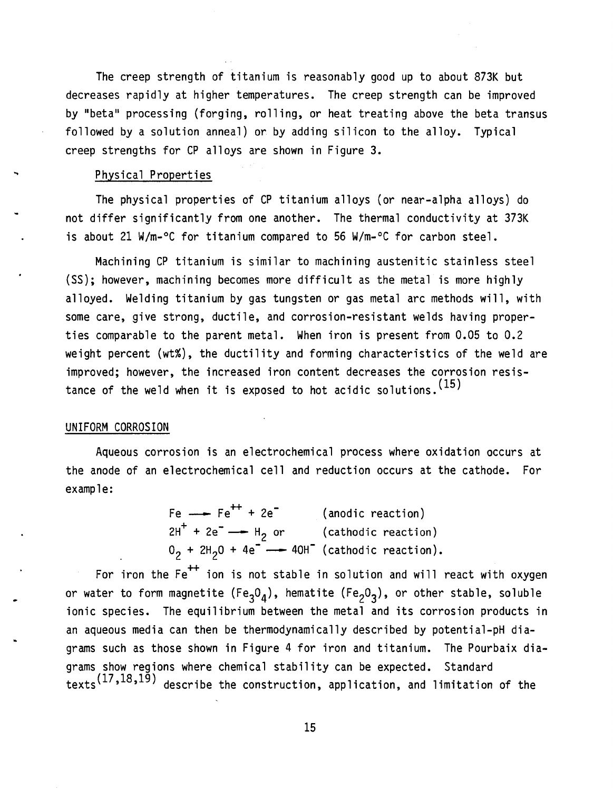The creep strength of titanium is reasonably good up to about 873K but decreases rapidly at higher temperatures. The creep strength can be improved by "beta" processing (forging, rolling, or heat treating above the beta transus followed by a solution anneal) or by adding silicon to the alloy. Typical creep strengths for CP alloys are shown in Figure 3.

## Physical Properties

The physical properties of CP titanium alloys (or near-alpha alloys) do not differ significantly from one another. The thermal conductivity at 373K is about 21 W/m- $\degree$ C for titanium compared to 56 W/m- $\degree$ C for carbon steel.

Machining CP titanium is similar to machining austenitic stainless steel (SS); however, machining becomes more difficult as the metal is more highly alloyed. Welding titanium by gas tungsten or gas metal arc methods will, with some care, give strong, ductile, and corrosion-resistant welds having properties comparable to the parent metal. When iron is present from 0.05 to 0.2 weight percent (wt%), the ductility and forming characteristics of the weld are improved; however, the increased iron content decreases the corrosion resistance of the weld when it is exposed to hot acidic solutions.(15)

### UNIFORM CORROSION

Aqueous corrosion is an electrochemical process where oxidation occurs at the anode of an electrochemical cell and reduction occurs at the cathode. For example:

> Fe ——  $Fe^{++} + 2e^-$  (anodic reaction)<br>2H<sup>+</sup> + 2e<sup>-</sup> —— H<sub>2</sub> or (cathodic reaction  $0_2$  + 2H<sub>2</sub>0 + 4e<sup>-2</sup> -- 40H<sup>-</sup> (cathodic reaction) (cathodic reaction).

For iron the Fe<sup>++</sup> ion is not stable in solution and will react with oxygen or water to form magnetite (Fe<sub>3</sub>O<sub>4</sub>), hematite (Fe<sub>2</sub>O<sub>3</sub>), or other stable, soluble ionic species. The equilibrium between the metal and its corrosion products in an aqueous media can then be thermodynamically described by potential-pH diagrams such as those shown in Figure 4 for iron and titanium. The Pourbaix diagrams show regions where chemical stability can be expected. Standard texts(17,18,19) describe the construction, application, and limitation of the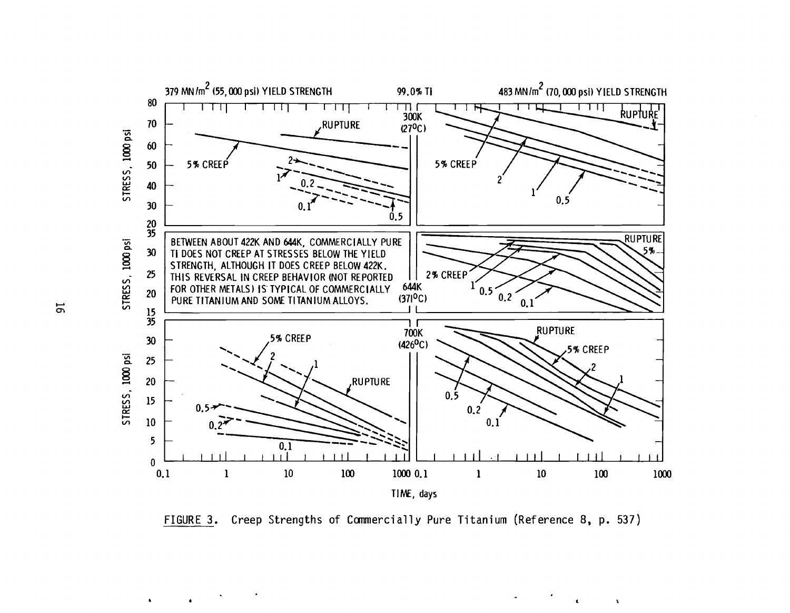

FIGURE 3. Creep Strengths of Commercially Pure Titanium (Reference 8, p. 537)

 $\pmb{\chi}$ 

<u>ե</u>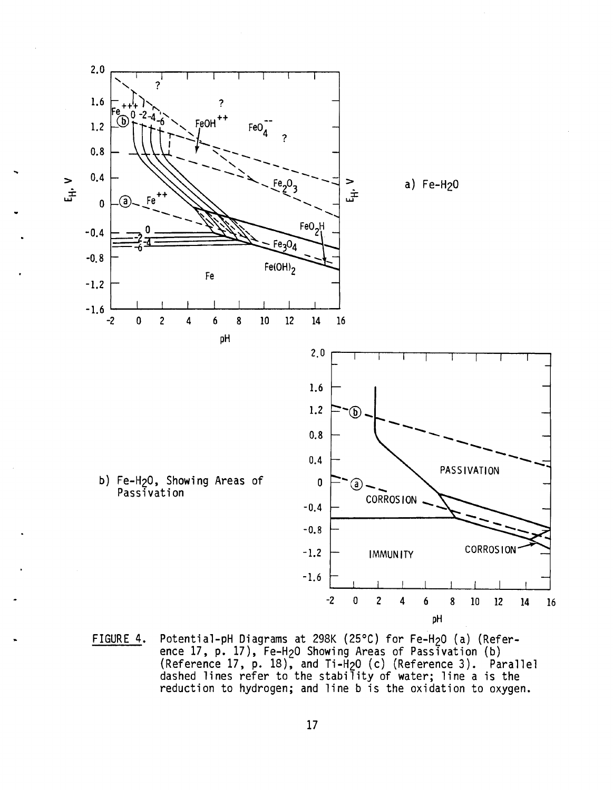

..

FIGURE 4. Potential-pH Diagrams at 298K (25°C) for Fe-H<sub>2</sub>O (a) (Reference 17, p. 17), Fe-H20 Showing Areas of Passivation (b) (Reference 17, p. 18), and Ti-H20 (c) (Reference 3). Parallel dashed lines refer to the stability of water; line a is the reduction to hydrogen; and line b is the oxidation to oxygen.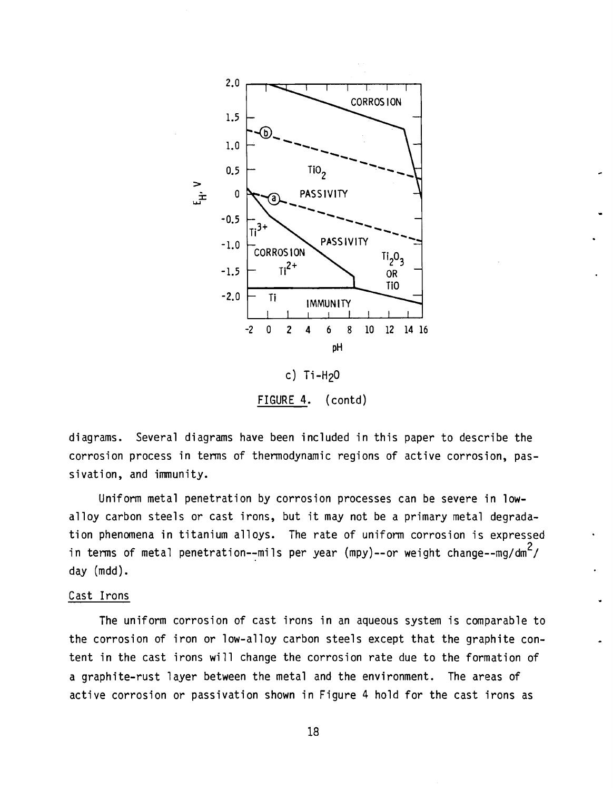

diagrams. Several diagrams have been included in this paper to describe the corrosion process in terms of thermodynamic regions of active corrosion, passivation, and immunity.

Uniform metal penetration by corrosion processes can be severe in lowalloy carbon steels or cast irons, but it may not be a primary metal degradation phenomena in titanium alloys. The rate of uniform corrosion is expressed in terms of metal penetration--mils per year (mpy)--or weight change--mg/dm<sup>2</sup>/ day (mdd).

## Cast Irons

The uniform corrosion of cast irons in an aqueous system is comparable to the corrosion of iron or low-alloy carbon steels except that the graphite content in the cast irons will change the corrosion rate due to the formation of a graphite-rust layer between the metal and the environment. The areas of active corrosion or passivation shown in Figure 4 hold for the cast irons as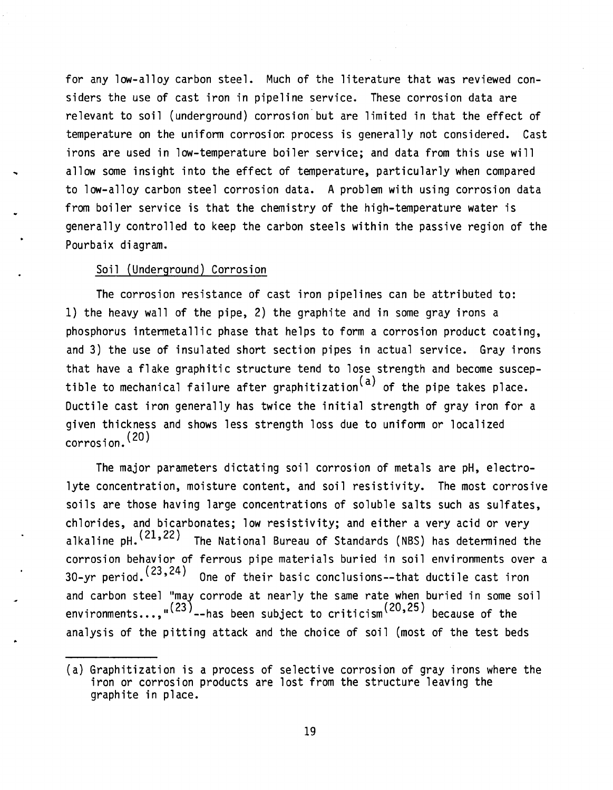for any low-alloy carbon steel. Much of the literature that was reviewed considers the use of cast iron in pipeline service. These corrosion data are relevant to soil (underground) corrosion but are limited in that the effect of temperature on the uniform corrosior.process is generally not considered. Cast irons are used in low-temperature boiler service; and data from this use will allow some insight into the effect of temperature, particularly when compared to low-alloy carbon steel corrosion data. A problem with using corrosion data from boiler service is that the chemistry of the high-temperature water is generally controlled to keep the carbon steels within the passive region of the Pourbaix diagram.

## Soil (Underground) Corrosion

The corrosion resistance of cast iron pipelines can be attributed to: 1) the heavy wall of the pipe, 2) the graphite and in some gray irons a phosphorus intermetal1ic phase that helps to form a corrosion product coating, and 3) the use of insulated short section pipes in actual service. Gray irons that have a flake graphitic structure tend to lose strength and become susceptible to mechanical failure after graphitization<sup>(a)</sup> of the pipe takes place. Ductile cast iron generally has twice the initial strength of gray iron for a given thickness and shows less strength loss due to uniform or localized corrosion.(20)

The major parameters dictating soil corrosion of metals are pH, electrolyte concentration, moisture content, and soil resistivity. The most corrosive soils are those having large concentrations of soluble salts such as sulfates, chlorides, and bicarbonates; low resistivity; and either a very acid or very alkaline  $pH.$ <sup>(21,22)</sup> The National Bureau of Standards (NBS) has determined the corrosion behavior of ferrous pipe materials buried in soil environments over a<br>30-yr period.<sup>(23,24)</sup> One of their basic conclusions--that ductile cast iron One of their basic conclusions--that ductile cast iron and carbon steel "may corrode at nearly the same rate when buried in some soil environments...," $(23)$ --has been subject to criticism $(20,25)$  because of the analysis of the pitting attack and the choice of soil (most of the test beds

<sup>(</sup>a) Graphitization is a process of selective corrosion of gray irons where the iron or corrosion products are lost from the structure leaving the graphite in place.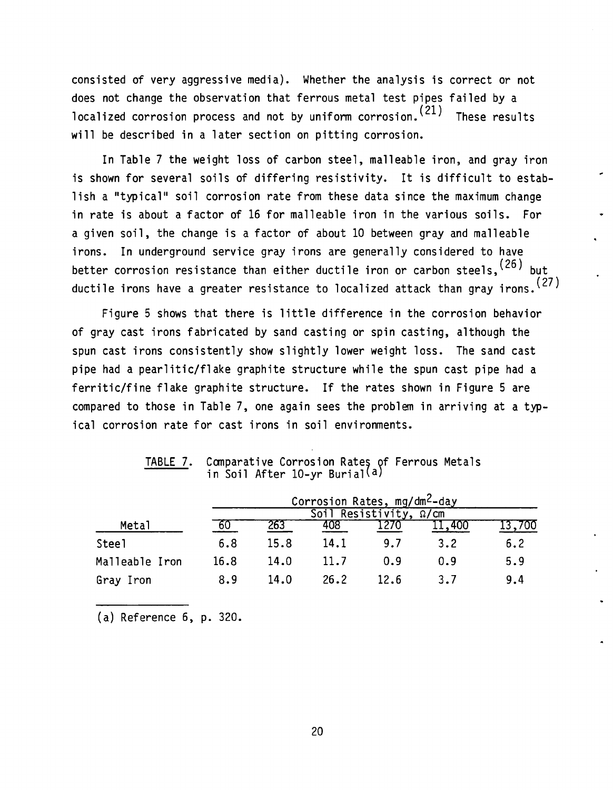consisted of very aggressive media). Whether the analysis is correct or not does not change the observation that ferrous metal test pipes failed by a localized corrosion process and not by uniform corrosion.  $(21)$  These results will be described in a later section on pitting corrosion.

In Table 7 the weight loss of carbon steel, malleable iron, and gray iron is shown for several soils of differing resistivity. It is difficult to establish a "typical" soil corrosion rate from these data since the maximum change in rate is about a factor of 16 for malleable iron in the various soils. For a given soil, the change is a factor of about 10 between gray and malleable irons. In underground service gray irons are generally considered to have better corrosion resistance than either ductile iron or carbon steels,  $(26)$  but ductile irons have a greater resistance to localized attack than gray irons.<sup>(27)</sup>

Figure 5 shows that there is little difference in the corrosion behavior of gray cast irons fabricated by sand casting or spin casting, although the spun cast irons consistently show slightly lower weight loss. The sand cast pipe had a pear1itic/flake graphite structure while the spun cast pipe had a ferritic/fine flake graphite structure. If the rates shown in Figure 5 are compared to those in Table 7, one again sees the problem in arriving at a typical corrosion rate for cast irons in soil environments.

|                |      |      |      | Corrosion Rates, mg/dm <sup>2</sup> -day |        |        |
|----------------|------|------|------|------------------------------------------|--------|--------|
|                |      |      |      | Soil Resistivity, 2/cm                   |        |        |
| Metal          |      | 263  | 408  |                                          | ll,400 | 13,700 |
| Stee1          | 6.8  | 15.8 | 14.1 | 9.7                                      | 3.2    | 6.2    |
| Malleable Iron | 16.8 | 14.0 | 11.7 | 0.9                                      | 0.9    | 5.9    |
| Gray Iron      | 8.9  | 14.0 | 26.2 | 12.6                                     | 3.7    | 9.4    |

| TABLE 7. Comparative Corrosion Rates of Ferrous Metals |
|--------------------------------------------------------|
| in Soil After 10-yr Burial <sup>(a)</sup>              |

(a) Reference 6, p. 320.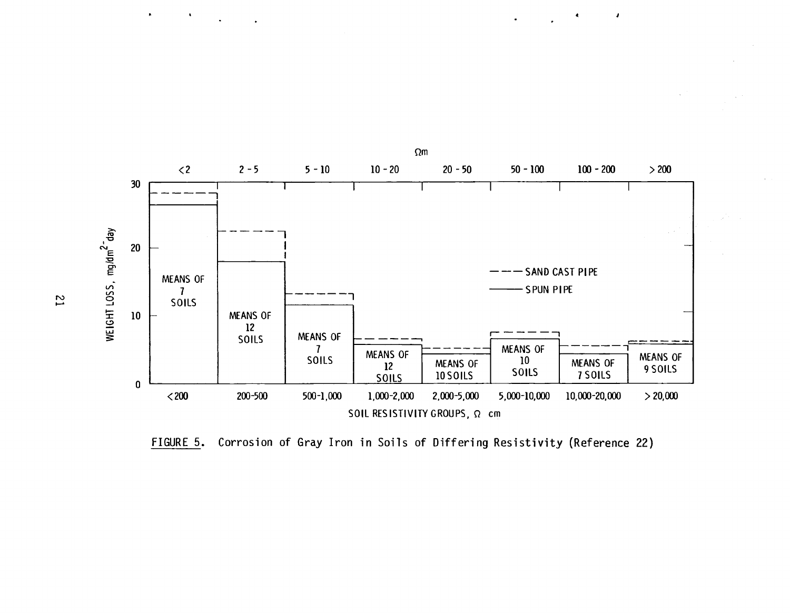

 $\pmb{\cdot}$ 

 $\blacktriangleleft$ 

FIGURE 5. Corrosion of Gray Iron in Soils of Differing Resistivity (Reference 22)

 $\overline{5}$ 

 $\pmb{\mu}$ 

 $\bullet$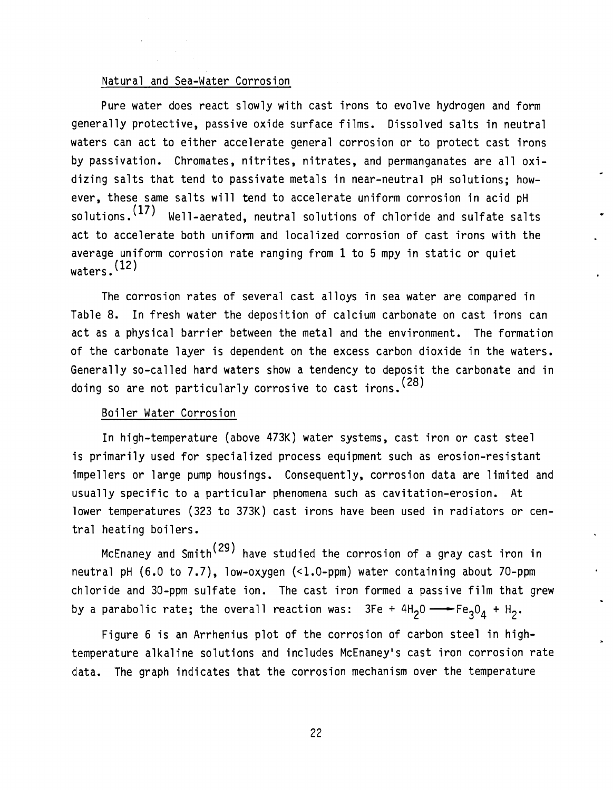## Natural and Sea-Water Corrosion

Pure water does react slowly with cast irons to evolve hydrogen and form generally protective, passive oxide surface films. Dissolved salts in neutral waters can act to either accelerate general corrosion or to protect cast irons by passivation. Chromates, nitrites, nitrates, and permanganates are all oxidizing salts that tend to passivate metals in near-neutral pH solutions; however, these same salts will tend to accelerate uniform corrosion in acid pH solutions.<sup>(17)</sup> Well-aerated, neutral solutions of chloride and sulfate salts act to accelerate both uniform and localized corrosion of cast irons with the average uniform corrosion rate ranging from 1 to 5 mpy in static or quiet waters.(l2)

The corrosion rates of several cast alloys in sea water are compared in Table 8. In fresh water the deposition of calcium carbonate on cast irons can act as a physical barrier between the metal and the environment. The formation of the carbonate layer is dependent on the excess carbon dioxide in the waters. Generally so-called hard waters show a tendency to deposit the carbonate and in doing so are not particularly corrosive to cast irons.(28)

## Boiler Water Corrosion

In high-temperature (above 473K) water systems, cast iron or cast steel is primarily used for specialized process equipment such as erosion-resistant impellers or large pump housings. Consequently, corrosion data are limited and usually specific to a particular phenomena such as cavitation-erosion. At lower temperatures (323 to 373K) cast irons have been used in radiators or central heating boilers.

McEnaney and Smith(29) have studied the corrosion of a gray cast iron in neutral pH  $(6.0 \text{ to } 7.7)$ , low-oxygen  $(1.0-ppm)$  water containing about 70-ppm chloride and 3D-ppm sulfate ion. The cast iron formed a passive film that grew by a parabolic rate; the overall reaction was:  $3Fe + 4H_2O \rightarrow Fe_3O_4 + H_2$ .

Figure 6 is an Arrhenius plot of the corrosion of carbon steel in hightemperature alkaline solutions and includes McEnaney's cast iron corrosion rate data. The graph indicates that the corrosion mechanism over the temperature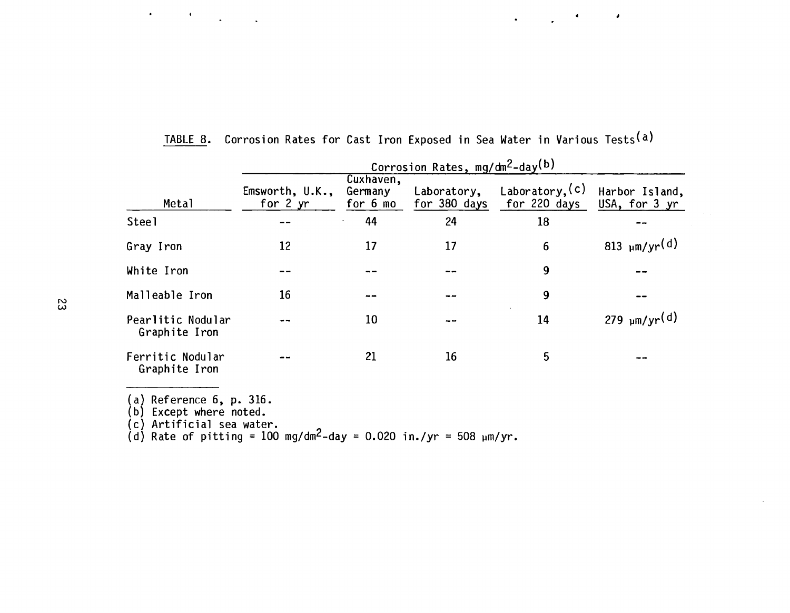| Metal                              | Corrosion Rates, mg/dm <sup>2</sup> -day(b) |                                  |                             |                                   |                                 |  |  |  |
|------------------------------------|---------------------------------------------|----------------------------------|-----------------------------|-----------------------------------|---------------------------------|--|--|--|
|                                    | Emsworth, U.K.,<br>for 2 yr                 | Cuxhaven,<br>Germany<br>for 6 mo | Laboratory,<br>for 380 days | Laboratory, $(c)$<br>for 220 days | Harbor Island,<br>USA, for 3 yr |  |  |  |
| Stee1                              |                                             | 44                               | 24                          | 18                                |                                 |  |  |  |
| Gray Iron                          | 12                                          | 17                               | 17                          | 6                                 | $813 \mu m/yr(d)$               |  |  |  |
| White Iron                         |                                             |                                  |                             | 9                                 |                                 |  |  |  |
| Malleable Iron                     | 16                                          |                                  |                             | 9                                 |                                 |  |  |  |
| Pearlitic Nodular<br>Graphite Iron |                                             | 10                               |                             | 14                                | 279 $\mu$ m/yr <sup>(d)</sup>   |  |  |  |
| Ferritic Nodular<br>Graphite Iron  |                                             | 21                               | 16                          | 5                                 |                                 |  |  |  |

| TABLE 8. Corrosion Rates for Cast Iron Exposed in Sea Water in Various Tests <sup>(a)</sup> |  |  |  |  |  |
|---------------------------------------------------------------------------------------------|--|--|--|--|--|
|                                                                                             |  |  |  |  |  |

 $\mathcal{L}_{\text{max}} = \mathcal{L}_{\text{max}}$ 

 $\bullet$ 

(a) Reference 6, p. 316.

 $\sigma_{\rm{eff}}=0.01$  and  $\sigma_{\rm{eff}}=0.01$ 

(b) Except where noted.

(c) Artificial sea water.

(d) Rate of pitting =  $100 \text{ mg/dm}^2$ -day = 0.020 in./yr = 508 µm/yr.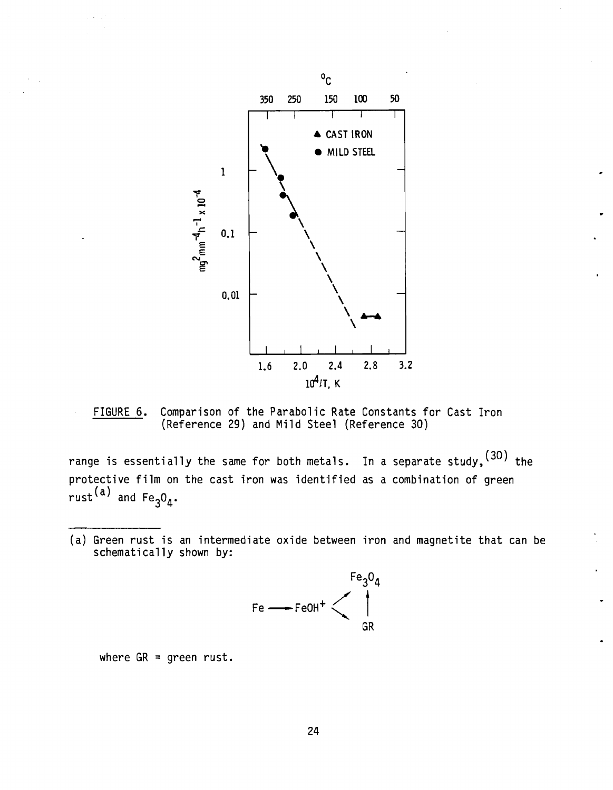

FIGURE 6. Comparison of the Parabolic Rate Constants for Cast Iron (Reference 29) and Mild Steel (Reference 30)

range is essentially the same for both metals. In a separate study,  $(30)$  the protective film on the cast iron was identified as a combination of green rust<sup>(a)</sup> and  $Fe<sub>3</sub>O<sub>4</sub>$ .

(a) Green rust is an intermediate oxide between iron and magnetite that can be schematically shown by:



where GR = green rust.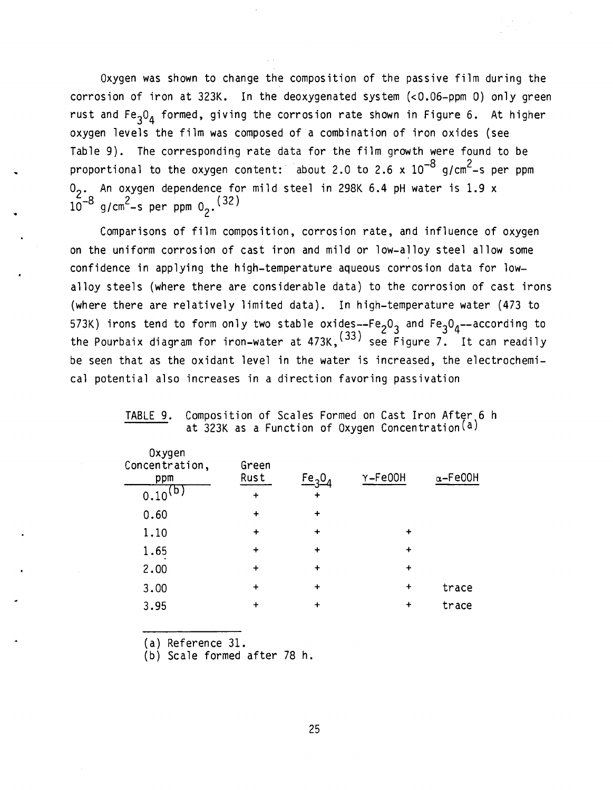Oxygen was shown to change the composition of the passive film during the corrosion of iron at 323K. In the deoxygenated system (<0.06-ppm 0) only green rust and  $Fe<sub>3</sub>O<sub>A</sub>$  formed, giving the corrosion rate shown in Figure 6. At higher oxygen levels the film was composed of a combination of iron oxides (see Table 9). The corresponding rate data for the film growth were found to be proportional to the oxygen content: about 2.0 to 2.6 x  $10^{-8}$  g/cm<sup>2</sup>-s per ppm  $0_2$ . An oxygen dependence for mild steel in 298K 6.4 pH water is 1.9 x  $10^{-8}$  g/cm<sup>2</sup>-s per ppm 0<sub>2</sub>. (32)

Comparisons of film composition, corrosion rate, and influence of oxygen on the uniform corrosion of cast iron and mild or low-alloy steel allow some confidence in applying the high-temperature aqueous corrosion data for lowalloy steels (where there are considerable data) to the corrosion of cast irons (where there are relatively limited data). In high-temperature water (473 to 573K) irons tend to form only two stable oxides--Fe<sub>2</sub>O<sub>3</sub> and Fe<sub>3</sub>O<sub>4</sub>--according to the Pourbaix diagram for iron-water at 473K,<sup>(33)</sup> see Figure 7. It can readily be seen that as the oxidant level in the water is increased, the electrochemical potential also increases in a direction favoring passivation

| 0xygen<br>Concentration,<br>ppm | Green<br>Rust | $Fe_{2}O$ | $Y-Fe00H$ | $\alpha$ -Fe00H |
|---------------------------------|---------------|-----------|-----------|-----------------|
| h<br>0.10                       | $\ddot{}$     | $\ddot{}$ |           |                 |
| 0.60                            | $\ddot{}$     | $\ddot{}$ |           |                 |
| 1.10                            | +             | $\div$    | $\ddot{}$ |                 |
| 1.65                            | +             | $\ddot{}$ | ┿         |                 |
| 2.00                            | $\ddot{}$     | $\ddot{}$ | +         |                 |
| 3.00                            | $\ddot{}$     | $\ddot{}$ | $\ddot{}$ | trace           |
| 3.95                            |               |           | ┿         | trace           |

|  | TABLE 9. Composition of Scales Formed on Cast Iron After 6 h |
|--|--------------------------------------------------------------|
|  | at 323K as a Function of Oxygen Concentration <sup>(a)</sup> |

(a) Reference 31.

(b) Scale formed after 78 h.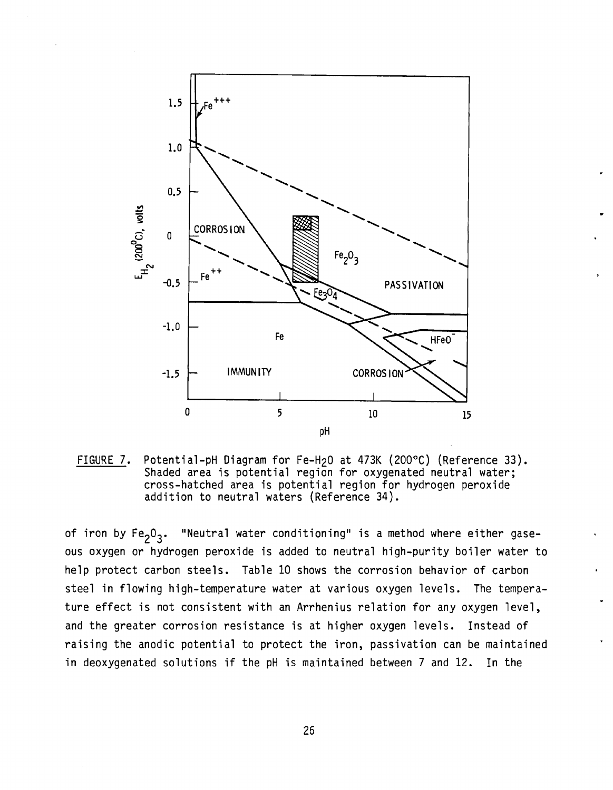

Potential-pH Diagram for Fe-H<sub>20</sub> at 473K (200°C) (Reference 33). FIGURE 7. Shaded area is potential region for oxygenated neutral water; cross-hatched area is potential region for hydrogen peroxide addition to neutral waters (Reference 34).

"Neutral water conditioning" is a method where either gaseof iron by  $Fe_2O_3$ . ous oxygen or hydrogen peroxide is added to neutral high-purity boiler water to help protect carbon steels. Table 10 shows the corrosion behavior of carbon steel in flowing high-temperature water at various oxygen levels. The temperature effect is not consistent with an Arrhenius relation for any oxygen level, and the greater corrosion resistance is at higher oxygen levels. Instead of raising the anodic potential to protect the iron, passivation can be maintained in deoxygenated solutions if the pH is maintained between 7 and 12. In the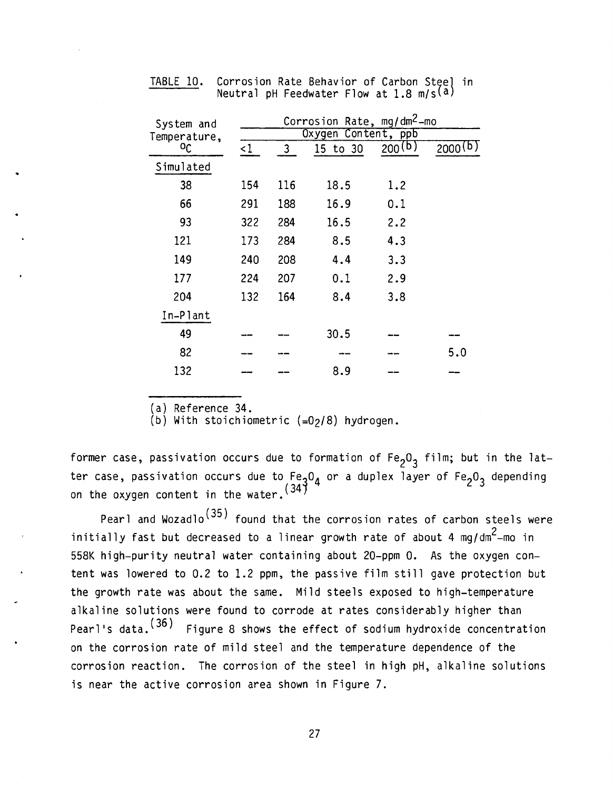| System and   |          |              | Corrosion Rate, mg/dm <sup>2</sup> -mo |        |         |
|--------------|----------|--------------|----------------------------------------|--------|---------|
| Temperature, |          |              | Oxygen Content, ppb                    |        |         |
| ი            | $\leq 1$ | $\mathbf{3}$ | 15 to 30                               | 200(b) | 2000(6) |
| Simulated    |          |              |                                        |        |         |
| 38           | 154      | 116          | 18.5                                   | 1.2    |         |
| 66           | 291      | 188          | 16.9                                   | 0.1    |         |
| 93           | 322      | 284          | 16.5                                   | 2.2    |         |
| 121          | 173      | 284          | 8.5                                    | 4.3    |         |
| 149          | 240      | 208          | 4.4                                    | 3.3    |         |
| 177          | 224      | 207          | 0.1                                    | 2.9    |         |
| 204          | 132      | 164          | 8.4                                    | 3.8    |         |
| In-Plant     |          |              |                                        |        |         |
| 49           |          |              | 30.5                                   |        |         |
| 82           |          |              |                                        |        | 5.0     |
| 132          |          |              | 8.9                                    |        |         |

|  | TABLE 10. Corrosion Rate Behavior of Carbon Stee] in          |  |
|--|---------------------------------------------------------------|--|
|  | Neutral pH Feedwater Flow at $1.8 \text{ m/s}$ <sup>(a)</sup> |  |

(a) Reference 34.

(b) With stoichiometric (=0 $2/8$ ) hydrogen.

former case, passivation occurs due to formation of  $Fe<sub>2</sub>O<sub>3</sub>$  film; but in the latter case, passivation occurs due to  $Fe_{3}O_{4}$  or a duplex layer of  $Fe_{2}O_{3}$  depending on the oxygen content in the water.<sup>(34,</sup>

Pearl and Wozadlo<sup>(35)</sup> found that the corrosion rates of carbon steels were initially fast but decreased to a linear growth rate of about 4 mg/dm<sup>2</sup>-mo in 558K high-purity neutral water containing about 20-ppm O. As the oxygen content was lowered to 0.2 to 1.2 ppm, the passive film still gave protection but the growth rate was about the same. Mild steels exposed to high-temperature alkaline solutions were found to corrode at rates considerably higher than Pearl's data.  $(36)$  Figure 8 shows the effect of sodium hydroxide concentration on the corrosion rate of mild steel and the temperature dependence of the corrosion reaction. The corrosion of the steel in high pH, alkaline solutions is near the active corrosion area shown in Figure 7.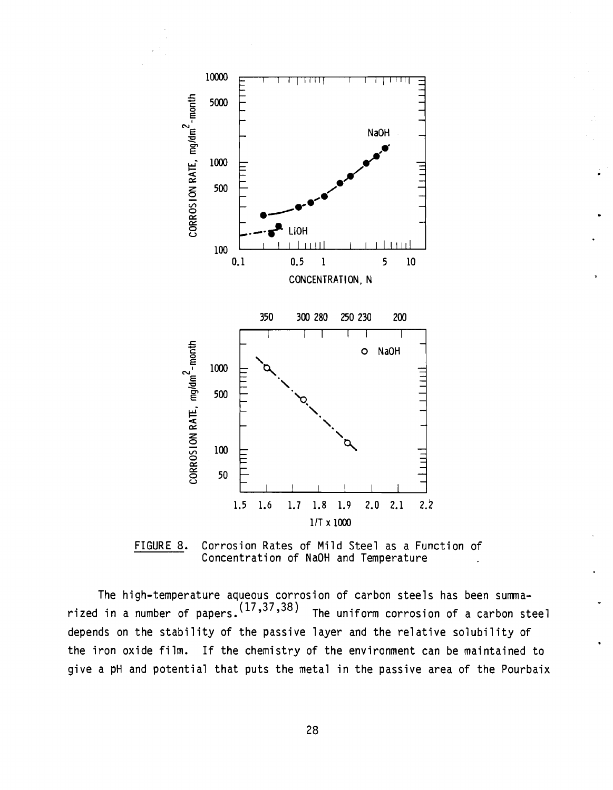

FIGURE 8. Corrosion Rates of Mild Steel as a Function of Concentration of NaOH and Temperature

The high-temperature aqueous corrosion of carbon steels has been summarized in a number of papers.  $(17,37,38)$  The uniform corrosion of a carbon steel depends on the stability of the passive layer and the relative solubility of the iron oxide film. If the chemistry of the environment can be maintained to give a pH and potential that puts the metal in the passive area of the Pourbaix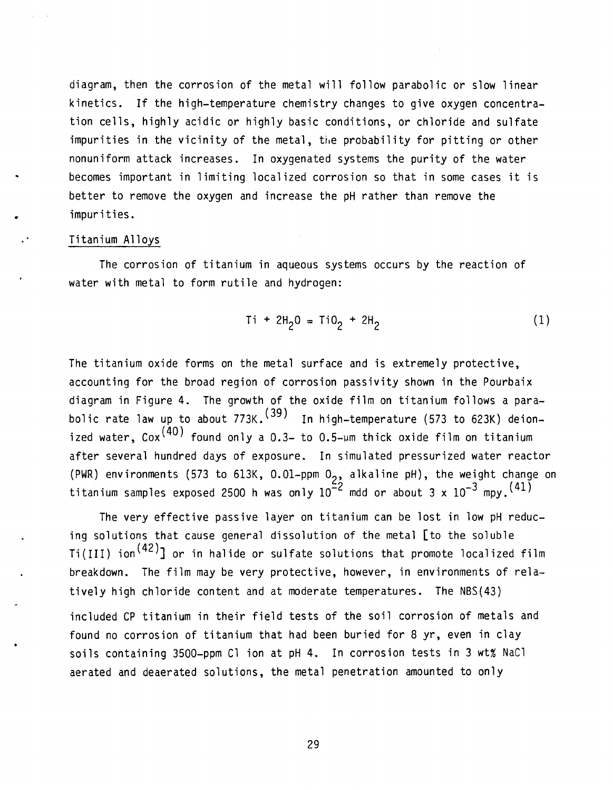diagram, then the corrosion of the metal will follow parabolic or slow linear kinetics. If the high-temperature chemistry changes to give oxygen concentration cells, highly acidic or highly basic conditions, or chloride and sulfate impurities in the vicinity of the metal, the probability for pitting or other nonuniform attack increases. In oxygenated systems the purity of the water becomes important in limiting localized corrosion so that in some cases it is better to remove the oxygen and increase the pH rather than remove the impurities.

#### Titanium Alloys

•

•

The corrosion of titanium in aqueous systems occurs by the reaction of water with metal to form rutile and hydrogen:

$$
Ti + 2H_2O = TiO_2 + 2H_2
$$
 (1)

The titanium oxide forms on the metal surface and is extremely protective, accounting for the broad region of corrosion passivity shown in the Pourbaix diagram in Figure 4. The growth of the oxide film on titanium follows a parabolic rate law up to about  $773K$ .  $(39)$  In high-temperature (573 to 623K) deionized water,  $cos<sup>(40)</sup>$  found only a 0.3- to 0.5-um thick oxide film on titanium after several hundred days of exposure. In simulated pressurized water reactor (PWR) environments (573 to 613K, 0.01-ppm  $0<sub>2</sub>$ , alkaline pH), the weight change on titanium samples exposed 2500 h was only  $10^{-2}$  mdd or about 3 x  $10^{-3}$  mpy.<sup>(41)</sup>

The very effective passive layer on titanium can be lost in low pH reducing solutions that cause general dissolution of the metal [to the soluble  $Ti(III)$  ion<sup>(42)</sup>] or in halide or sulfate solutions that promote localized film breakdown. The film may be very protective, however, in environments of relatively high chloride content and at moderate temperatures. The NBS(43) included CP titanium in their field tests of the soil corrosion of metals and found no corrosion of titanium that had been buried for 8 yr, even in clay soils containing 3500-ppm Cl ion at pH 4. In corrosion tests in 3 wt% NaCl aerated and deaerated solutions, the metal penetration amounted to only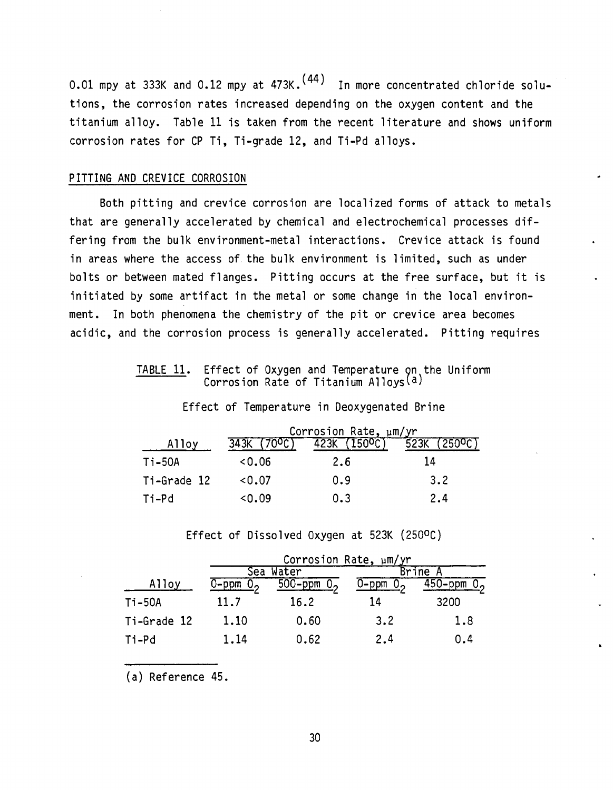0.01 mpy at 333K and 0.12 mpy at 473K.  $(44)$  In more concentrated chloride solutions, the corrosion rates increased depending on the oxygen content and the titanium alloy. Table 11 is taken from the recent literature and shows uniform corrosion rates for CP Ti, Ti-grade 12, and Ti-Pd alloys.

#### PITTING AND CREVICE CORROSION

Both pitting and crevice corrosion are localized forms of attack to metals that are generally accelerated by chemical and electrochemical processes differing from the bulk environment-metal interactions. Crevice attack is found in areas where the access of the bulk environment is limited, such as under bolts or between mated flanges. Pitting occurs at the free surface, but it is initiated by some artifact in the metal or some change in the local environment. In both phenomena the chemistry of the pit or crevice area becomes acidic, and the corrosion process is generally accelerated. Pitting requires

# TABLE 11. Effect of Oxygen and Temperature on the Uniform Corrosion Rate of Titanium Alloys<sup>(a)</sup>

|               | Corrosion Rate, $\mu$ m/yr |                              |     |  |  |  |
|---------------|----------------------------|------------------------------|-----|--|--|--|
| Alloy         | 70ºC.<br>343K              | [150 <sup>o</sup> C)<br>423K |     |  |  |  |
| <b>Ti-50A</b> | 0.06                       | 2.6                          | 14  |  |  |  |
| Ti-Grade 12   | < 0.07                     | 0.9                          | 3.2 |  |  |  |
| Ti-Pd         | 0.09                       | 0.3                          | 2.4 |  |  |  |

Effect of Temperature in Deoxygenated Brine

#### Effect of Dissolved Oxygen at S23K (2S00C)

|               | Corrosion Rate, um/yr |                |          |         |  |  |
|---------------|-----------------------|----------------|----------|---------|--|--|
|               | Sea                   | Water          |          | Brine A |  |  |
| Alloy         | 0-ppm                 | $500$ -ppm $'$ | $0$ -ppm |         |  |  |
| <b>Ti-50A</b> | 11.7                  | 16.2           | 14       | 3200    |  |  |
| Ti-Grade 12   | 1.10                  | 0.60           | 3.2      | 1.8     |  |  |
| Ti-Pd         | 1.14                  | 0.62           | 7.4      | 0.4     |  |  |

(a) Reference 45.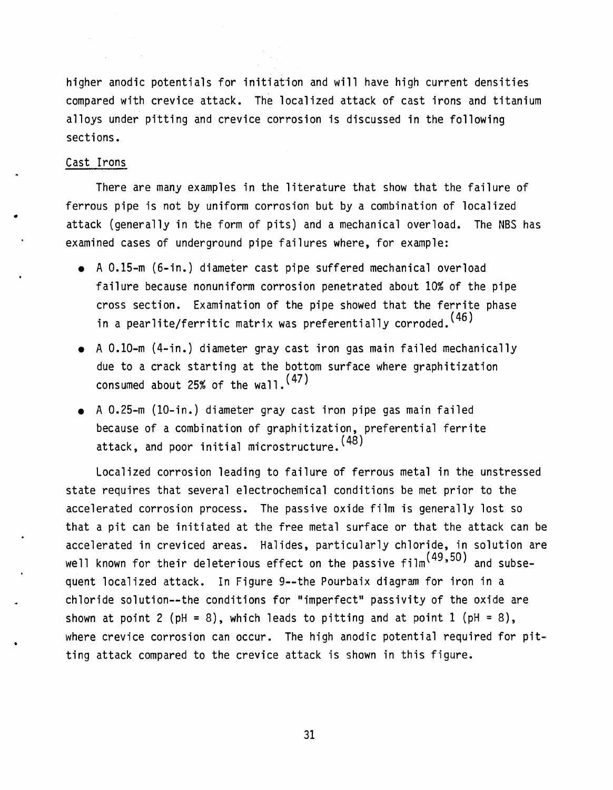higher anodic potentials for initiation and will have high current densities compared with crevice attack. The localized attack of cast irons and titanium alloys under pitting and crevice corrosion is discussed in the following sections.

#### Cast Irons

•

There are many examples in the literature that show that the failure of ferrous pipe is not by uniform corrosion but by a combination of localized attack (generally in the form of pits) and a mechanical overload. The NBS has examined cases of underground pipe failures where, for example:

- A 0.15-m (6-in.) diameter cast pipe suffered mechanical overload failure because nonuniform corrosion penetrated about 10% of the pipe cross section. Examination of the pipe showed that the ferrite phase in a pearlite/ferritic matrix was preferentially corroded. (46)
- A 0.10-m (4-in.) diameter gray cast iron gas main failed mechanically due to a crack starting at the bottom surface where graphitization consumed about 25% of the wall.<sup>(47)</sup>
- A O.25-m (10-in.) diameter gray cast iron pipe gas main failed because of a combination of graphitization, preferential ferrite attack, and poor initial microstructure. (48)

Localized corrosion leading to failure of ferrous metal in the unstressed state requires that several electrochemical conditions be met prior to the accelerated corrosion process. The passive oxide film is generally lost so that a pit can be initiated at the free metal surface or that the attack can be accelerated in creviced areas. Halides, particularly chloride, in solution are well known for their deleterious effect on the passive film $(49,50)$  and subsequent localized attack. In Figure 9--the Pourbaix diagram for iron in a chloride solution--the conditions for "imperfect" passivity of the oxide are shown at point 2 (pH = 8), which leads to pitting and at point 1 (pH = 8), where crevice corrosion can occur. The high anodic potential required for pitting attack compared to the crevice attack is shown in this figure.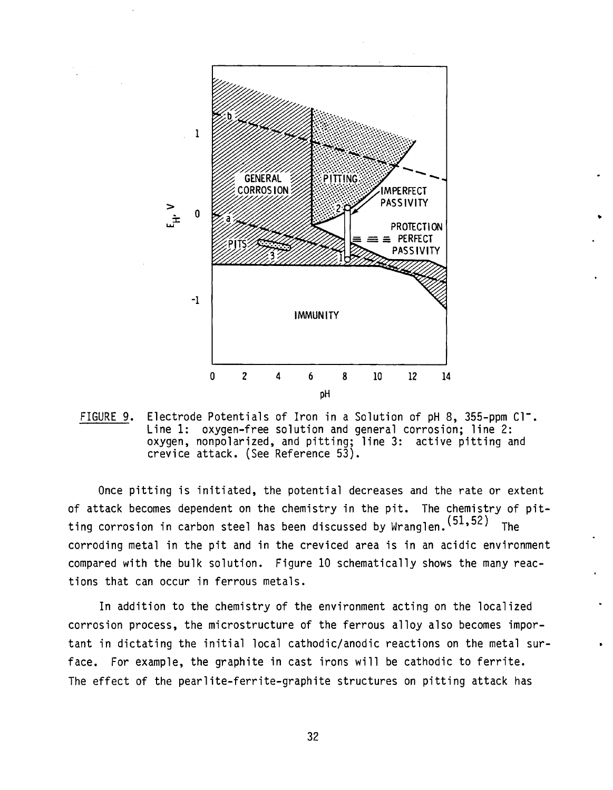

..

FIGURE 9. Electrode Potentials of Iron in a Solution of pH 8, 355-ppm Cl<sup>-</sup>. Line 1: oxygen-free solution and general corrosion; line 2: oxygen, nonpolarized, and pitting; line 3: active pitting and crevice attack. (See Reference 53).

Once pitting is initiated, the potential decreases and the rate or extent of attack becomes dependent on the chemistry in the pit. The chemistry of pitting corrosion in carbon steel has been discussed by Wranglen.  $(51, 52)$  The corroding metal in the pit and in the creviced area is in an acidic environment compared with the bulk solution. Figure 10 schematically shows the many reactions that can occur in ferrous metals.

In addition to the chemistry of the environment acting on the localized corrosion process, the microstructure of the ferrous alloy also becomes important in dictating the initial local cathodic/anodic reactions on the metal surface. For example, the graphite in cast irons will be cathodic to ferrite. The effect of the pearlite-ferrite-graphite structures on pitting attack has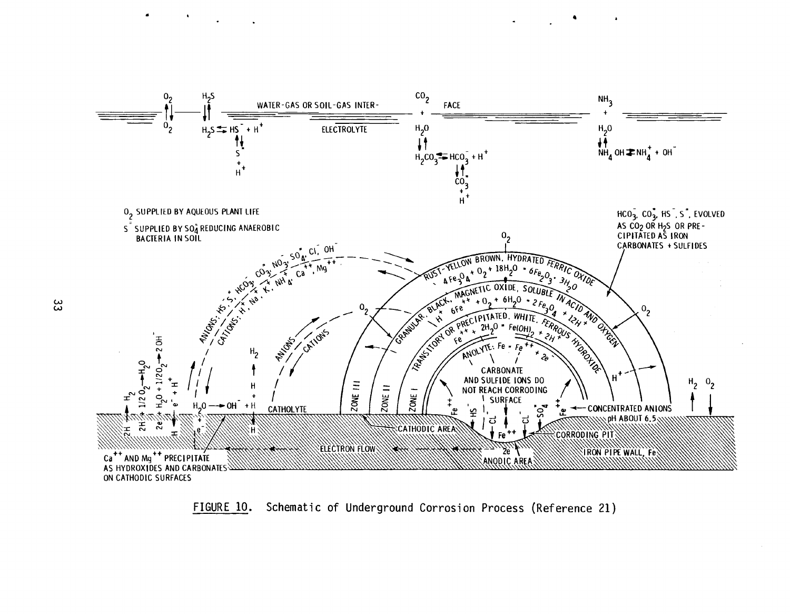

•



w w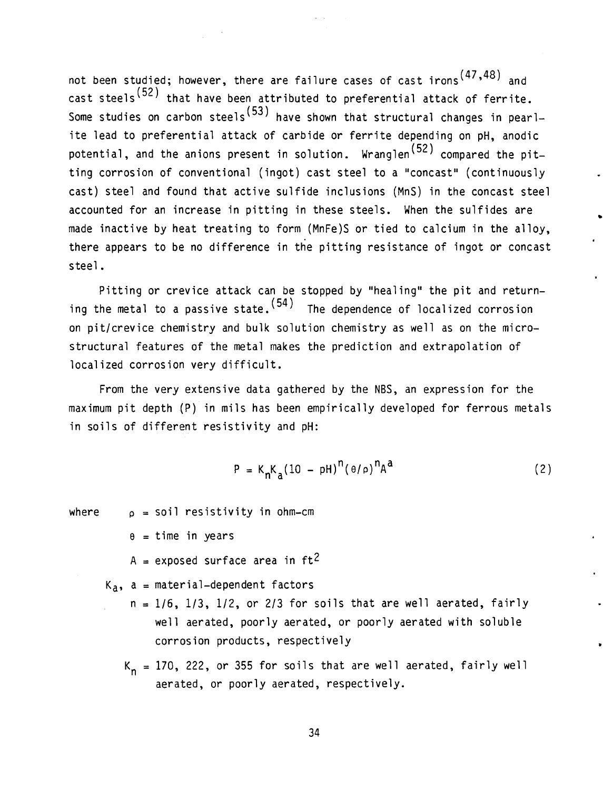not been studied; however, there are failure cases of cast irons<sup>(47,48)</sup> and cast steels<sup>(52)</sup> that have been attributed to preferential attack of ferrite. Some studies on carbon steels<sup>(53)</sup> have shown that structural changes in pearlite lead to preferential attack of carbide or ferrite depending on pH, anodic potential, and the anions present in solution. Wranglen<sup>(52)</sup> compared the pitting corrosion of conventional (ingot) cast steel to a "concast" (continuously cast) steel and found that active sulfide inclusions (MnS) in the concast steel accounted for an increase in pitting in these steels. When the sulfides are made inactive by heat treating to form (MnFe)S or tied to calcium in the alloy, there appears to be no difference in the pitting resistance of ingot or concast steel.

Pitting or crevice attack can be stopped by "healing" the pit and returning the metal to a passive state.  $(54)$  The dependence of localized corrosion on pit/crevice chemistry and bulk solution chemistry as well as on the microstructural features of the metal makes the prediction and extrapolation of localized corrosion very difficult.

From the very extensive data gathered by the NBS, an expression for the maximum pit depth(P) in mils has been empirically developed for ferrous metals in soils of different resistivity and pH:

$$
P = K_n K_a (10 - pH)^n (\theta / \rho)^n A^a
$$
 (2)

•

where  $\rho =$  soil resistivity in ohm-cm

 $\theta$  = time in years

 $A =$  exposed surface area in ft<sup>2</sup>

 $K_a$ , a = material-dependent factors

 $n = 1/6$ ,  $1/3$ ,  $1/2$ , or 2/3 for soils that are well aerated, fairly well aerated, poorly aerated, or poorly aerated with soluble corrosion products, respectively

 $K_n = 170$ , 222, or 355 for soils that are well aerated, fairly well aerated, or poorly aerated, respectively.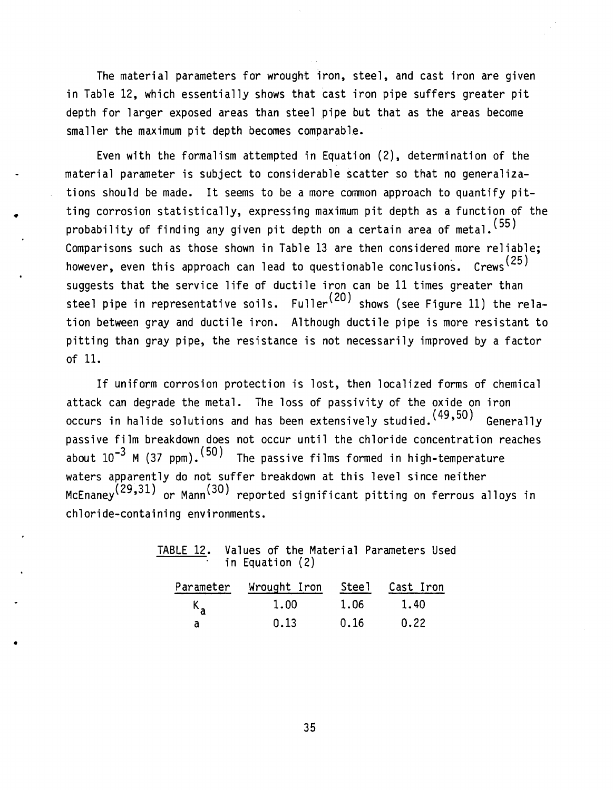The material parameters for wrought iron, steel, and cast iron are given in Table 12, which essentially shows that cast iron pipe suffers greater pit depth for larger exposed areas than steel pipe but that as the areas become smaller the maximum pit depth becomes comparable.

Even with the formalism attempted in Equation (2), determination of the material parameter is subject to considerable scatter so that no generalizations should be made. It seems to be a more common approach to quantify pitting corrosion statistically, expressing maximum pit depth as a function of the probability of finding any given pit depth on a certain area of metal.<sup>(55)</sup> Comparisons such as those shown in Table 13 are then considered more reliable; however, even this approach can lead to questionable conclusions. Crews<sup>(25)</sup> suggests that the service life of ductile iron can be 11 times greater than steel pipe in representative soils. Fuller<sup>(20)</sup> shows (see Figure 11) the relation between gray and ductile iron. Although ductile pipe is more resistant to pitting than gray pipe, the resistance is not necessarily improved by a factor of 11.

If uniform corrosion protection is lost, then localized forms of chemical attack can degrade the metal. The loss of passivity of the oxide on iron occurs in halide solutions and has been extensively studied. (49,50) Generally passive film breakdown does not occur until the chloride concentration reaches about  $10^{-3}$  M (37 ppm).  $(50)$  The passive films formed in high-temperature waters apparently do not suffer breakdown at this level since neither McEnaney(29,31) or Mann(30) reported significant pitting on ferrous alloys in chloride-containing environments.

> TABLE 12. Values of the Material Parameters Used in Equation (2)

| Parameter        | Wrought Iron | Stee1 | Cast Iron |
|------------------|--------------|-------|-----------|
| $K_{\mathbf{a}}$ | 1.00         | 1.06  | 1.40      |
|                  | 0.13         | 0.16  | 0.22      |

•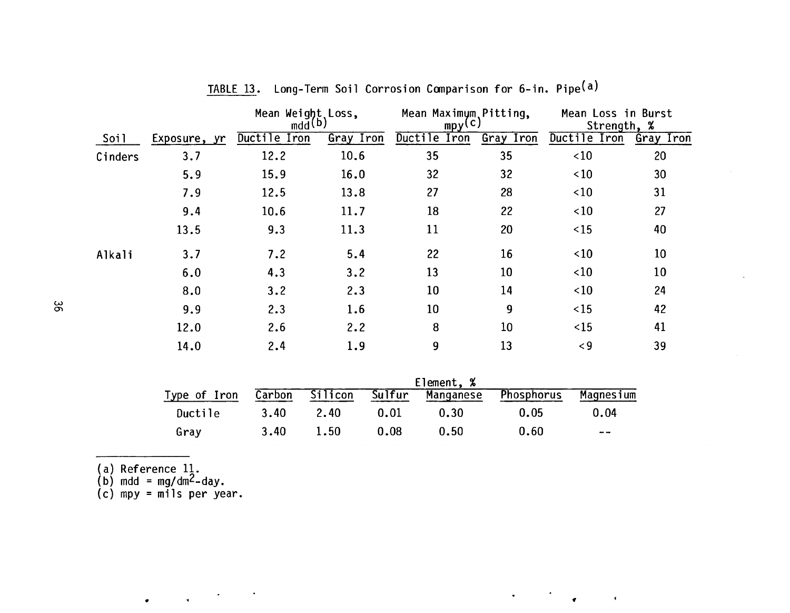|         |              | Mean Weight Loss,<br>mdd(D) |           | Mean Maximum Pitting,<br>mpy(c) |           | Mean Loss in Burst<br>Strength, % |           |
|---------|--------------|-----------------------------|-----------|---------------------------------|-----------|-----------------------------------|-----------|
| Soil    | Exposure, yr | Ductile Iron                | Gray Iron | Ductile Iron                    | Gray Iron | Ductile Iron                      | Gray Iron |
| Cinders | 3.7          | 12.2                        | 10.6      | 35                              | 35        | < 10                              | 20        |
|         | 5.9          | 15.9                        | 16.0      | 32                              | 32        | < 10                              | 30        |
|         | 7.9          | 12.5                        | 13.8      | 27                              | 28        | < 10                              | 31        |
|         | 9.4          | 10.6                        | 11.7      | 18                              | 22        | < 10                              | 27        |
|         | 13.5         | 9.3                         | 11.3      | 11                              | 20        | < 15                              | 40        |
| Alkali  | 3.7          | 7.2                         | 5.4       | 22                              | 16        | $\leq 10$                         | 10        |
|         | 6.0          | 4.3                         | 3.2       | 13                              | 10        | < 10                              | 10        |
|         | 8.0          | 3.2                         | 2.3       | 10                              | 14        | < 10                              | 24        |
|         | 9.9          | 2.3                         | 1.6       | 10                              | 9         | < 15                              | 42        |
|         | 12.0         | 2.6                         | 2.2       | 8                               | 10        | < 15                              | 41        |
|         | 14.0         | 2.4                         | 1.9       | 9                               | 13        | $\leq 9$                          | 39        |

|  |  |  |  | TABLE 13. Long-Term Soil Corrosion Comparison for 6-in. Pipe <sup>(a)</sup> |  |  |  |
|--|--|--|--|-----------------------------------------------------------------------------|--|--|--|
|--|--|--|--|-----------------------------------------------------------------------------|--|--|--|

|              |        |                                   |        | Element, %       |                   |               |
|--------------|--------|-----------------------------------|--------|------------------|-------------------|---------------|
| Type of Iron | Carbon | $\overline{\hspace{1em}}$ Silicon | Sulfur | <b>Manganese</b> | <b>Phosphorus</b> | Magnesium     |
| Ductile      | 3.40   | 2.40                              | 0.01   | 0.30             | 0.05              | 0.04          |
| Gray         | 3.40   | 1.50                              | 0.08   | 0.50             | 0.60              | $\sim$ $\sim$ |

 $\label{eq:2.1} \begin{array}{ccccc} \mathcal{L}_{\text{max}} & \mathcal{L}_{\text{max}} & \mathcal{L}_{\text{max}} & \mathcal{L}_{\text{max}} \\ \mathcal{L}_{\text{max}} & \mathcal{L}_{\text{max}} & \mathcal{L}_{\text{max}} & \mathcal{L}_{\text{max}} \end{array}$ 

 $\blacktriangleleft$ 

(a) Reference  $11$ .

•

(b) mdd = mg/dm<sup>2</sup>-day.

(c) mpy = mils per year .

 $\mathcal{L}_{\text{max}}$  , where  $\mathcal{L}_{\text{max}}$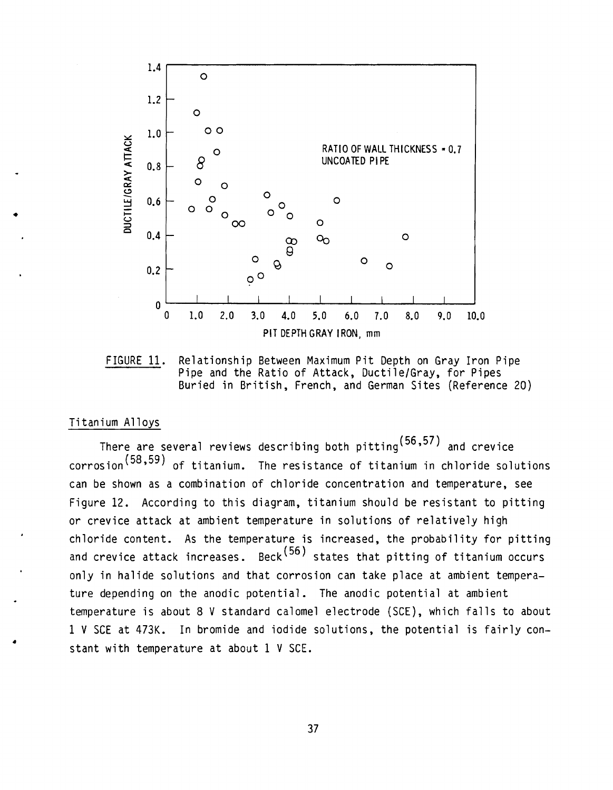

FIGURE 11. Relationship Between Maximum Pit Depth on Gray Iron Pipe Pipe and the Ratio of Attack, Ductile/Gray, for Pipes Buried in British, French, and German Sites (Reference 20)

# Titanium Alloys

•

•

There are several reviews describing both pitting<sup>(56,57)</sup> and crevice corrosion(58~59) of titanium. The resistance of titanium in chloride solutions can be shown as a combination of chloride concentration and temperature, see Figure 12. According to this diagram, titanium should be resistant to pitting or crevice attack at ambient temperature in solutions of relatively high chloride content. As the temperature is increased, the probability for pitting and crevice attack increases. Beck<sup>(56)</sup> states that pitting of titanium occurs only in halide solutions and that corrosion can take place at ambient temperature depending on the anodic potential. The anodic potential at ambient temperature is about 8 V standard calomel electrode (SCE), which falls to about 1 V SCE at 473K. In bromide and iodide solutions, the potential is fairly constant with temperature at about 1 V SCE.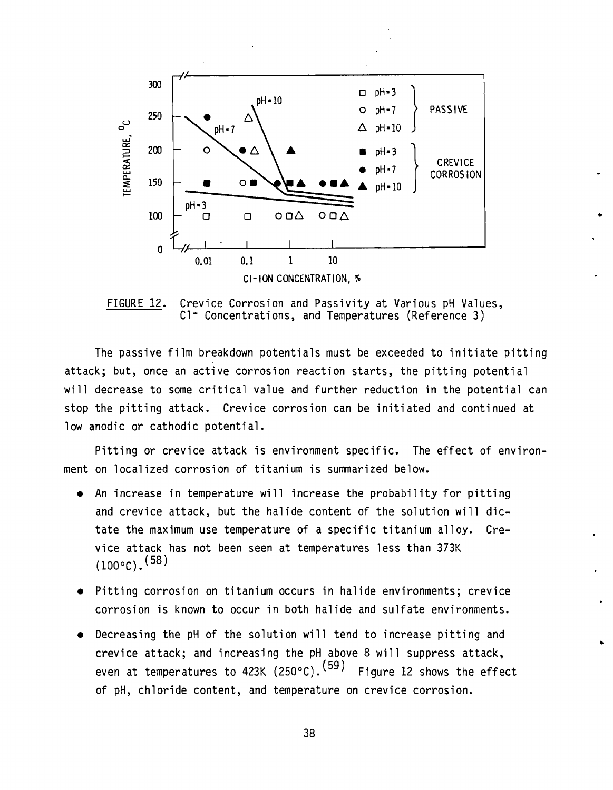

•

FIGURE 12. Crevice Corrosion and Passivity at Various pH Values, C1<sup>-</sup> Concentrations, and Temperatures (Reference 3)

The passive film breakdown potentials must be exceeded to initiate pitting attack; but, once an active corrosion reaction starts, the pitting potential will decrease to some critical value and further reduction in the potential can stop the pitting attack. Crevice corrosion can be initiated and continued at low anodic or cathodic potential.

Pitting or crevice attack is environment specific. The effect of environment on localized corrosion of titanium is summarized below.

- An increase in temperature will increase the probability for pitting and crevice attack, but the halide content of the solution will dictate the maximum use temperature of a specific titanium alloy. Crevice attack has not been seen at temperatures less than 373K  $(100°C)$ .  $(58)$
- Pitting corrosion on titanium occurs in halide environments; crevice corrosion is known to occur in both halide and sulfate environments.
- Decreasing the pH of the solution will tend to increase pitting and crevice attack; and increasing the pH above 8 will suppress attack, even at temperatures to  $423K$  (250°C).<sup>(59)</sup> Figure 12 shows the effect of pH, chloride content, and temperature on crevice corrosion.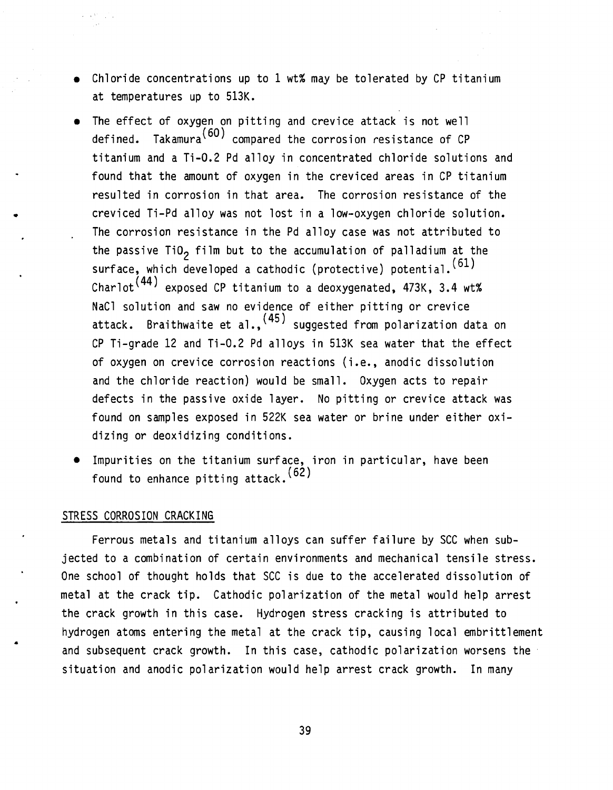- Chloride concentrations up to 1 wt% may be tolerated by CP titanium at temperatures up to 513K.
- The effect of oxygen on pitting and crevice attack is not well defined. Takamura<sup>(60)</sup> compared the corrosion resistance of CP titanium and a Ti-O.2 Pd alloy in concentrated chloride solutions and found that the amount of oxygen in the creviced areas in CP titanium resulted in corrosion in that area. The corrosion resistance of the • creviced Ti-Pd alloy was not lost in a low-oxygen chloride solution. The corrosion resistance in the Pd alloy case was not attributed to the passive TiO<sub>2</sub> film but to the accumulation of palladium at the surface, which developed a cathodic (protective) potential.  $(61)$ Charlot<sup>(44)</sup> exposed CP titanium to a deoxygenated, 473K, 3.4 wt% NaCl solution and saw no evidence of either pitting or crevice attack. Braithwaite et al.,  $(45)$  suggested from polarization data on CP Ti-grade 12 and Ti-O.2 Pd alloys in 513K sea water that the effect of oxygen on crevice corrosion reactions (i.e., anodic dissolution and the chloride reaction) would be small. Oxygen acts to repair defects in the passive oxide layer. No pitting or crevice attack was found on samples exposed in 522K sea water or brine under either oxidizing or deoxidizing conditions.
- Impurities on the titanium surface, iron in particular, have been found to enhance pitting attack. (62)

#### STRESS CORROSION CRACKING

 $\mathcal{L}=\mathcal{L}^{(K)}_{\mathcal{L}}$  ,  $\mathcal{L}^{(K)}_{\mathcal{L}}$  ,

•

Ferrous metals and titanium alloys can suffer failure by SCC when subjected to a combination of certain environments and mechanical tensile stress. One school of thought holds that SCC is due to the accelerated dissolution of metal at the crack tip. Cathodic polarization of the metal would help arrest the crack growth in this case. Hydrogen stress cracking is attributed to hydrogen atoms entering the metal at the crack tip, causing local embrittlement and subsequent crack growth. In this case, cathodic polarization worsens the situation and anodic polarization would help arrest crack growth. In many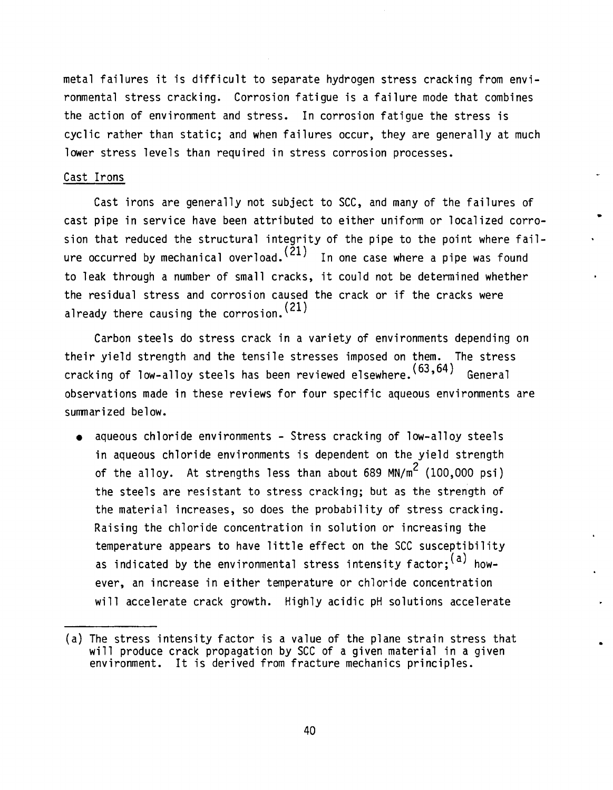metal failures it is difficult to separate hydrogen stress cracking from environmental stress cracking. Corrosion fatigue is a failure mode that combines the action of environment and stress. In corrosion fatigue the stress is cyclic rather than static; and when failures occur, they are generally at much lower stress levels than required in stress corrosion processes.

#### Cast Irons

Cast irons are generally not subject to SCC, and many of the failures of cast pipe in service have been attributed to either uniform or localized corrosion that reduced the structural integrity of the pipe to the point where failure occurred by mechanical overload.  $(21)$  In one case where a pipe was found to leak through a number of small cracks, it could not be determined whether the residual stress and corrosion caused the crack or if the cracks were already there causing the corrosion. (21)

•

Carbon steels do stress crack in a variety of environments depending on their yield strength and the tensile stresses imposed on them. The stress cracking of low-alloy steels has been reviewed elsewhere. (63,64) General observations made in these reviews for four specific aqueous environments are summarized below.

• aqueous chloride environments - Stress cracking of low-alloy steels in aqueous chloride environments is dependent on the yield strength of the alloy. At strengths less than about  $689$  MN/m<sup>2</sup> (100,000 psi) the steels are resistant to stress cracking; but as the strength of the material increases, so does the probability of stress cracking. Raising the chloride concentration in solution or increasing the temperature appears to have little effect on the SCC susceptibility as indicated by the environmental stress intensity factor:<sup>(a)</sup> however, an increase in either temperature or chloride concentration will accelerate crack growth. Highly acidic pH solutions accelerate

<sup>(</sup>a) The stress intensity factor is a value of the plane strain stress that will produce crack propagation by SCC of a given material in a given<br>environment. It is derived from fracture mechanics principles.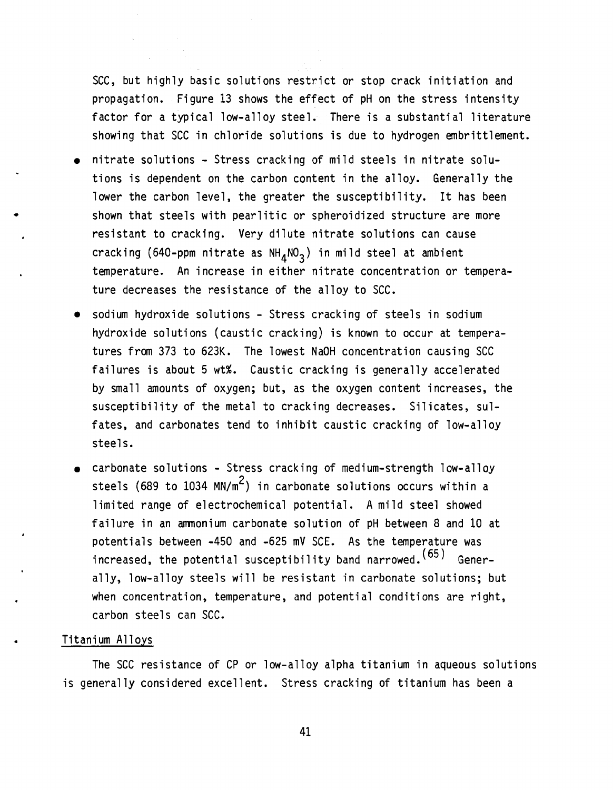SCC, but highly basic solutions restrict or stop crack initiation and propagation. Figure 13 shows the effect of pH on the stress intensity factor for a typical low-alloy steel. There is a substantial literature showing that SCC in chloride solutions is due to hydrogen embrittlement.

- nitrate solutions Stress cracking of mild steels in nitrate solutions is dependent on the carbon content in the alloy. Generally the lower the carbon level, the greater the susceptibility. It has been shown that steels with pearlitic or spheroidized structure are more resistant to cracking. Very dilute nitrate solutions can cause cracking (640-ppm nitrate as  $NH_ANO_3$ ) in mild steel at ambient temperature. An increase in either nitrate concentration or temperature decreases the resistance of the alloy to SCC.
- sodium hydroxide solutions Stress cracking of steels in sodium hydroxide solutions (caustic cracking) is known to occur at temperatures from 373 to 623K. The lowest NaOH concentration causing SCC failures is about 5 wt%. Caustic cracking is generally accelerated by small amounts of oxygen; but, as the oxygen content increases, the susceptibility of the metal to cracking decreases. Silicates, sulfates, and carbonates tend to inhibit caustic cracking of low-alloy steels.
- carbonate solutions Stress cracking of medium-strength low-alloy steels (689 to 1034 MN/m<sup>2</sup>) in carbonate solutions occurs within a limited range of electrochemical potential. A mild steel showed failure in an ammonium carbonate solution of pH between 8 and 10 at potentials between -450 and -625 mV SCE. As the temperature was increased, the potential susceptibility band narrowed.<sup>(65)</sup> Generally, low-alloy steels will be resistant in carbonate solutions; but when concentration, temperature, and potential conditions are right, carbon steels can SCC.

#### Titanium Alloys

•

The SCC resistance of CP or low-alloy alpha titanium in aqueous solutions is generally considered excellent. Stress cracking of titanium has been a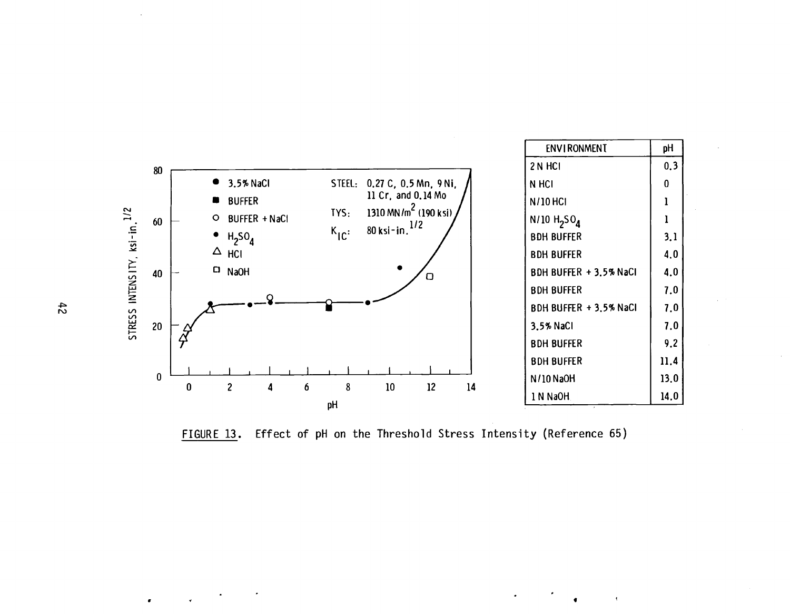

FIGURE 13. Effect of pH on the Threshold Stress Intensity (Reference 65)

 $\mathcal{L}^{\text{max}}(\mathbf{z})$  , and  $\mathcal{L}^{\text{max}}(\mathbf{z})$ 

 $\bullet$ 

"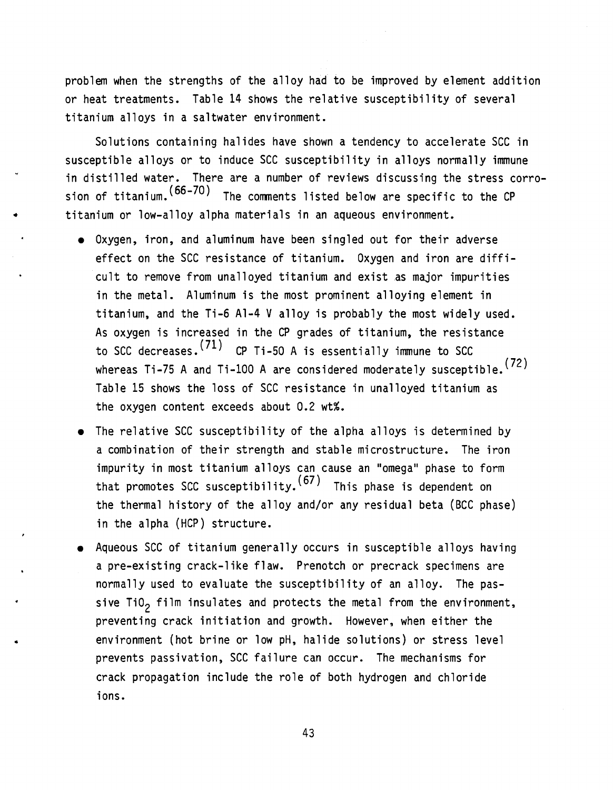problem when the strengths of the alloy had to be improved by element addition or heat treatments. Table 14 shows the relative susceptibility of several titanium alloys in a saltwater environment.

Solutions containing halides have shown a tendency to accelerate SCC in susceptible alloys or to induce SCC susceptibility in alloys normally immune in distilled water. There are a number of reviews discussing the stress corrosion of titanium. (66-70) The comments listed below are specific to the CP titanium or low-alloy alpha materials in an aqueous environment.

- Oxygen, iron, and aluminum have been singled out for their adverse effect on the SCC resistance of titanium. Oxygen and iron are difficult to remove from unalloyed titanium and exist as major impurities in the metal. Aluminum is the most prominent alloying element in titanium, and the Ti-6 Al-4 V alloy is probably the most widely used. As oxygen is increased in the CP grades of titanium, the resistance to SCC decreases.(7l) CP Ti-50 A is essentially immune to SCC whereas Ti-75 A and Ti-100 A are considered moderately susceptible.<sup>(72)</sup> Table 15 shows the loss of SCC resistance in unalloyed titanium as the oxygen content exceeds about 0.2 wt%.
- The relative SCC susceptibility of the alpha alloys is determined by a combination of their strength and stable microstructure. The iron impurity in most titanium alloys can cause an "omega" phase to form that promotes SCC susceptibility.  $(67)$  This phase is dependent on the thermal history of the alloy and/or any residual beta (BCC phase) in the alpha (HCP) structure.
- Aqueous SCC of titanium generally occurs in susceptible alloys having a pre-existing crack-like flaw. Prenotch or precrack specimens are normally used to evaluate the susceptibility of an alloy. The passive TiO<sub>2</sub> film insulates and protects the metal from the environment, preventing crack initiation and growth. However, when either the environment (hot brine or low pH, halide solutions) or stress level prevents passivation, SCC failure can occur. The mechanisms for crack propagation include the role of both hydrogen and chloride ions.

•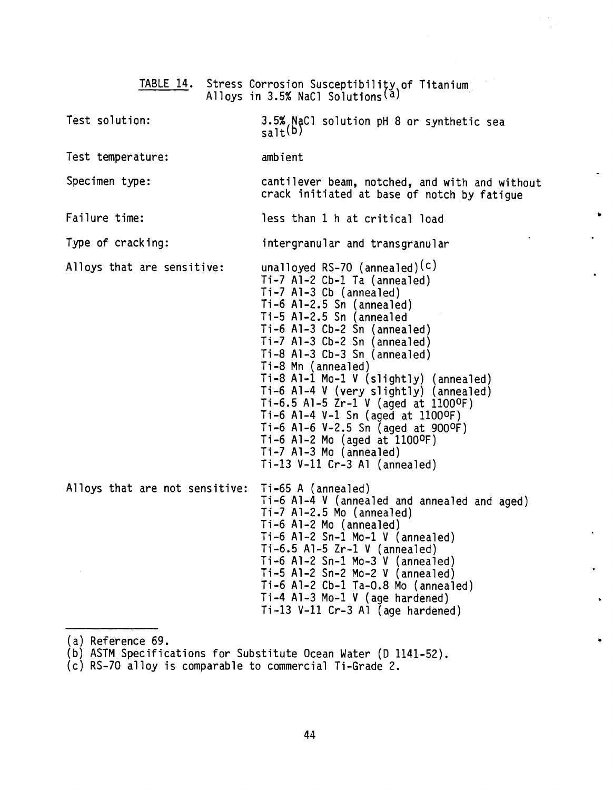|                                | TABLE 14. Stress Corrosion Susceptibility of Titanium<br>Alloys in 3.5% NaCl Solutions <sup>(a)</sup>                                                                                                                                                                                                                                                                                                                                                                                                                                                                                                  |
|--------------------------------|--------------------------------------------------------------------------------------------------------------------------------------------------------------------------------------------------------------------------------------------------------------------------------------------------------------------------------------------------------------------------------------------------------------------------------------------------------------------------------------------------------------------------------------------------------------------------------------------------------|
| Test solution:                 | 3.5%, NaCl solution pH 8 or synthetic sea<br>salt(b)                                                                                                                                                                                                                                                                                                                                                                                                                                                                                                                                                   |
| Test temperature:              | ambient                                                                                                                                                                                                                                                                                                                                                                                                                                                                                                                                                                                                |
| Specimen type:                 | cantilever beam, notched, and with and without<br>crack initiated at base of notch by fatique                                                                                                                                                                                                                                                                                                                                                                                                                                                                                                          |
| Failure time:                  | less than 1 h at critical load                                                                                                                                                                                                                                                                                                                                                                                                                                                                                                                                                                         |
| Type of cracking:              | intergranular and transgranular                                                                                                                                                                                                                                                                                                                                                                                                                                                                                                                                                                        |
| Alloys that are sensitive:     | unalloyed RS-70 (annealed) <sup>(C)</sup><br>Ti-7 Al-2 Cb-1 Ta (annealed)<br>Ti-7 Al-3 Cb (annealed)<br>$Ti-6$ Al-2.5 Sn (annealed)<br>Ti-5 Al-2.5 Sn (annealed<br>Ti-6 Al-3 Cb-2 Sn (annealed)<br>$Ti-7$ Al-3 Cb-2 Sn (annealed)<br>Ti-8 Al-3 Cb-3 Sn (annealed)<br>Ti-8 Mn (annealed)<br>Ti-8 Al-1 Mo-1 V (slightly) (annealed)<br>Ti-6 Al-4 V (very slightly) (annealed)<br>Ti-6.5 Al-5 Zr-1 V (aged at 1100°F)<br>Ti-6 Al-4 V-1 Sn (aged at $1100^{\circ}F$ )<br>Ti-6 Al-6 V-2.5 Sn (aged at 900°F)<br>Ti-6 Al-2 Mo (aged at 1100°F)<br>Ti-7 Al-3 Mo (annealed)<br>$Ti-13$ V-11 Cr-3 A1 (annealed) |
| Alloys that are not sensitive: | Ti-65 A (annealed)<br>Ti-6 Al-4 V (annealed and annealed and aged)<br>$Ti-7$ Al-2.5 Mo (annealed)<br>Ti-6 Al-2 Mo (annealed)<br>Ti-6 Al-2 Sn-1 Mo-1 V (annealed)<br>$Ti-6.5$ Al-5 $Zr-1$ V (annealed)<br>$Ti-6$ Al-2 Sn-1 Mo-3 V (annealed)<br>Ti-5 Al-2 Sn-2 Mo-2 V (annealed)<br>Ti-6 Al-2 Cb-1 Ta-0.8 Mo (annealed)<br>$Ti-4$ Al-3 Mo-1 V (age hardened)<br>Ti-13 V-11 Cr-3 Al (age hardened)                                                                                                                                                                                                       |

(a) Reference 69.

•

<sup>(</sup>b) ASTM Specifications for Substitute Ocean Water (0 1141-52).

<sup>(</sup>c) RS-70 alloy is comparable to commercial Ti-Grade 2.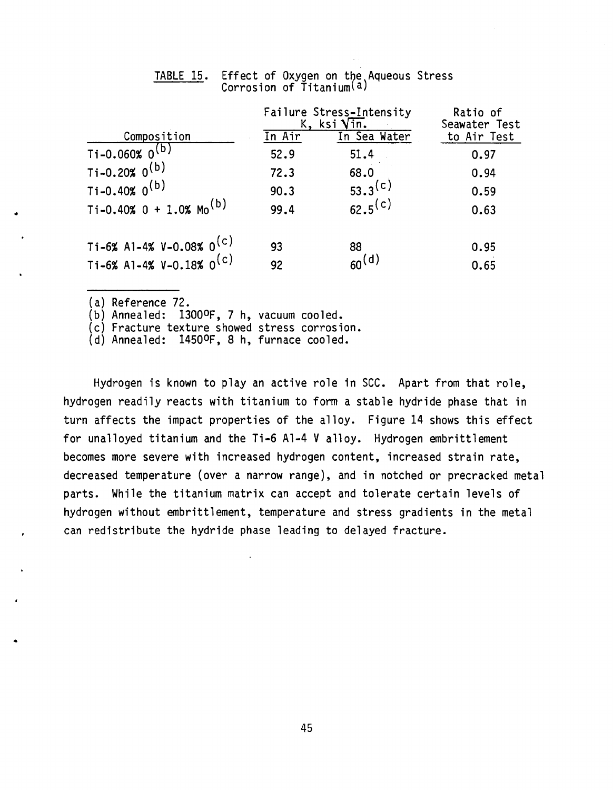|                                     | Failure Stress-Intensity<br>K, ksi Vin. | Ratio of<br>Seawater Test |             |
|-------------------------------------|-----------------------------------------|---------------------------|-------------|
| Composition                         | In Air                                  | In Sea Water              | to Air Test |
| $Ti-0.060\%$ 0 <sup>(b)</sup>       | 52.9                                    | 51.4                      | 0.97        |
| $Ti-0.20\%$ 0 <sup>(b)</sup>        | 72.3                                    | 68.0                      | 0.94        |
| $Ti-0.40%$ 0 <sup>(b)</sup>         | 90.3                                    | $53.3^{(c)}$              | 0.59        |
| Ti-0.40% 0 + 1.0% Mo <sup>(b)</sup> | 99.4                                    | $62.5^{(c)}$              | 0.63        |
| Ti-6% Al-4% V-0.08% $0^{(c)}$       | 93                                      | 88                        | 0.95        |
| Ti-6% A1-4% V-0.18% $0^{(c)}$       | 92                                      | $60^{(d)}$                | 0.65        |

# TABLE 15. Effect of Oxygen on the Aqueous Stress Corrosion of Ťitanium<sup>(a)</sup>

(a) Reference 72.

(b) Annealed: 13000F, 7 h, vacuum cooled.

(c) Fracture texture showed stress corrosion.

(d) Annealed: 14500F, 8 h, furnace cooled.

Hydrogen is known to play an active role in SCC. Apart from that role, hydrogen readily reacts with titanium to form a stable hydride phase that in turn affects the impact properties of the alloy. Figure 14 shows this effect for unalloyed titanium and the Ti-6 Al-4 V alloy. Hydrogen embrittlement becomes more severe with increased hydrogen content, increased strain rate, decreased temperature (over a narrow range), and in notched or precracked metal parts. While the titanium matrix can accept and tolerate certain levels of hydrogen without embrittlement, temperature and stress gradients in the metal can redistribute the hydride phase leading to delayed fracture.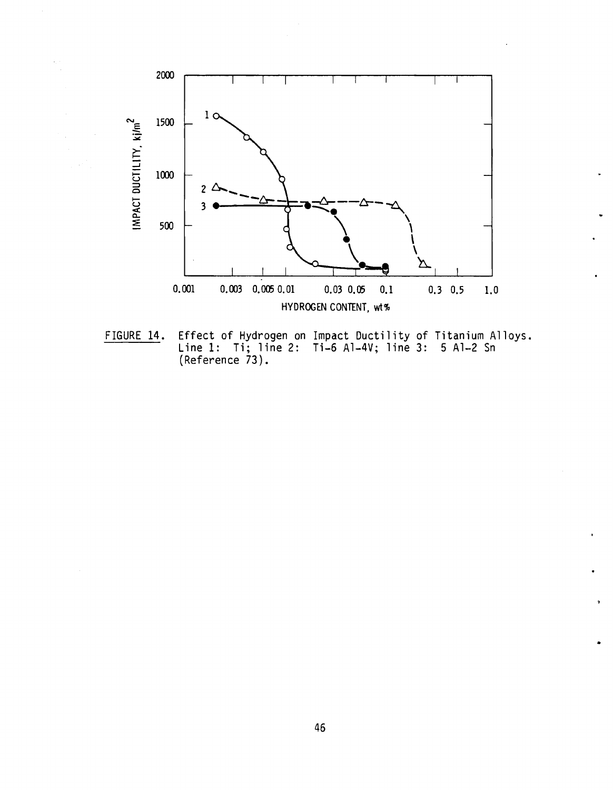

FIGURE 14. Effect of Hydrogen on Impact Ductility of Titanium Alloys. Line 1: Ti; line 2: Ti-6 Al-4V; line 3: 5 Al-2 Sn (Reference 73).

•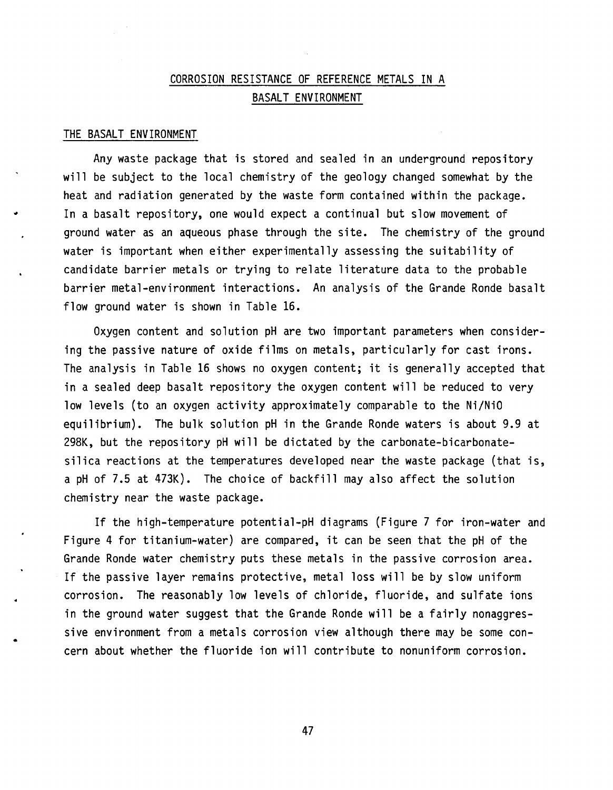# CORROSION RESISTANCE OF REFERENCE METALS IN A BASALT ENVIRONMENT

#### THE BASALT ENVIRONMENT

•

Any waste package that is stored and sealed in an underground repository will be subject to the local chemistry of the geology changed somewhat by the heat and radiation generated by the waste form contained within the package. In a basalt repository, one would expect a continual but slow movement of ground water as an aqueous phase through the site. The chemistry of the ground water is important when either experimentally assessing the suitability of candidate barrier metals or trying to relate literature data to the probable barrier metal-environment interactions. An analysis of the Grande Ronde basalt flow ground water is shown in Table 16.

Oxygen content and solution pH are two important parameters when considering the passive nature of oxide films on metals, particularly for cast irons. The analysis in Table 16 shows no oxygen content; it is generally accepted that in a sealed deep basalt repository the oxygen content will be reduced to very low levels (to an oxygen activity approximately comparable to the Ni/NiO equilibrium). The bulk solution pH in the Grande Ronde waters is about 9.9 at 298K, but the repository pH will be dictated by the carbonate-bicarbonatesilica reactions at the temperatures developed near the waste package (that is, a pH of 7.5 at 473K). The choice of backfill may also affect the solution chemistry near the waste package.

If the high-temperature potential-pH diagrams (Figure 7 for iron-water and Figure 4 for titanium-water) are compared, it can be seen that the pH of the Grande Ronde water chemistry puts these metals in the passive corrosion area. If the passive layer remains protective, metal loss will be by slow uniform corrosion. The reasonably low levels of chloride, fluoride, and sulfate ions in the ground water suggest that the Grande Ronde will be a fairly nonaggressive environment from a metals corrosion view although there may be some concern about whether the fluoride ion will contribute to nonuniform corrosion.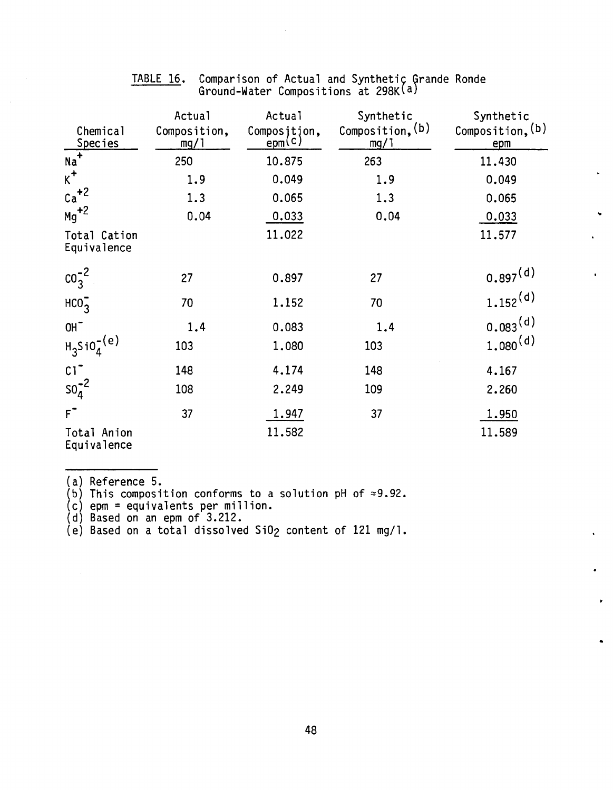| Chemical<br><b>Species</b>            | Actual<br>Composition,<br>mg/1 | Actual<br>Composjtion,<br>epm(c) | Synthetic<br>Composition, (b)<br>mg/1 | Synthetic<br>Composition, $(b)$<br>epm |
|---------------------------------------|--------------------------------|----------------------------------|---------------------------------------|----------------------------------------|
| $Na^{\widehat{+}}$                    | 250                            | 10.875                           | 263                                   | 11.430                                 |
| $\kappa^+$                            | 1.9                            | 0.049                            | 1.9                                   | 0.049                                  |
| $Ca+2$                                | 1.3                            | 0.065                            | 1.3                                   | 0.065                                  |
| $Mg$ <sup>+2</sup>                    | 0.04                           | 0.033                            | 0.04                                  | 0.033                                  |
| Total Cation<br>Equivalence           |                                | 11.022                           |                                       | 11.577                                 |
| $\cos^2$                              | 27                             | 0.897                            | 27                                    | 0.897 <sup>(d)</sup>                   |
| $HCO_3^-$                             | 70                             | 1.152                            | 70                                    | 1.152 <sup>(d)</sup>                   |
| $OH^-$                                | 1.4                            | 0.083                            | 1.4                                   | 0.083 <sup>(d)</sup>                   |
| $H_3$ SiO <sub>4</sub> <sup>(e)</sup> | 103                            | 1.080                            | 103                                   | 1.080 <sup>(d)</sup>                   |
| $C1$ <sup>-</sup>                     | 148                            | 4.174                            | 148                                   | 4.167                                  |
| $50^{2}_{4}$                          | 108                            | 2.249                            | 109                                   | 2.260                                  |
| $F^-$                                 | 37                             | 1.947                            | 37                                    | 1.950                                  |
| Total Anion<br>Equivalence            |                                | 11.582                           |                                       | 11.589                                 |

"

# TABLE 16. Comparison of Actual and Synthetic Grande Ronde Ground-Water Compositions at 298K<sup>(a)</sup>

(a) Reference 5.

(b) This composition conforms to a solution pH of  $\approx$ 9.92.

(c) epm = equivalents per million.

(d) Based on an epm of 3.212.

(e) Based on a total dissolved Si02 content of 121 mg/l.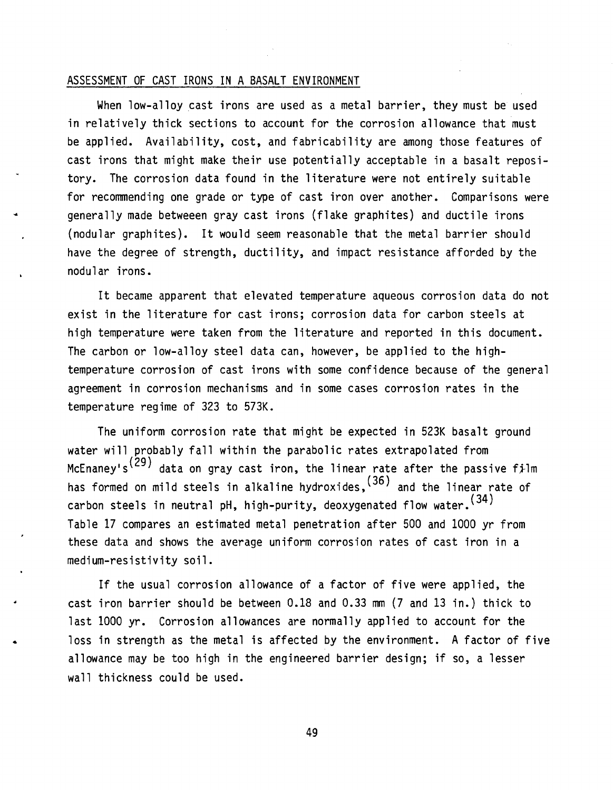#### ASSESSMENT OF CAST IRONS IN A BASALT ENVIRONMENT

When low-alloy cast irons are used as a metal barrier, they must be used in relatively thick sections to account for the corrosion allowance that must be applied. Availability, cost, and fabricability are among those features of cast irons that might make their use potentially acceptable in a basalt repository. The corrosion data found in the literature were not entirely suitable for recommending one grade or type of cast iron over another. Comparisons were generally made betweeen gray cast irons (flake graphites) and ductile irons (nodular graphites). It would seem reasonable that the metal barrier should have the degree of strength, ductility, and impact resistance afforded by the nodular irons.

It became apparent that elevated temperature aqueous corrosion data do not exist in the literature for cast irons; corrosion data for carbon steels at high temperature were taken from the literature and reported in this document. The carbon or low-alloy steel data can, however, be applied to the hightemperature corrosion of cast irons with some confidence because of the general agreement in corrosion mechanisms and in some cases corrosion rates in the temperature regime of 323 to 573K.

The uniform corrosion rate that might be expected in 523K basalt ground water will probably fall within the parabolic rates extrapolated from McEnaney's<sup>(29)</sup> data on gray cast iron, the linear rate after the passive film has formed on mild steels in alkaline hydroxides,(36) and the linear rate of carbon steels in neutral pH, high-purity, deoxygenated flow water.  $(34)$ Table 17 compares an estimated metal penetration after 500 and 1000 yr from these data and shows the average uniform corrosion rates of cast iron in a medium-resistivity soil.

If the usual corrosion allowance of a factor of five were applied, the cast iron barrier should be between 0.18 and 0.33 mm (7 and 13 in.) thick to last 1000 yr. Corrosion allowances are normally applied to account for the loss in strength as the metal is affected by the environment. A factor of five allowance may be too high in the engineered barrier design; if so, a lesser wall thickness could be used.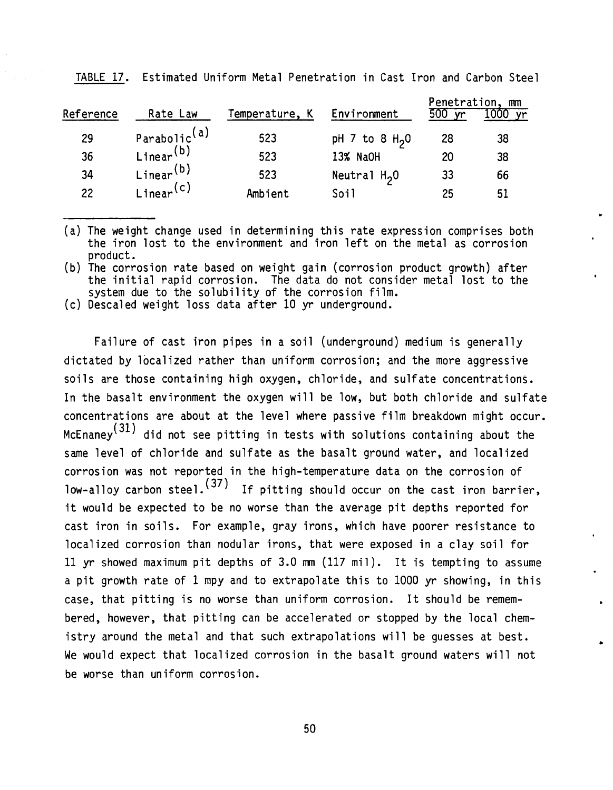| Reference | Rate Law                 | Temperature, K | Environment        | Penetration, mm<br>$500 \text{ yr}$ |    |
|-----------|--------------------------|----------------|--------------------|-------------------------------------|----|
| 29        | Parabolic <sup>(a)</sup> | 523            | pH 7 to 8 $H_{2}0$ | 28                                  | 38 |
| 36        | $Linear^{(b)}$           | 523            | 13% NaOH           | 20                                  | 38 |
| 34        | $Linear^{(b)}$           | 523            | Neutral $H20$      | 33                                  | 66 |
| 22        | $Linear$ <sup>(c)</sup>  | Ambient        | Soil               | 25                                  | 51 |

TABLE 17. Estimated Uniform Metal Penetration in Cast Iron and Carbon Steel

(a) The weight change used in determining this rate expression comprises both the iron lost to the environment and iron left on the metal as corrosion product.

 $(b)$  The corrosion rate based on weight gain (corrosion product growth) after the initial rapid corrosion. The data do not consider metal lost to the system due to the solubility of the corrosion film.

(c) Desca1ed weight loss data after 10 yr underground.

Failure of cast iron pipes in a soil (underground) medium is generally dictated by localized rather than uniform corrosion; and the more aggressive soils are those containing high oxygen, chloride, and sulfate concentrations. In the basalt environment the oxygen will be low, but both chloride and sulfate concentrations are about at the level where passive film breakdown might occur. McEnaney(31) did not see pitting in tests with solutions containing about the same level of chloride and sulfate as the basalt ground water, and localized corrosion was not reported in the high-temperature data on the corrosion of low-alloy carbon steel.<sup>(37)</sup> If pitting should occur on the cast iron barrier, it would be expected to be no worse than the average pit depths reported for cast iron in soils. For example, gray irons, which have poorer resistance to localized corrosion than nodular irons, that were exposed in a clay soil for 11 yr showed maximum pit depths of 3.0 mm (117 mil). It is tempting to assume a pit growth rate of 1 mpy and to extrapolate this to 1000 yr showing, in this case, that pitting is no worse than uniform corrosion. It should be remembered, however, that pitting can be accelerated or stopped by the local chemistry around the metal and that such extrapolations will be guesses at best. We would expect that localized corrosion in the basalt ground waters will not be worse than uniform corrosion.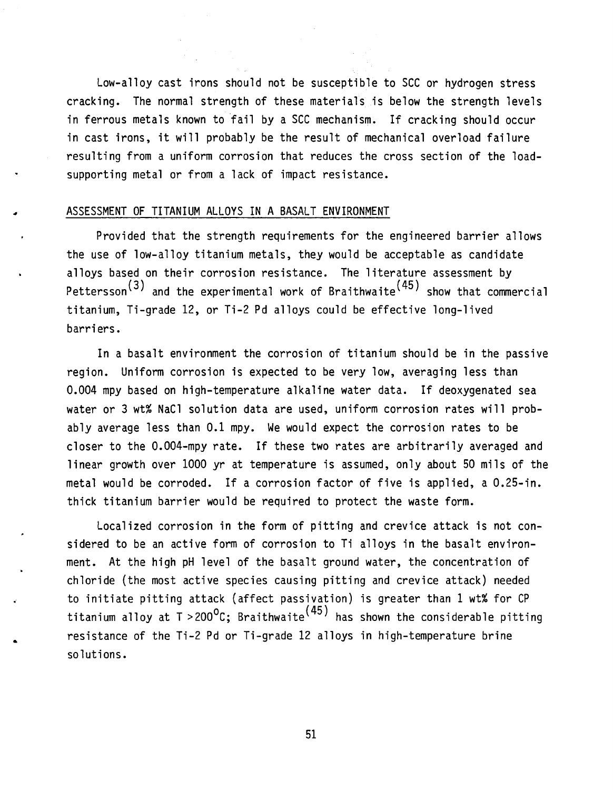Low-alloy cast irons should not be susceptible to SCC or hydrogen stress cracking. The normal strength of these materials is below the strength levels in ferrous metals known to fail by a SCC mechanism. If cracking should occur in cast irons, it will probably be the result of mechanical overload failure resulting from a uniform corrosion that reduces the cross section of the loadsupporting metal or from a lack of impact resistance.

#### ASSESSMENT OF TITANIUM ALLOYS IN A BASALT ENVIRONMENT

•

Provided that the strength requirements for the engineered barrier allows the use of low-alloy titanium metals, they would be acceptable as candidate alloys based on their corrosion resistance. The literature assessment by Pettersson<sup>(3)</sup> and the experimental work of Braithwaite<sup>(45)</sup> show that commercial titanium, Ti-grade 12, or Ti-2 Pd alloys could be effective long-lived barriers.

In a basalt environment the corrosion of titanium should be in the passive region. Uniform corrosion is expected to be very low, averaging less than 0.004 mpy based on high-temperature alkaline water data. If deoxygenated sea water or 3 wt% NaCl solution data are used, uniform corrosion rates will probably average less than 0.1 mpy. We would expect the corrosion rates to be closer to the 0.004-mpy rate. If these two rates are arbitrarily averaged and linear growth over 1000 yr at temperature is assumed, only about 50 mils of the metal would be corroded. If a corrosion factor of five is applied, a 0.25-in. thick titanium barrier would be required to protect the waste form.

Localized corrosion in the form of pitting and crevice attack is not considered to be an active form of corrosion to Ti alloys in the basalt environment. At the high pH level of the basalt ground water, the concentration of chloride (the most active species causing pitting and crevice attack) needed to initiate pitting attack (affect passivation) is greater than 1 wt% for CP titanium alloy at  $T > 200^{\circ}$ C; Braithwaite<sup>(45)</sup> has shown the considerable pitting resistance of the Ti-2 Pd or Ti-grade 12 alloys in high-temperature brine solutions.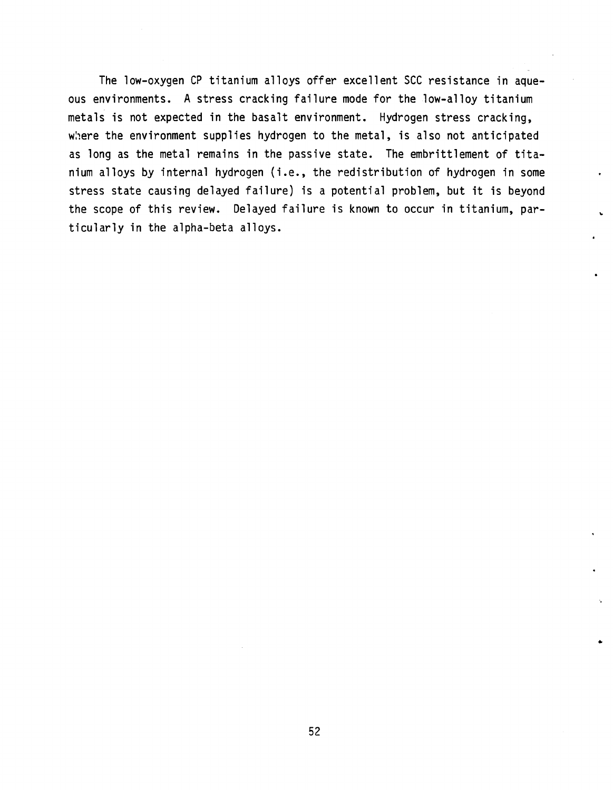The low-oxygen CP titanium alloys offer excellent SCC resistance in aqueous environments. A stress cracking failure mode for the low-alloy titanium metals is not expected in the basalt environment. Hydrogen stress cracking, where the environment supplies hydrogen to the metal, is also not anticipated as long as the metal remains in the passive state. The embrittlement of titanium alloys by internal hydrogen (i.e., the redistribution of hydrogen in some stress state causing delayed failure) is a potential problem, but it is beyond the scope of this review. Delayed failure is known to occur in titanium, particularly in the alpha-beta alloys.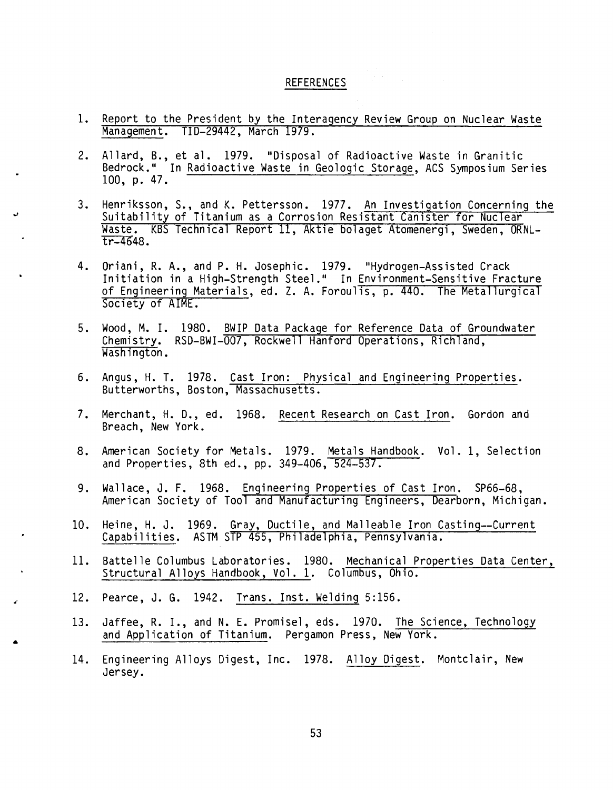#### REFERENCES

- 1. Report to the President by the Interagency Review Group on Nuclear Waste Management. TID-29442, March 1979.
- 2. Allard, B., et al. 1979. "Disposal of Radioactive Waste in Granitic Bedrock." In Radioactive Waste in Geologic Storage, ACS Symposium Series 100, p. 47.
- 3. Henriksson, S., and K. Pettersson. 1977. An Investigation Concerning the Suitability of Titanium as a Corrosion Resistant Canister for Nuclear Waste. KBS Technical Report 11, Aktie bolaget Atomenergi, Sweden, ORNLtr-4648.
- 4. Oriani, R. A., and P. H. Josephic. 1979. "Hydrogen-Assisted Crack Initiation in a High-Strength Steel." In Environment-Sensitive Fracture of Engineering Materials, ed. Z. A. Foroulis, p. 440. The Metallurgical Society of AIME.
- 5. Wood, M. 1. 1980. BWIP Data Package for Reference Data of Groundwater Chemistry. RSD-BWI-007, Rockwell Hanford Operations, Richland, Washington.
- 6. Angus, H. T. 1978. Cast Iron: Physical and Engineering Properties. Butterworths, Boston, Massachusetts.
- 7. Merchant, H. D., ed. 1968. Recent Research on Cast Iron. Gordon and Breach, New York.
- 8. American Society for Metals. 1979. Metals Handbook. Vol. 1, Selection and Properties, 8th ed., pp. 349-406, 524-537.
- 9. Wallace, J. F. 1968. Engineering Properties of Cast Iron. SP66-68, American Society of Tool and Manufacturing Engineers, Dearborn, Michigan.
- 10. Heine, H. J. 1969. Gray, Ductile, and Malleable Iron Casting--Current<br>Capabilities. ASTM STP 455, Philadelphia, Pennsylvania. Capabilities. ASTM STP 455, Philadelphia, Pennsylvania.
- 11. Battelle Columbus Laboratories. 1980. Mechanical Properties Data Center, Structural Alloys Handbook, Vol. 1. Columbus, Ohio.
- 12. Pearce, J. G. 1942. Trans. Inst. Welding 5:156.
- 13. Jaffee, R. I., and N. E. Promisel, eds. 1970. The Science, Technology and Application of Titanium. Pergamon Press, New York.
- 14. Engineering Alloys Digest, Inc. 1978. Alloy Digest. Montclair, New Jersey.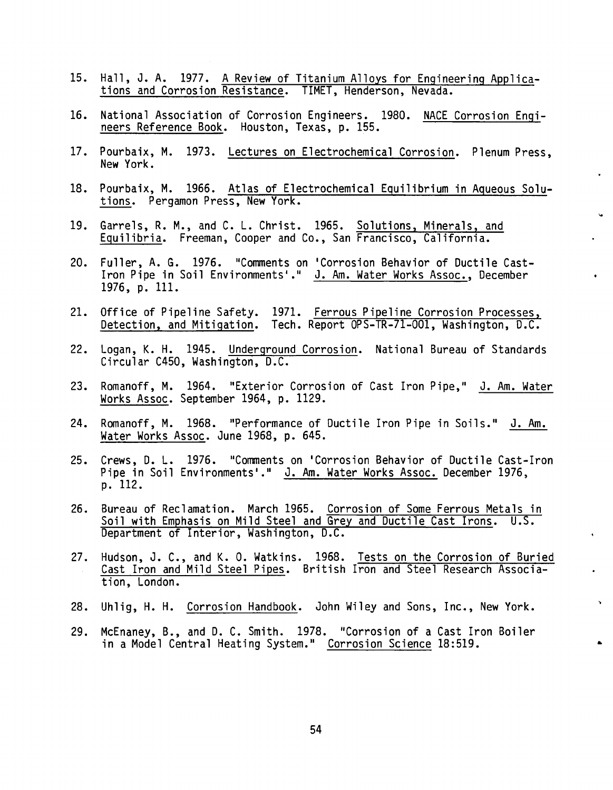- 15. Hall, J. A. 1977. A Review of Titanium Alloys for Engineering Applica- tions and Corrosion Resistance. TIMET, Henderson, Nevada.
- 16. National Association of Corrosion Engineers. 1980. NACE Corrosion Engineers Reference Book. Houston, Texas, p. 155.
- 17. Pourbaix, M. 1973. Lectures on Electrochemical Corrosion. Plenum Press, New York.

 $\mathbf{r}$ 

 $\mathbf{t}_\bullet$ 

 $\bullet$ 

 $\mathbf{r}$ 

- 18. Pourbaix, M. 1966. Atlas of Electrochemical Equilibrium in Aqueous Solutions. Pergamon Press, New York.
- 19. Garrels, R. M., and C. L. Christ. 1965. Solutions, Minerals, and Equilibria. Freeman, Cooper and Co., San Francisco, California.
- 20. Fuller, A. G. 1976. "Comments on 'Corrosion Behavior of Ductile Cast-Iron Pipe in Soil Environments'." J. Am. Water Works Assoc., December 1976, p. 111.
- 21. Office of Pipeline Safety. Detection, and Mitigation. 1971. Ferrous Pipeline Corrosion Processes, Tech. Report OPS-TR-71-001, Washington, D.C.
- 22. Logan, K. H. 1945. Underground Corrosion. National Bureau of Standards Circular C450, Washington, D.C.
- 23. Romanoff, M. 1964. "Exterior Corrosion of Cast Iron Pipe," J. Am. Water Works Assoc. September 1964, p. 1129.
- 24. Romanoff, M. 1968. "Performance of Ductile Iron Pipe in Soils." J. Am. Water Works Assoc. June 1968, p. 645.
- 25. Crews, D. L. 1976. "Comments on 'Corrosion Behavior of Ductile Cast-Iron Pipe in Soil Environments'." J. Am. Water Works Assoc. December 1976, p. 112.
- 26. Bureau of Reclamation. March 1965. Corrosion of Some Ferrous Metals in Soil with Emphasis on Mild Steel and Grey and Ductile Cast Irons. U.S. Department of Interior, Washington, D.C.
- 27. Hudson, J. C., and K. O. Watkins. 1968. Tests on the Corrosion of Buried Cast Iron and Mild Steel Pipes. British Iron and Steel Research Association, London.
- 28. Uhlig, H. H. Corrosion Handbook. John Wiley and Sons, Inc., New York.
- 29. McEnaney, B., and D. C. Smith. 1978. "Corrosion of a Cast Iron Boiler in a Model Central Heating System." Corrosion Science 18:519.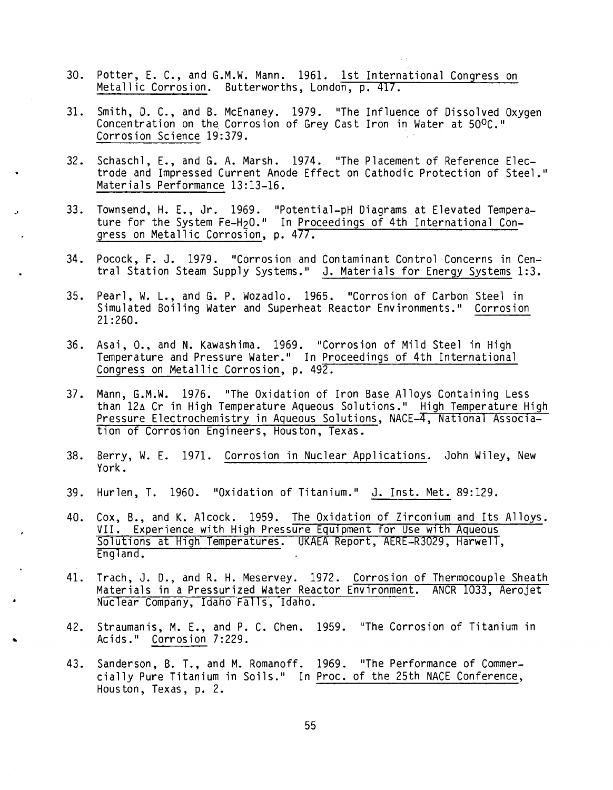- 30. Potter, E. C., and G.M.W. Mann. 1961. 1st International Congress on Metallic Corrosion. Butterworths, London, p. 417.
- 31. Smith, D. C., and B. McEnaney. 1979. "The Influence of Dissolved Oxygen Concentration on the Corrosion of Grey Cast Iron in Water at 50<sup>o</sup>C." Corrosion *Science 19:379.*
- 32. Schaschl, E., and G. A. Marsh. 1974. "The Placement of Reference Electrode and Impressed Current Anode Effect on Cathodic Protection of Steel." Materials Performance 13:13-16.
- 33. Townsend, H. L, Jr. 1969. "Potential-pH Diagrams at Elevated Temperature for the System Fe-H<sub>2</sub>0." In Proceedings of 4th International Congress on Metallic Corrosion, p. 477.
- 34. Pocock, F. J. 1979. "Corrosion and Contaminant Control Concerns in Central Station Steam Supply Systems." J. Materials for Energy Systems 1:3.
- 35. Pearl, W. L., and G. P. Wozadlo. 1965. "Corrosion of Carbon Steel in Simulated Boiling Water and Superheat Reactor Environments." Corrosion 21:260.
- 36. Asai, 0., and N. Kawashima. 1969. "Corrosion of Mild Steel in High Temperature and Pressure Water." In Proceedings of 4th International Congress on Metallic Corrosion, p. 492.
- 37. Mann, G.M.W. 1976. "The Oxidation of Iron Base Alloys Containing Less than 12A Cr in High Temperature Aqueous Solutions." High Temperature High Pressure Electrochemistry in Aqueous Solutions, NACE-4, National Association of Corrosion Engineers, Houston, Texas.
- 38. Berry, W. E. 1971. Corrosion in Nuclear Applications. John Wiley, New York.
- 39. Hurlen, T. 1960. "Oxidation of Titanium." J. Inst. Met. 89:129.
- 40. Cox, B., and K. Alcock. 1959. The Oxidation of Zirconium and Its Alloys. VII. Experience with High Pressure Equipment for Use with Aqueous Solutions at High Temperatures. UKAEA Report, AERE-R3029, Harwell, England.
- 41. Trach, J. D., and R. H. Meservey. 1972. Corrosion of Thermocouple Sheath Materials in a Pressurized Water Reactor Environment. ANCR 1033, Aerojet<br>Nuclear Company, Idaho Falls, Idaho.
- 42. Straumanis, M. E., and P. C. Chen. 1959. "The Corrosion of Titanium in Acids." Corrosion 7:229.
- 43. Sanderson, B. T., and M. Romanoff. 1969. "The Performance of Commercially Pure Titanium in Soils." In Proc. of the 25th NACE Conference, Houston, Texas, p. 2.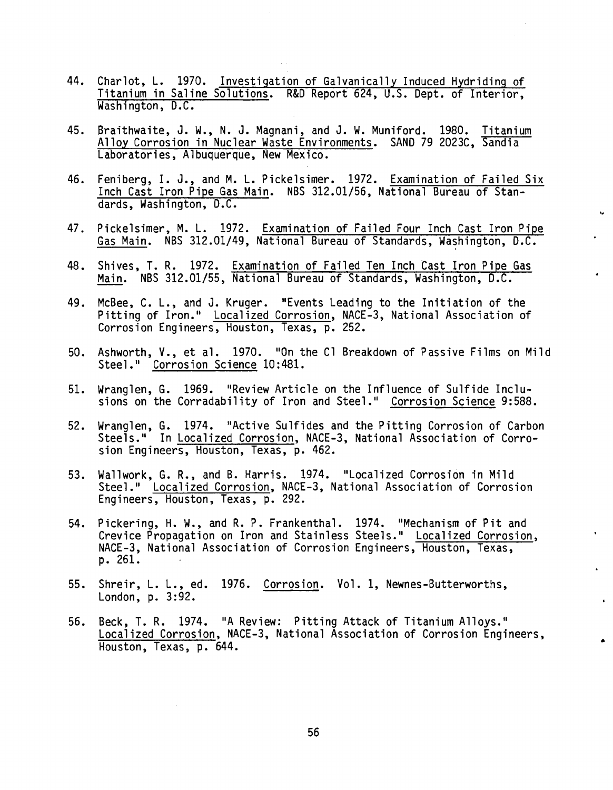- 44. Charlot, L. 1970. Investigation of Galvanically Induced Hydriding of Titanium in Saline Solutions. R&D Report 624, U.S. Dept. of Interior, Washington, D.C.
- 45. Braithwaite, J. W., N. J. Magnani, and J. W. Muniford. 1980. Titanium Alloy Corrosion in Nuclear Waste Environments. SAND 79 2023C, Sandia Laboratories, Albuquerque, New Mexico.
- 46. Feniberg, I. J., and M. L. Pickelsimer. 1972. Examination of Failed Six Inch Cast Iron Pipe Gas Main. NBS 312.01/56, National Bureau of Standards, Washington, D.C.
- 47. Pickelsimer, M. L. 1972. Examination of Failed Four Inch Cast Iron Pipe Gas Main. NBS 312.01/49, National Bureau of Standards, Washington, D.C.
- 48. Shives, T. R. 1972. Examination of Failed Ten Inch Cast Iron Pipe Gas Main. NBS 312.01/55, National Bureau of Standards, Washington, D.C.
- 49. McBee, C. L., and J. Kruger. "Events Leading to the Initiation of the Pitting of Iron." Localized Corrosion, NACE-3, National Association of Corrosion Engineers, Houston, Texas, p. 252.
- 50. Ashworth, V., et al. 1970. "On the Cl Breakdown of Passive Films on Mild Steel." Corrosion Science 10:481.
- 51. Wranglen, G. 1969. "Review Article on the Influence of Sulfide Inclusions on the Corradability of Iron and Steel." Corrosion Science 9:588.
- 52. Wranglen, G. 1974. "Active Sulfides and the Pitting Corrosion of Carbon Steels." In <u>Localized Corrosion</u>, NACE-3, National Association of Corrosion Engineers, Houston, Texas, p. 462.
- 53. Wallwork, G. R., and B. Harris. 1974. "Localized Corrosion in Mild Steel." Localized Corrosion, NACE-3, National Association of Corrosion Engineers, Houston, Texas, p. 292.
- 54. Pickering, H. W., and R. P. Frankenthal. 1974. "Mechanism of Pit and Crevice Propagation on Iron and Stainless Steels." Localized Corrosion, NACE-3, National Association of Corrosion Engineers, Houston, Texas, p. 261.
- 55. Shreir, L. L., ed. 1976. Corrosion. Vol. 1, Newnes-Butterworths, London, p. 3:92.
- 56. Beck, T. R. 1974. "A Review: Pitting Attack of Titanium Alloys." Localized Corrosion, NACE-3, National Association of Corrosion Engineers, Houston, Texas, p. 644.

•

 $\ddot{\phantom{0}}$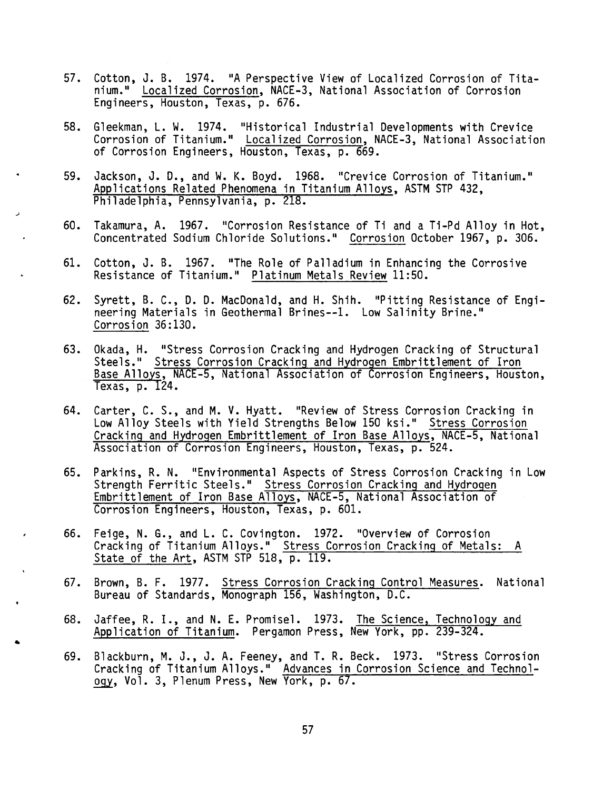- 57. Cotton, J. B. 1974. "A Perspective View of Localized Corrosion of Titanium." Localized Corrosion, NACE-3, National Association of Corrosion Engineers, Houston, Texas, p. 676.
- 58. Gleekman, L. W. 1974. "Historical Industrial Developments with Crevice Corrosion of Titanium." Localized Corrosion, NACE-3, National Association of Corrosion Engineers, Houston, Texas, p. 669.
- 59. Jackson, J. D., and W. K. Boyd. 1968. "Crevice Corrosion of Titanium." Applications Related Phenomena in Titanium Alloys, ASTM STP 432, Philadelphia, Pennsylvania, p. 218.
- 60. Takamura, A. 1967. "Corrosion Resistance of Ti and a Ti-Pd Alloy in Hot, Concentrated Sodium Chloride Solutions." Corrosion October 1967, p. 306.
- 61. Cotton, J. B. 1967. "The Role of Palladium in Enhancing the Corrosive Resistance of Titanium." Platinum Metals Review 11:50.
- 62. Syrett, B. C., D. D. MacDonald, and H. Shih. "Pitting Resistance of Engi-<br>neering Materials in Geothermal Brines--1. Low Salinity Brine." Corrosion 36:130.
- 63. Okada, H. "Stress Corrosion Cracking and Hydrogen Cracking of Structural Steels." Stress Corrosion Cracking and Hydrogen Embrittlement of Iron Base Alloys, NACE-5, National Association of Corrosion Engineers, Houston, Texas, p. 124.
- 64. Carter, C. S., and M. V. Hyatt. "Review of Stress Corrosion Cracking in Low Alloy Steels with Yield Strengths Below 150 ksi." Stress Corrosion Cracking and Hydrogen Embrittlement of Iron Base Alloys, NACE-5, National Association of Corrosion Engineers, Houston, Texas, p. 524.
- 65. Parkins, R. N. "Environmental Aspects of Stress Corrosion Cracking in Low Strength Ferritic Steels." Stress Corrosion Cracking and Hydrogen<br>Embrittlement of Iron Base Alloys, NACE-5, National Association of Corrosion Engineers, Houston, Texas, p. 601.
- 66. Feige, N. G., and L. C. Covington. 1972. "Overview of Corrosion Cracking of Titanium Alloys." Stress Corrosion Cracking of Metals: A State of the Art, ASTM STP 518, p. 119.
- 67. Brown, B. F. 1977. Stress Corrosion Cracking Control Measures. National Bureau of Standards, Monograph 156, Washington, D.C.
- 68. Jaffee, R. I., and N. E. Promisel. 1973. The Science, Technology and Application of Titanium. Pergamon Press, New York, pp. 239-324.

•

69. Blackburn, M. J., J. A. Feeney, and T. R. Beck. 1973. "Stress Corrosion Cracking of Titanium Alloys." Advances in Corrosion Science and Technol ogy, Vol. 3, Plenum Press, New York, p. 67.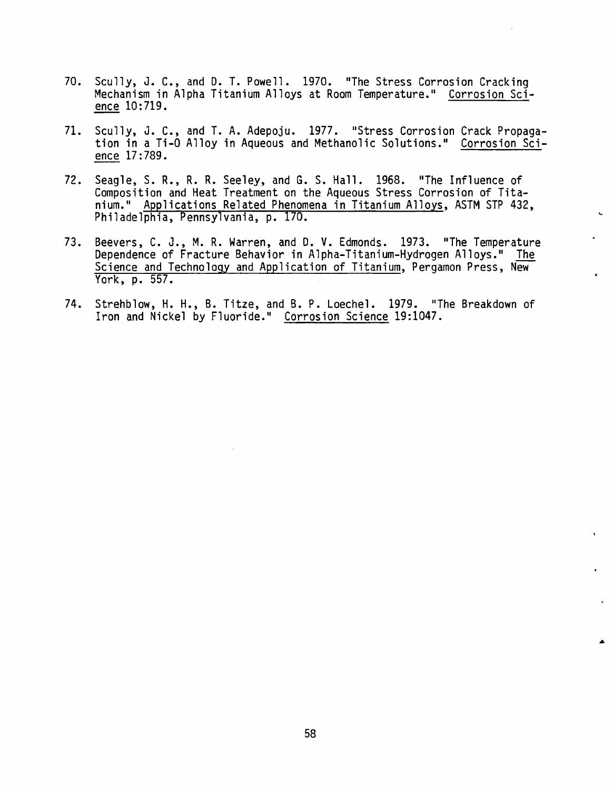- 70. Scully, J. C., and D. T. Powell. 1970. "The Stress Corrosion Cracking Mechanism in Alpha Titanium Alloys at Room Temperature." Corrosion Science 10:719.
- 71. Scully, J. C., and T. A. Adepoju. 1977. "Stress Corrosion Crack Propaga- tion in a Ti-O Alloy in Aqueous and Methanolic Solutions." Corrosion Science 17:789.
- 72. Seagle, S. R., R. R. Seeley, and G. S. Hall. 1968. "The Influence of Composition and Heat Treatment on the Aqueous Stress Corrosion of Titanium." Applications Related Phenomena in Titanium Alloys, ASTM STP 432, Philadelphia, Pennsylvania, p. 170.
- 73. Beevers, C. J., M. R. Warren, and D. V. Edmonds. 1973. "The Temperature Dependence of Fracture Behavior in Alpha-Titanium-Hydrogen Alloys." The Science and Technology and Application of Titanium, Pergamon Press, New York, p. 557.
- 74. Strehblow, H. H., B. Titze, and B. P. Loechel. 1979. "The Breakdown of Iron and Nickel by Fluoride." Corrosion Science 19:1047.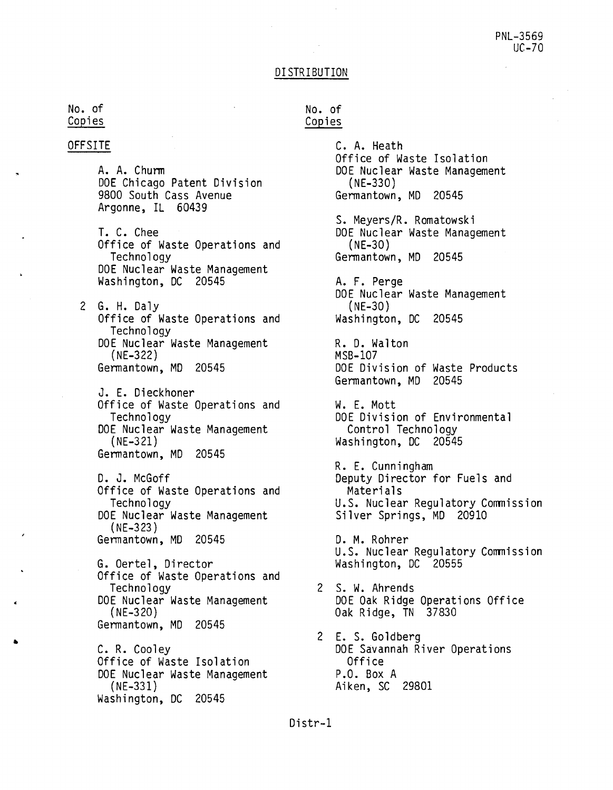### 01 STRIBUTION

## No. of Copies

# No. of Copies

#### OFFSITE

•

A. A. Chunn DOE Chicago Patent Division 9800 South Cass Avenue Argonne, IL 60439

T. C. Chee Office of Waste Operations and Technology<br>DOE Nuclear Waste Management<br>Washington, DC 20545

2 G. H. Daly Office of Waste Operations and Technology DOE Nuclear Waste Management (NE-322) Germantown, MD 20545

J. E. Dieckhoner Office of Waste Operations and Technology DOE Nuclear Waste Management (NE-321) Germantown, MD 20545

D. J. McGoff Office of Waste Operations and Technology DOE Nuclear Waste Management (NE-323) Germantown, MD 20545

G. Oertel, Director Office of Waste Operations and Technology DOE Nuclear Waste Management (NE-320) Germantown, MD 20545

C. R. Cooley Office of Waste Isolation DOE Nuclear Waste Management (NE-331) Washington, DC 20545

C. A. Heath Office of Waste Isolation DOE Nuclear Waste Management (NE-330) Germantown, MD 20545 S. Meyers/R. Romatowski DOE Nuclear Waste Management (NE-30) Germantown, MD 20545 A. F. Perge<br>DOE Nuclear Waste Management (NE-30) Washington, DC 20545 R. D. Walton MSB-107 DOE Division of Waste Products Germantown, MD 20545 W. E. Mott DOE Division of Environmental Control Technology Washington, DC 20545 R. E. Cunningham Deputy Director for Fuels and Materials U.S. Nuclear Regulatory Commission Silver Springs, MD 20910 D. M. Rohrer U.S. Nuclear Regulatory Commission Washington, DC 20555

2 S. W. Ahrends DOE Oak Ridge Operations Office Oak Ridge, TN 37830

2 E. S. Goldberg DOE Savannah River Operations Office P.O. Box A Aiken, SC 29801

Oistr-1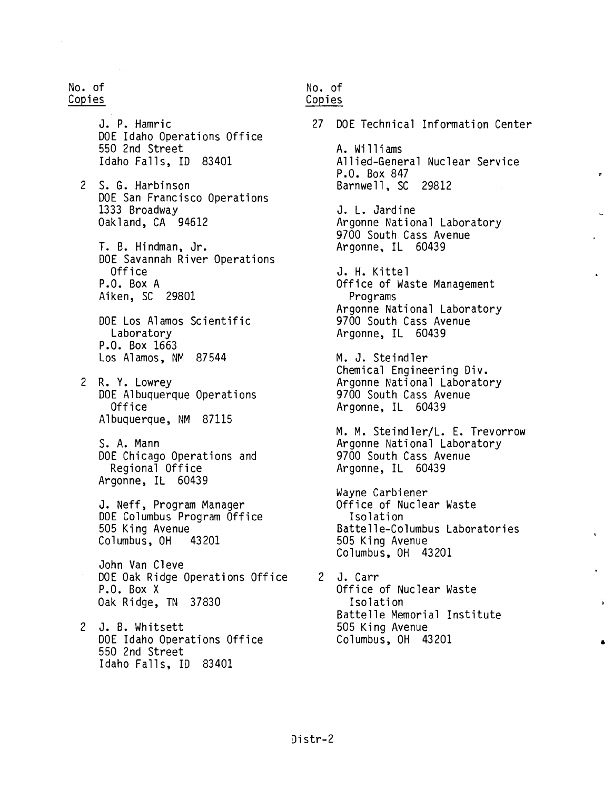No. of Copies

> J. P. Hamric DOE Idaho Operations Office 550 2nd Street Idaho Falls, 10 83401

2 S. G. Harbinson DOE San Francisco Operations<br>1333 Broadway<br>Oakland, CA 94612

T. B. Hindman, Jr. DOE Savannah River Operations Office P.O. Box A Aiken, SC 29801

DOE Los Alamos Scientific Laboratory P.O. Box 1663 Los Alamos, NM 87544

2 R. Y. Lowrey<br>DOE Albuquerque Operations<br>Office Albuquerque, NM 87115

> S. A. Mann DOE Chicago Operations and Regional Office Argonne, IL 60439

J. Neff, Program Manager<br>DOE Columbus Program Office 505 King Avenue Columbus, OH 43201

John Van Cleve DOE Oak Ridge Operations Office P.O. Box X Oak Ridge, TN 37830

2 J. B. Whitsett DOE Idaho Operations Office 550 2nd Street Idaho Falls, 10 83401

## No. of Copies

27 DOE Technical Information Center

A. Williams Allied-General Nuclear Service P.O. Box 847 Barnwell, SC 29812

J. L. Jardine Argonne National Laboratory 9700 South Cass Avenue Argonne, IL 60439

J. H. Kittel Office of Waste Management Programs Argonne National Laboratory 9700 South Cass Avenue Argonne, IL 60439

M. J. Steindler Chemical Engineering Div. Argonne National Laboratory 9700 South Cass Avenue Argonne, IL 60439

M. M. Steindler/L. E. Trevorrow Argonne National Laboratory 9700 South Cass Avenue Argonne, IL 60439

Wayne Carbiener Office of Nuclear Waste Isolation Battelle-Columbus Laboratories 505 King Avenue Columbus, OH 43201

2 J. Carr Office of Nuclear Waste Isolation Battelle Memorial Institute 505 King Avenue Columbus, OH 43201 •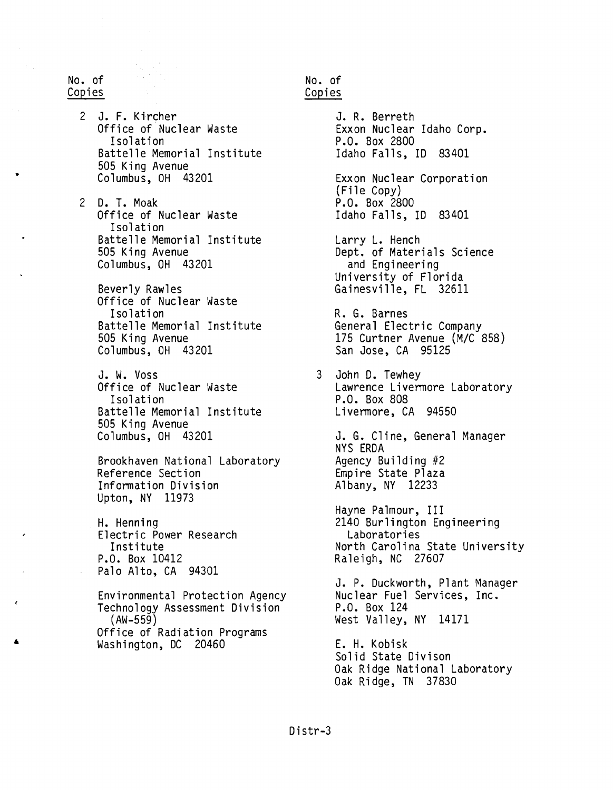#### No. of Copies

..

•

- 2 J. F. Kircher Office of Nuclear Waste Isolation Battelle Memorial Institute 505 King Avenue Columbus, OH 43201
- 2 D. T. Moak Office of Nuclear Waste Isolation Battelle Memorial Institute 505 King Avenue Columbus, OH 43201
	- Beverly Rawles Office of Nuclear Waste Isolation Battelle Memorial Institute 505 King Avenue Columbus, OH 43201
	- J. W. Voss Office of Nuclear Waste Isolation Battelle Memorial Institute 505 King Avenue Columbus, OH 43201
	- Brookhaven National Laboratory Reference Section Information Division Upton, NY 11973
	- H. Henning Electric Power Research Institute P.O. Box 10412 Palo Alto, CA 94301

Environmental Protection Agency Technology Assessment Division (AW-559) Office of Radiation Programs Washington, DC 20460

# No. of Copies

J. R. Berreth Exxon Nuclear Idaho Corp. P .0. Box 2800 Idaho Falls, 10 83401 Exxon Nuclear Corporation (File Copy) P.O. Box 2800 Idaho Falls, 10 83401 Larry L. Hench Dept. of Materials Science and Engineering University of Florida Gainesville, FL 32611 R. G. Barnes General Electric Company 175 Curtner Avenue *(M/C* 858) San Jose, CA 95125 3 John D. Tewhey Lawrence Livermore Laboratory P.O. Box 808 Livermore, CA 94550 J. G. Cline, General Manager NYS ERDA Agency Building #2 Empire State Plaza Albany, NY 12233 Hayne Palmour, III 2140 Burlington Engineering Laboratories North Carolina State University Raleigh, NC 27607 J. P. Duckworth, Plant Manager Nuclear Fuel Services, Inc. P.O. Box 124 West Valley, NY 14171 E. H. Kobisk Solid State Divison Oak Ridge National Laboratory Oak Ridge, TN 37830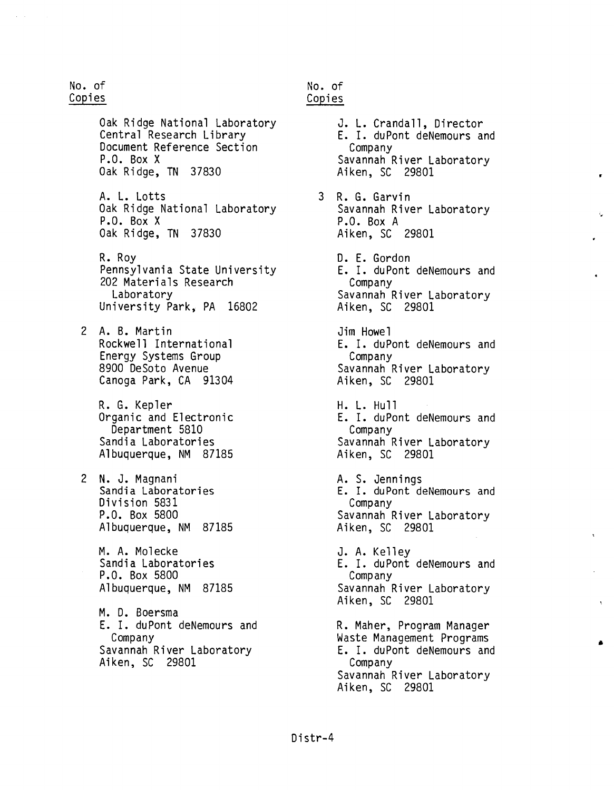#### No. of Copies

Oak Ridge National Laboratory Central Research Library Document Reference Section P.O. Box X Oak Ridge, TN 37830

A. L. Lotts Oak Ridge National Laboratory P.O. Box X Oak Ridge, TN 37830

R. Roy Pennsylvania State University 202 Materials Research Laboratory University Park, PA 16802

2 A. B. Martin Rockwell International Energy Systems Group 8900 DeSoto Avenue Canoga Park, CA 91304

> R. G. Kepler Organic and Electronic Department 5810 Sandia Laboratories Albuquerque, NM 87185

2 N. J. Magnani Sandia Laboratories Division 5831 P.O. Box 5800 Albuquerque, NM 87185

> M. A. Molecke Sandia Laboratories P.O. Box 5800 Albuquerque, NM 87185

M. D. Boersma E. I. duPont deNemours and Company Savannah River Laboratory Aiken, SC 29801

#### No. of Copies

J. L. Crandall, Director E. I. duPont deNemours and Company Savannah River Laboratory Aiken, SC 29801

•

'.

•

3 R. G. Garvin Savannah River Laboratory P.O. Box A Aiken, SC 29801

D. E. Gordon E. I. duPont deNemours and Company Savannah River Laboratory Aiken, SC 29801 Jim Howel E. I. duPont deNemours and Company Savannah River Laboratory Aiken, SC 29801 H. L. Hull E. I. duPont deNemours and Company

Savannah River Laboratory Aiken, SC 29801

A. S. Jennings<br>E. I. duPont deNemours and Company Savannah River Laboratory Aiken, SC 29801

J. A. Kelley E. I. duPont deNemours and Company Savannah River Laboratory Aiken, SC 29801

R. Maher, Program Manager Waste Management Programs E. I. duPont deNemours and Company Savannah River Laboratory Aiken, SC 29801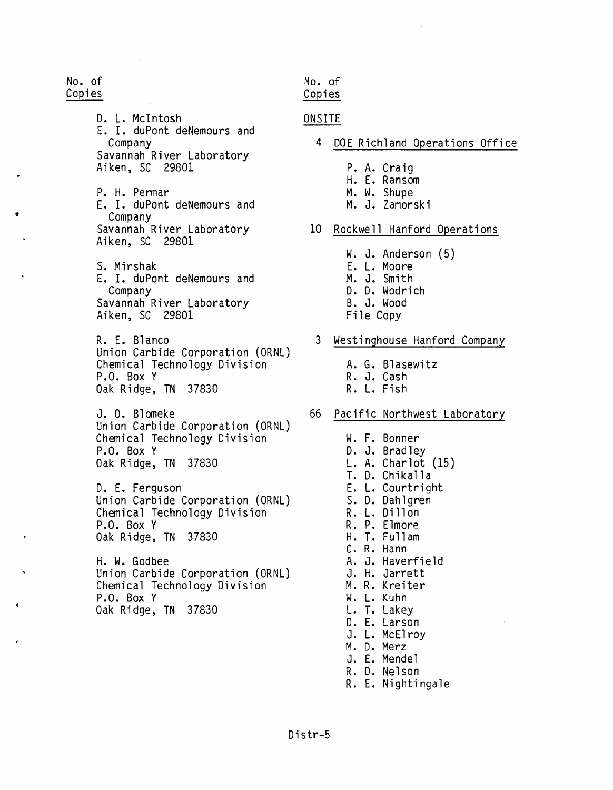## No. of Copies

D. L. McIntosh E. I. duPont deNemours and Company Savannah River Laboratory Aiken, SC 29801

P. H. Permar E. I. duPont deNemours and Company Savannah River Laboratory Aiken, SC 29801

S. Mirshak E. I. duPont deNemours and Company Savannah River Laboratory Aiken, SC 29801

R. E. Blanco Union Carbide Corporation (ORNL) Chemical Technology Division P.O. Box Y Oak Ridge, TN 37830

J. O. Blomeke Union Carbide Corporation (ORNL) Chemical Technology Division P.O. BoX Y Oak Ridge, TN 37830

D. E. Ferguson<br>Union Carbide Corporation (ORNL) Chemical Technology Division P.O. Box Y Oak Ridge, TN 37830

H. W. Godbee Union Carbide Corporation (ORNL) Chemical Technology Division P.O. Box Y Oak Ridge, TN 37830

## No. of Copies

## ONSITE

- 4 DOE Richland Operations Office
	- P. A. Craig
	- H. E. Ransom
	- M. W. Shupe
	- M. J. Zamorski
- 10 Rockwell Hanford Operations
	- W. J. Anderson (5)
	- E. L. Moore
	- M. J. Smith
	- D. D. Wodrich
	- B. J. Wood
	- File Copy
- 3 Westinghouse Hanford Company
	- A. G. Blasewitz
	- R. J. Cash
	- R. L. Fish
- 66 Pacific Northwest Laboratory
	- W. F. Bonner D. J. Bradley L. A. Charlot (15) T. D. Chika11a E. L. Courtright S. D. Dahlgren R. L. Di 11 on R. P. Elmore H. T. Fullam C. R. Hann A. J. Haverfield J. H. Jarrett M. R. Kreiter W. L. Kuhn L. T. Lakey D. E. Larson J. L. McElroy M. D. Merz J. E. Mendel R. D. Nelson
	- R. E. Nightingale